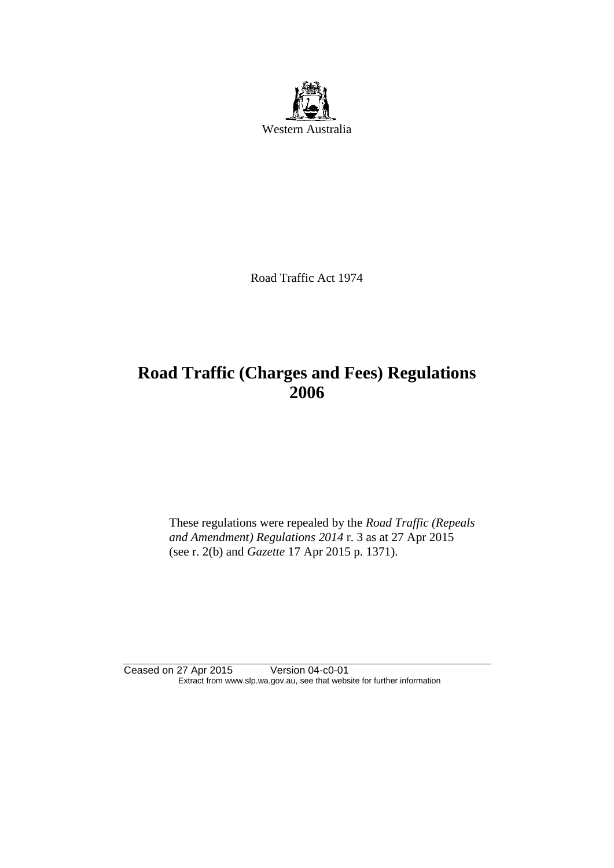

Road Traffic Act 1974

# **Road Traffic (Charges and Fees) Regulations 2006**

These regulations were repealed by the *Road Traffic (Repeals and Amendment) Regulations 2014* r. 3 as at 27 Apr 2015 (see r. 2(b) and *Gazette* 17 Apr 2015 p. 1371).

Ceased on 27 Apr 2015 Version 04-c0-01 Extract from www.slp.wa.gov.au, see that website for further information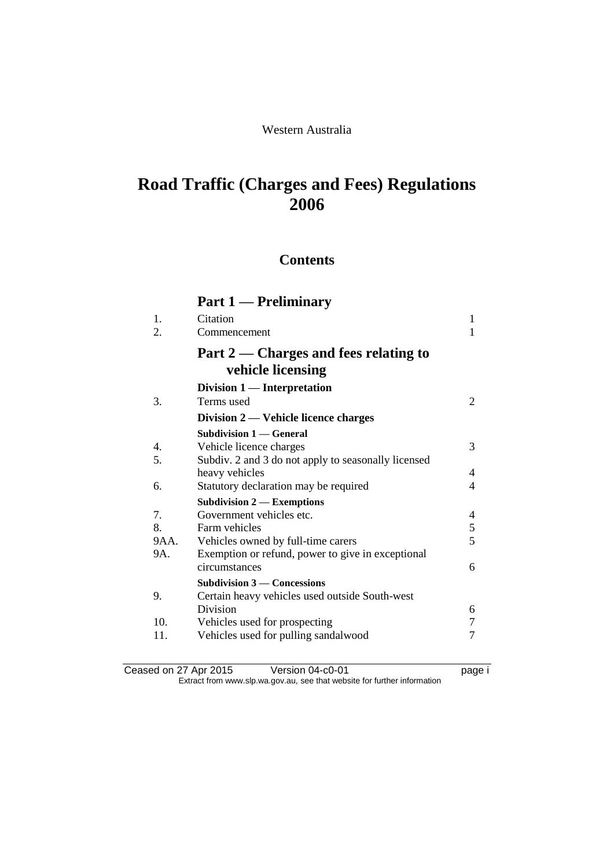## Western Australia

# **Road Traffic (Charges and Fees) Regulations 2006**

## **Contents**

## **Part 1 — Preliminary** 1. Citation 1 2. Commencement 1 **Part 2 — Charges and fees relating to vehicle licensing Division 1 — Interpretation** 3. Terms used 2 **Division 2 — Vehicle licence charges Subdivision 1 — General** 4. Vehicle licence charges 3 5. Subdiv. 2 and 3 do not apply to seasonally licensed heavy vehicles 4 6. Statutory declaration may be required 4 **Subdivision 2 — Exemptions** 7. Government vehicles etc. 4<br>8. Farm vehicles 5 8. Farm vehicles 9AA. Vehicles owned by full-time carers 5 9A. Exemption or refund, power to give in exceptional circumstances 6 **Subdivision 3 — Concessions** 9. Certain heavy vehicles used outside South-west Division 6 10. Vehicles used for prospecting 7 11. Vehicles used for pulling sandalwood 7

Ceased on 27 Apr 2015 Version 04-c0-01 Page i Extract from www.slp.wa.gov.au, see that website for further information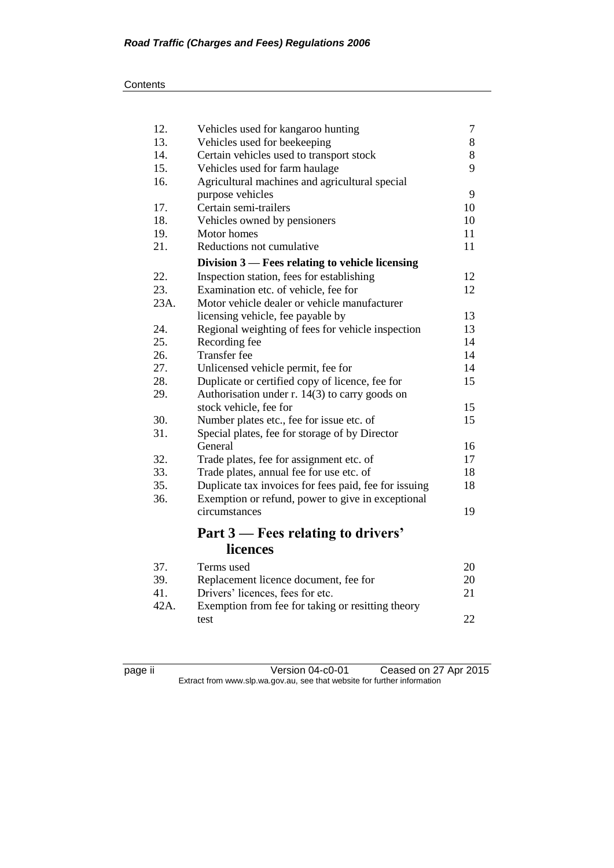| 12.  | 7<br>Vehicles used for kangaroo hunting<br>8          |    |  |
|------|-------------------------------------------------------|----|--|
| 13.  | Vehicles used for beekeeping<br>8                     |    |  |
| 14.  | Certain vehicles used to transport stock              |    |  |
| 15.  | Vehicles used for farm haulage                        |    |  |
| 16.  | Agricultural machines and agricultural special        |    |  |
|      | purpose vehicles                                      | 9  |  |
| 17.  | Certain semi-trailers                                 | 10 |  |
| 18.  | Vehicles owned by pensioners                          | 10 |  |
| 19.  | Motor homes                                           | 11 |  |
| 21.  | Reductions not cumulative                             | 11 |  |
|      | Division 3 – Fees relating to vehicle licensing       |    |  |
| 22.  | Inspection station, fees for establishing             | 12 |  |
| 23.  | Examination etc. of vehicle, fee for                  | 12 |  |
| 23A. | Motor vehicle dealer or vehicle manufacturer          |    |  |
|      | licensing vehicle, fee payable by                     | 13 |  |
| 24.  | Regional weighting of fees for vehicle inspection     | 13 |  |
| 25.  | Recording fee                                         | 14 |  |
| 26.  | Transfer fee                                          | 14 |  |
| 27.  | Unlicensed vehicle permit, fee for                    | 14 |  |
| 28.  | Duplicate or certified copy of licence, fee for       | 15 |  |
| 29.  | Authorisation under r. 14(3) to carry goods on        |    |  |
|      | stock vehicle, fee for                                | 15 |  |
| 30.  | Number plates etc., fee for issue etc. of             | 15 |  |
| 31.  | Special plates, fee for storage of by Director        |    |  |
|      | General                                               | 16 |  |
| 32.  | Trade plates, fee for assignment etc. of              | 17 |  |
| 33.  | Trade plates, annual fee for use etc. of              | 18 |  |
| 35.  | Duplicate tax invoices for fees paid, fee for issuing | 18 |  |
| 36.  | Exemption or refund, power to give in exceptional     |    |  |
|      | circumstances                                         | 19 |  |
|      |                                                       |    |  |
|      | Part 3 – Fees relating to drivers'                    |    |  |
|      | licences                                              |    |  |
| 37.  | Terms used                                            | 20 |  |
| 39.  | Replacement licence document, fee for                 | 20 |  |
| 41.  | Drivers' licences, fees for etc.                      | 21 |  |

42A. Exemption from fee for taking or resitting theory test 22

page ii Version 04-c0-01 Ceased on 27 Apr 2015 Extract from www.slp.wa.gov.au, see that website for further information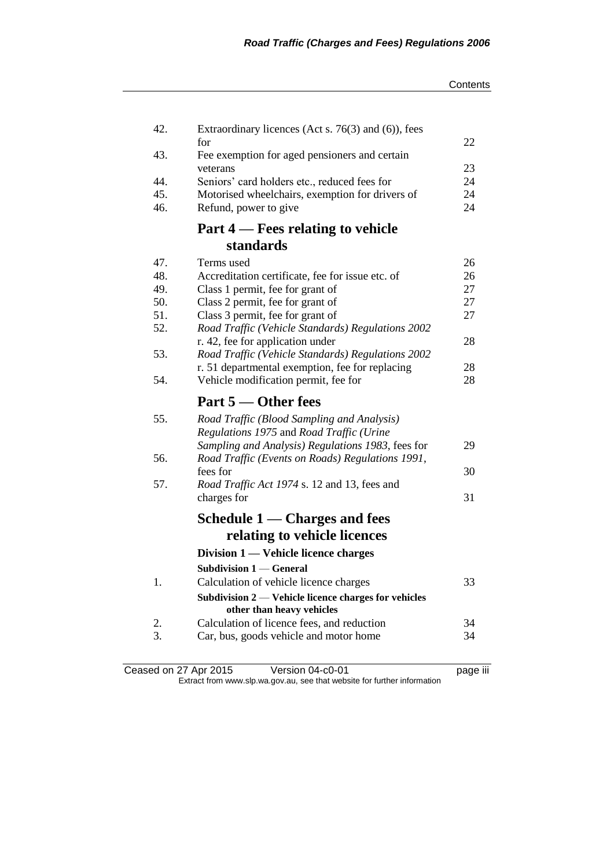| 42. | Extraordinary licences (Act s. $76(3)$ and $(6)$ ), fees                                       |    |
|-----|------------------------------------------------------------------------------------------------|----|
|     | for                                                                                            | 22 |
| 43. | Fee exemption for aged pensioners and certain                                                  | 23 |
| 44. | veterans<br>Seniors' card holders etc., reduced fees for                                       | 24 |
| 45. | Motorised wheelchairs, exemption for drivers of                                                | 24 |
| 46. | Refund, power to give                                                                          | 24 |
|     | Part 4 – Fees relating to vehicle                                                              |    |
|     | standards                                                                                      |    |
| 47. | Terms used                                                                                     | 26 |
| 48. | Accreditation certificate, fee for issue etc. of                                               | 26 |
| 49. | Class 1 permit, fee for grant of                                                               | 27 |
| 50. | Class 2 permit, fee for grant of                                                               | 27 |
| 51. | Class 3 permit, fee for grant of                                                               | 27 |
| 52. | Road Traffic (Vehicle Standards) Regulations 2002                                              |    |
|     | r. 42, fee for application under                                                               | 28 |
| 53. | Road Traffic (Vehicle Standards) Regulations 2002                                              |    |
|     | r. 51 departmental exemption, fee for replacing                                                | 28 |
| 54. | Vehicle modification permit, fee for                                                           | 28 |
|     |                                                                                                |    |
|     | Part 5 — Other fees                                                                            |    |
| 55. |                                                                                                |    |
|     | Road Traffic (Blood Sampling and Analysis)<br>Regulations 1975 and Road Traffic (Urine         |    |
|     | Sampling and Analysis) Regulations 1983, fees for                                              | 29 |
| 56. | Road Traffic (Events on Roads) Regulations 1991,                                               |    |
|     | fees for                                                                                       | 30 |
| 57. | Road Traffic Act 1974 s. 12 and 13, fees and                                                   |    |
|     | charges for                                                                                    | 31 |
|     | Schedule $1 -$ Charges and fees                                                                |    |
|     | relating to vehicle licences                                                                   |    |
|     | Division 1 — Vehicle licence charges                                                           |    |
|     | <b>Subdivision 1 – General</b>                                                                 |    |
| 1.  |                                                                                                | 33 |
|     | Calculation of vehicle licence charges<br>Subdivision 2 — Vehicle licence charges for vehicles |    |
|     | other than heavy vehicles                                                                      |    |
| 2.  | Calculation of licence fees, and reduction                                                     | 34 |
| 3.  | Car, bus, goods vehicle and motor home                                                         | 34 |

Ceased on 27 Apr 2015 Version 04-c0-01 page iii Extract from www.slp.wa.gov.au, see that website for further information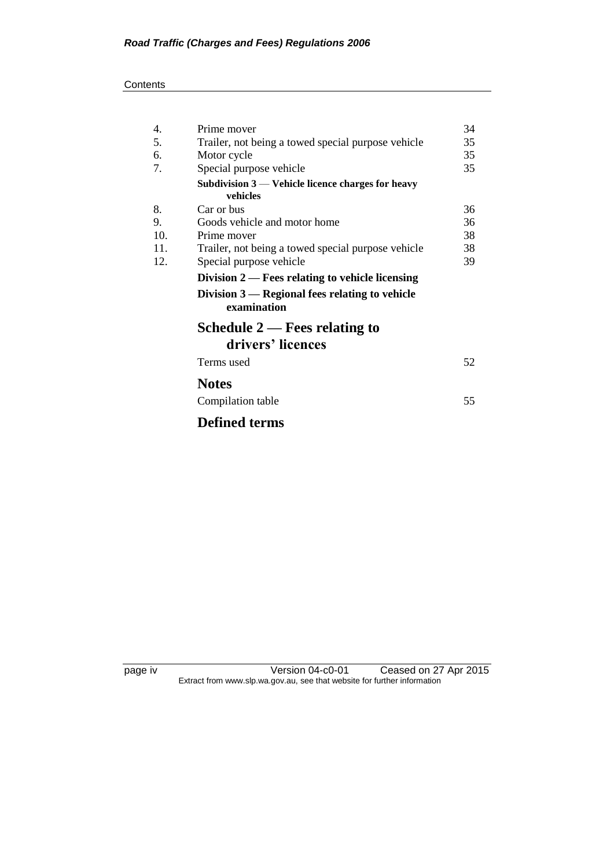#### **Contents**

| 4.  | Prime mover                                                     | 34 |
|-----|-----------------------------------------------------------------|----|
| 5.  | Trailer, not being a towed special purpose vehicle              | 35 |
| 6.  | Motor cycle                                                     | 35 |
| 7.  | Special purpose vehicle                                         | 35 |
|     | Subdivision $3$ — Vehicle licence charges for heavy             |    |
|     | vehicles                                                        |    |
| 8.  | Car or bus                                                      | 36 |
| 9.  | Goods vehicle and motor home                                    | 36 |
| 10. | Prime mover                                                     | 38 |
| 11. | Trailer, not being a towed special purpose vehicle              | 38 |
| 12. | Special purpose vehicle                                         | 39 |
|     | Division 2 — Fees relating to vehicle licensing                 |    |
|     | Division $3$ — Regional fees relating to vehicle<br>examination |    |
|     | Schedule $2$ — Fees relating to                                 |    |
|     | drivers' licences                                               |    |
|     | Terms used                                                      | 52 |
|     | <b>Notes</b>                                                    |    |
|     | Compilation table                                               | 55 |
|     | <b>Defined terms</b>                                            |    |

page iv Version 04-c0-01 Ceased on 27 Apr 2015 Extract from www.slp.wa.gov.au, see that website for further information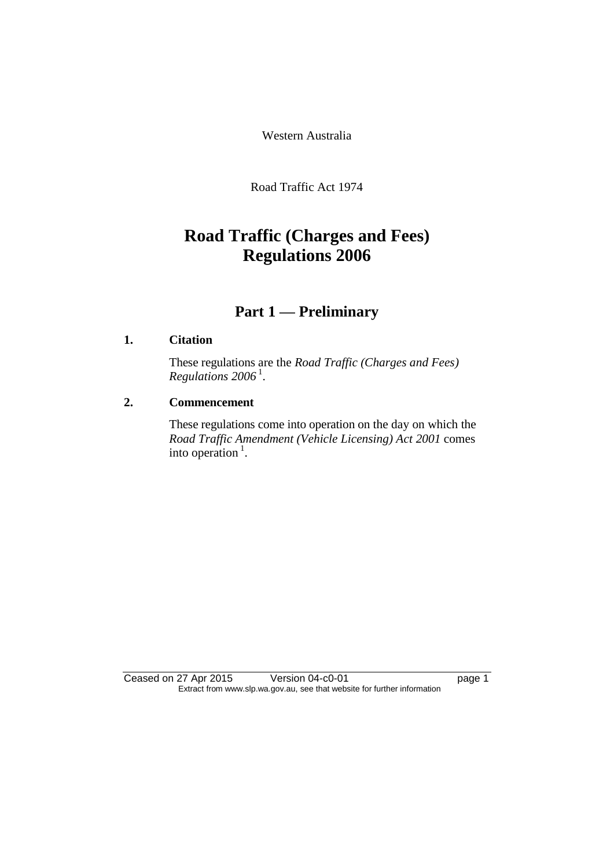Western Australia

Road Traffic Act 1974

# **Road Traffic (Charges and Fees) Regulations 2006**

# **Part 1 — Preliminary**

## **1. Citation**

These regulations are the *Road Traffic (Charges and Fees) Regulations 2006* <sup>1</sup> .

## **2. Commencement**

These regulations come into operation on the day on which the *Road Traffic Amendment (Vehicle Licensing) Act 2001* comes into operation  $<sup>1</sup>$ .</sup>

Ceased on 27 Apr 2015 Version 04-c0-01 page 1 Extract from www.slp.wa.gov.au, see that website for further information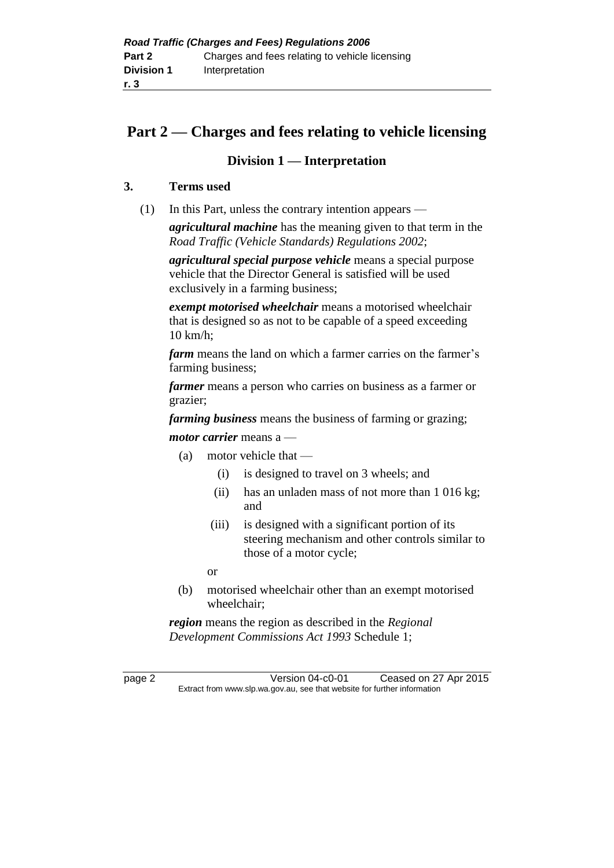# **Part 2 — Charges and fees relating to vehicle licensing**

## **Division 1 — Interpretation**

## **3. Terms used**

(1) In this Part, unless the contrary intention appears —

*agricultural machine* has the meaning given to that term in the *Road Traffic (Vehicle Standards) Regulations 2002*;

*agricultural special purpose vehicle* means a special purpose vehicle that the Director General is satisfied will be used exclusively in a farming business;

*exempt motorised wheelchair* means a motorised wheelchair that is designed so as not to be capable of a speed exceeding 10 km/h;

*farm* means the land on which a farmer carries on the farmer's farming business;

*farmer* means a person who carries on business as a farmer or grazier;

*farming business* means the business of farming or grazing;

*motor carrier* means a —

- (a) motor vehicle that
	- (i) is designed to travel on 3 wheels; and
	- (ii) has an unladen mass of not more than 1 016 kg; and
	- (iii) is designed with a significant portion of its steering mechanism and other controls similar to those of a motor cycle;
	- or
- (b) motorised wheelchair other than an exempt motorised wheelchair;

*region* means the region as described in the *Regional Development Commissions Act 1993* Schedule 1;

page 2 Version 04-c0-01 Ceased on 27 Apr 2015 Extract from www.slp.wa.gov.au, see that website for further information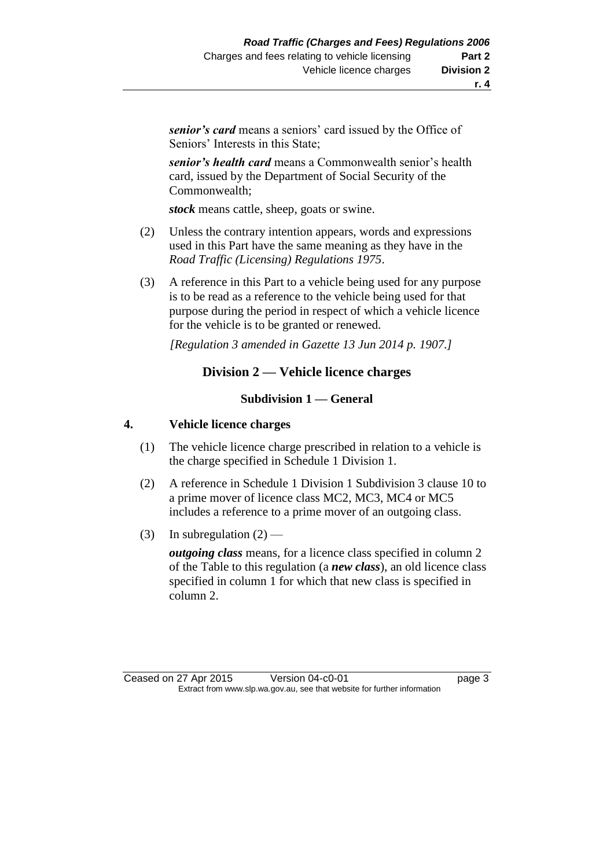*senior's card* means a seniors' card issued by the Office of Seniors' Interests in this State;

*senior's health card* means a Commonwealth senior's health card, issued by the Department of Social Security of the Commonwealth;

*stock* means cattle, sheep, goats or swine.

- (2) Unless the contrary intention appears, words and expressions used in this Part have the same meaning as they have in the *Road Traffic (Licensing) Regulations 1975*.
- (3) A reference in this Part to a vehicle being used for any purpose is to be read as a reference to the vehicle being used for that purpose during the period in respect of which a vehicle licence for the vehicle is to be granted or renewed.

*[Regulation 3 amended in Gazette 13 Jun 2014 p. 1907.]*

## **Division 2 — Vehicle licence charges**

#### **Subdivision 1 — General**

## **4. Vehicle licence charges**

- (1) The vehicle licence charge prescribed in relation to a vehicle is the charge specified in Schedule 1 Division 1.
- (2) A reference in Schedule 1 Division 1 Subdivision 3 clause 10 to a prime mover of licence class MC2, MC3, MC4 or MC5 includes a reference to a prime mover of an outgoing class.
- (3) In subregulation  $(2)$  —

*outgoing class* means, for a licence class specified in column 2 of the Table to this regulation (a *new class*), an old licence class specified in column 1 for which that new class is specified in column 2.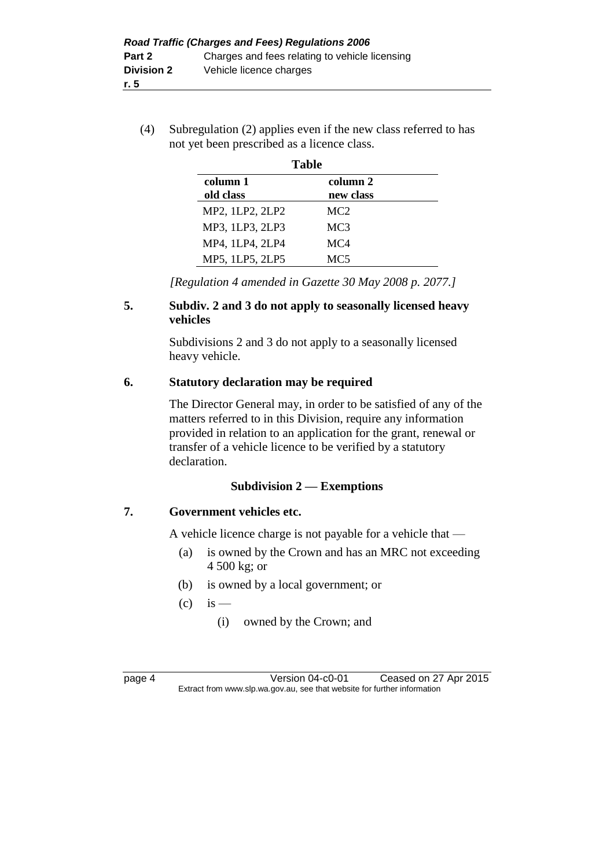(4) Subregulation (2) applies even if the new class referred to has not yet been prescribed as a licence class.

|                       | <b>Table</b>          |  |
|-----------------------|-----------------------|--|
| column 1<br>old class | column 2<br>new class |  |
| MP2, 1LP2, 2LP2       | MC <sub>2</sub>       |  |
| MP3, 1LP3, 2LP3       | MC <sub>3</sub>       |  |
| MP4, 1LP4, 2LP4       | MC4                   |  |
| MP5, 1LP5, 2LP5       | MC <sub>5</sub>       |  |

*[Regulation 4 amended in Gazette 30 May 2008 p. 2077.]*

## **5. Subdiv. 2 and 3 do not apply to seasonally licensed heavy vehicles**

Subdivisions 2 and 3 do not apply to a seasonally licensed heavy vehicle.

## **6. Statutory declaration may be required**

The Director General may, in order to be satisfied of any of the matters referred to in this Division, require any information provided in relation to an application for the grant, renewal or transfer of a vehicle licence to be verified by a statutory declaration.

## **Subdivision 2 — Exemptions**

## **7. Government vehicles etc.**

A vehicle licence charge is not payable for a vehicle that —

- (a) is owned by the Crown and has an MRC not exceeding 4 500 kg; or
- (b) is owned by a local government; or
- $\left( c \right)$  is
	- (i) owned by the Crown; and

| r<br>. .<br>г |  |
|---------------|--|
|---------------|--|

Version 04-c0-01 Ceased on 27 Apr 2015 Extract from www.slp.wa.gov.au, see that website for further information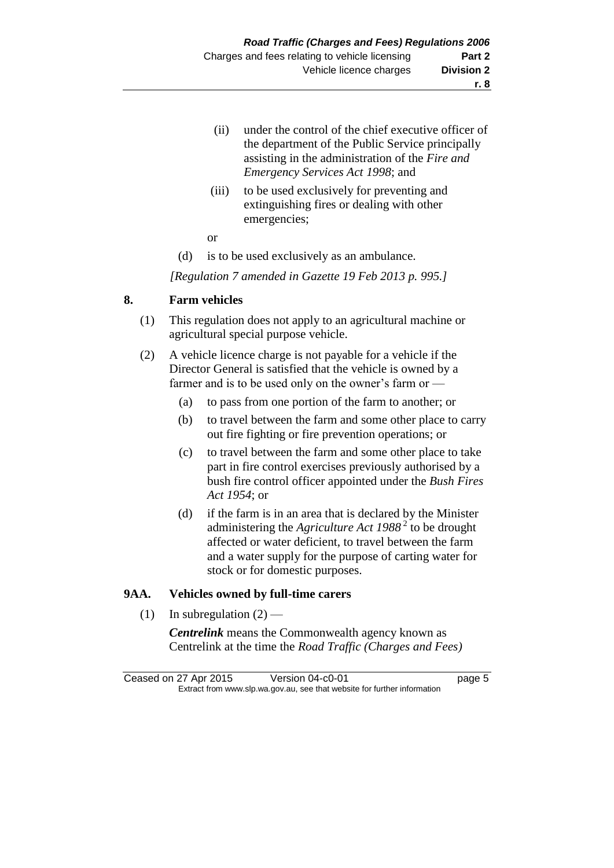- (ii) under the control of the chief executive officer of the department of the Public Service principally assisting in the administration of the *Fire and Emergency Services Act 1998*; and
- (iii) to be used exclusively for preventing and extinguishing fires or dealing with other emergencies;
- or
- (d) is to be used exclusively as an ambulance.

*[Regulation 7 amended in Gazette 19 Feb 2013 p. 995.]*

## **8. Farm vehicles**

- (1) This regulation does not apply to an agricultural machine or agricultural special purpose vehicle.
- (2) A vehicle licence charge is not payable for a vehicle if the Director General is satisfied that the vehicle is owned by a farmer and is to be used only on the owner's farm or —
	- (a) to pass from one portion of the farm to another; or
	- (b) to travel between the farm and some other place to carry out fire fighting or fire prevention operations; or
	- (c) to travel between the farm and some other place to take part in fire control exercises previously authorised by a bush fire control officer appointed under the *Bush Fires Act 1954*; or
	- (d) if the farm is in an area that is declared by the Minister administering the *Agriculture Act 1988* <sup>2</sup> to be drought affected or water deficient, to travel between the farm and a water supply for the purpose of carting water for stock or for domestic purposes.

## **9AA. Vehicles owned by full-time carers**

(1) In subregulation  $(2)$  —

*Centrelink* means the Commonwealth agency known as Centrelink at the time the *Road Traffic (Charges and Fees)* 

Ceased on 27 Apr 2015 Version 04-c0-01 page 5 Extract from www.slp.wa.gov.au, see that website for further information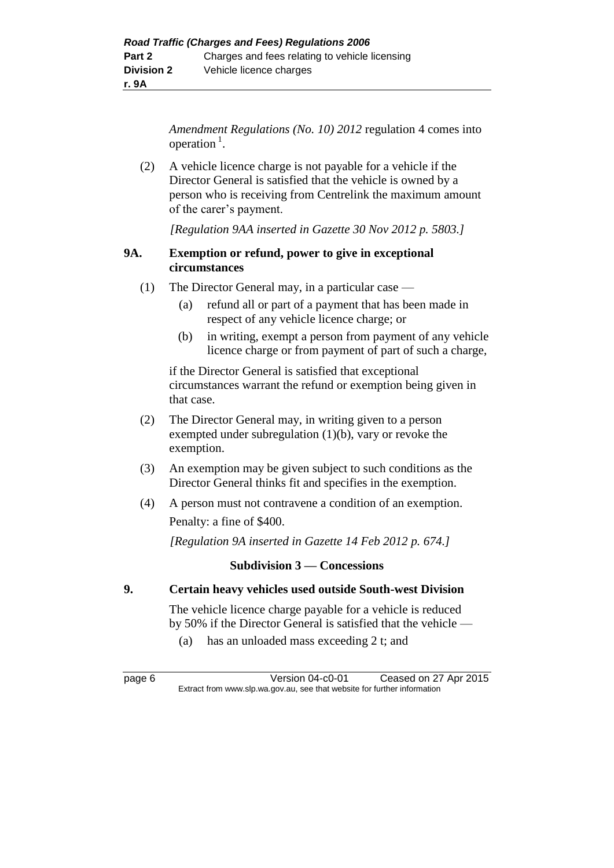*Amendment Regulations (No. 10) 2012* regulation 4 comes into operation $<sup>1</sup>$ .</sup>

(2) A vehicle licence charge is not payable for a vehicle if the Director General is satisfied that the vehicle is owned by a person who is receiving from Centrelink the maximum amount of the carer's payment.

*[Regulation 9AA inserted in Gazette 30 Nov 2012 p. 5803.]*

## **9A. Exemption or refund, power to give in exceptional circumstances**

- (1) The Director General may, in a particular case
	- (a) refund all or part of a payment that has been made in respect of any vehicle licence charge; or
	- (b) in writing, exempt a person from payment of any vehicle licence charge or from payment of part of such a charge,

if the Director General is satisfied that exceptional circumstances warrant the refund or exemption being given in that case.

- (2) The Director General may, in writing given to a person exempted under subregulation (1)(b), vary or revoke the exemption.
- (3) An exemption may be given subject to such conditions as the Director General thinks fit and specifies in the exemption.
- (4) A person must not contravene a condition of an exemption. Penalty: a fine of \$400.

*[Regulation 9A inserted in Gazette 14 Feb 2012 p. 674.]*

## **Subdivision 3 — Concessions**

## **9. Certain heavy vehicles used outside South-west Division**

The vehicle licence charge payable for a vehicle is reduced by 50% if the Director General is satisfied that the vehicle —

(a) has an unloaded mass exceeding 2 t; and

page 6 Version 04-c0-01 Ceased on 27 Apr 2015 Extract from www.slp.wa.gov.au, see that website for further information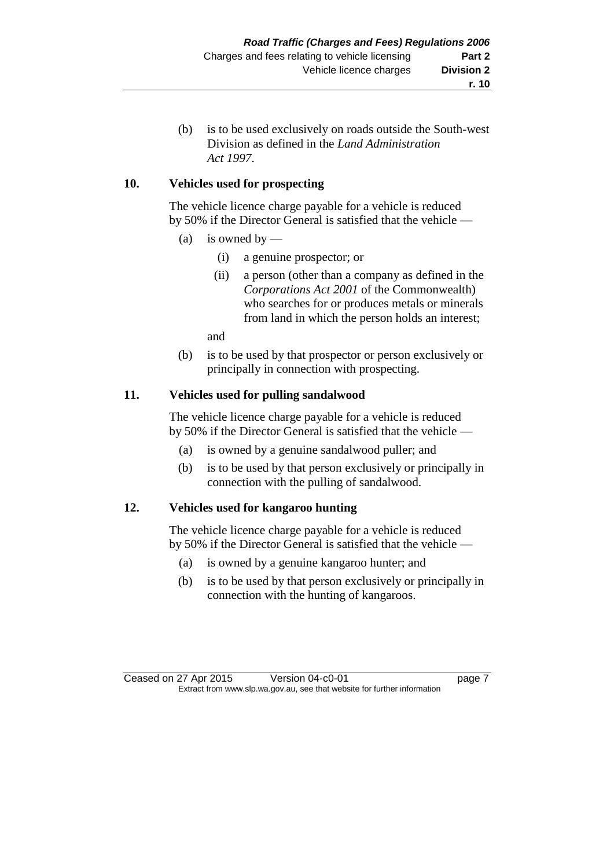(b) is to be used exclusively on roads outside the South-west Division as defined in the *Land Administration Act 1997*.

## **10. Vehicles used for prospecting**

The vehicle licence charge payable for a vehicle is reduced by 50% if the Director General is satisfied that the vehicle —

- (a) is owned by
	- (i) a genuine prospector; or
	- (ii) a person (other than a company as defined in the *Corporations Act 2001* of the Commonwealth) who searches for or produces metals or minerals from land in which the person holds an interest;

and

(b) is to be used by that prospector or person exclusively or principally in connection with prospecting.

## **11. Vehicles used for pulling sandalwood**

The vehicle licence charge payable for a vehicle is reduced by 50% if the Director General is satisfied that the vehicle —

- (a) is owned by a genuine sandalwood puller; and
- (b) is to be used by that person exclusively or principally in connection with the pulling of sandalwood.

## **12. Vehicles used for kangaroo hunting**

The vehicle licence charge payable for a vehicle is reduced by 50% if the Director General is satisfied that the vehicle —

- (a) is owned by a genuine kangaroo hunter; and
- (b) is to be used by that person exclusively or principally in connection with the hunting of kangaroos.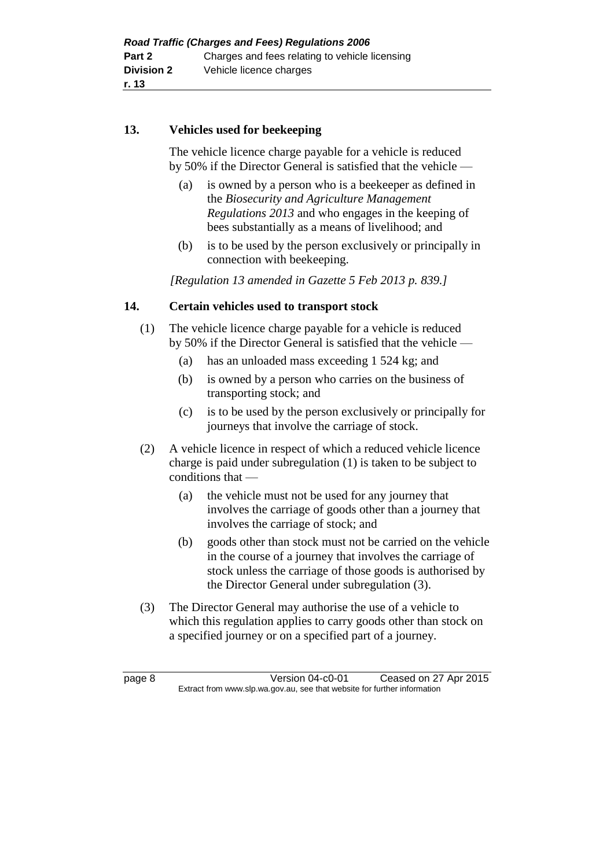## **13. Vehicles used for beekeeping**

The vehicle licence charge payable for a vehicle is reduced by 50% if the Director General is satisfied that the vehicle —

- (a) is owned by a person who is a beekeeper as defined in the *Biosecurity and Agriculture Management Regulations 2013* and who engages in the keeping of bees substantially as a means of livelihood; and
- (b) is to be used by the person exclusively or principally in connection with beekeeping.

*[Regulation 13 amended in Gazette 5 Feb 2013 p. 839.]*

## **14. Certain vehicles used to transport stock**

- (1) The vehicle licence charge payable for a vehicle is reduced by 50% if the Director General is satisfied that the vehicle —
	- (a) has an unloaded mass exceeding 1 524 kg; and
	- (b) is owned by a person who carries on the business of transporting stock; and
	- (c) is to be used by the person exclusively or principally for journeys that involve the carriage of stock.
- (2) A vehicle licence in respect of which a reduced vehicle licence charge is paid under subregulation (1) is taken to be subject to conditions that —
	- (a) the vehicle must not be used for any journey that involves the carriage of goods other than a journey that involves the carriage of stock; and
	- (b) goods other than stock must not be carried on the vehicle in the course of a journey that involves the carriage of stock unless the carriage of those goods is authorised by the Director General under subregulation (3).
- (3) The Director General may authorise the use of a vehicle to which this regulation applies to carry goods other than stock on a specified journey or on a specified part of a journey.

page 8 Version 04-c0-01 Ceased on 27 Apr 2015 Extract from www.slp.wa.gov.au, see that website for further information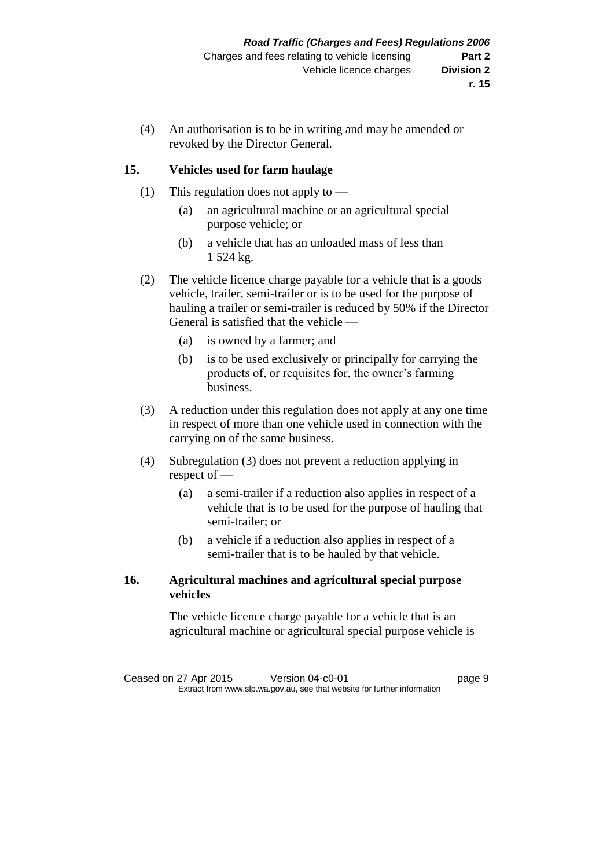(4) An authorisation is to be in writing and may be amended or revoked by the Director General.

## **15. Vehicles used for farm haulage**

- (1) This regulation does not apply to
	- (a) an agricultural machine or an agricultural special purpose vehicle; or
	- (b) a vehicle that has an unloaded mass of less than 1 524 kg.
- (2) The vehicle licence charge payable for a vehicle that is a goods vehicle, trailer, semi-trailer or is to be used for the purpose of hauling a trailer or semi-trailer is reduced by 50% if the Director General is satisfied that the vehicle —
	- (a) is owned by a farmer; and
	- (b) is to be used exclusively or principally for carrying the products of, or requisites for, the owner's farming business.
- (3) A reduction under this regulation does not apply at any one time in respect of more than one vehicle used in connection with the carrying on of the same business.
- (4) Subregulation (3) does not prevent a reduction applying in respect of —
	- (a) a semi-trailer if a reduction also applies in respect of a vehicle that is to be used for the purpose of hauling that semi-trailer; or
	- (b) a vehicle if a reduction also applies in respect of a semi-trailer that is to be hauled by that vehicle.

## **16. Agricultural machines and agricultural special purpose vehicles**

The vehicle licence charge payable for a vehicle that is an agricultural machine or agricultural special purpose vehicle is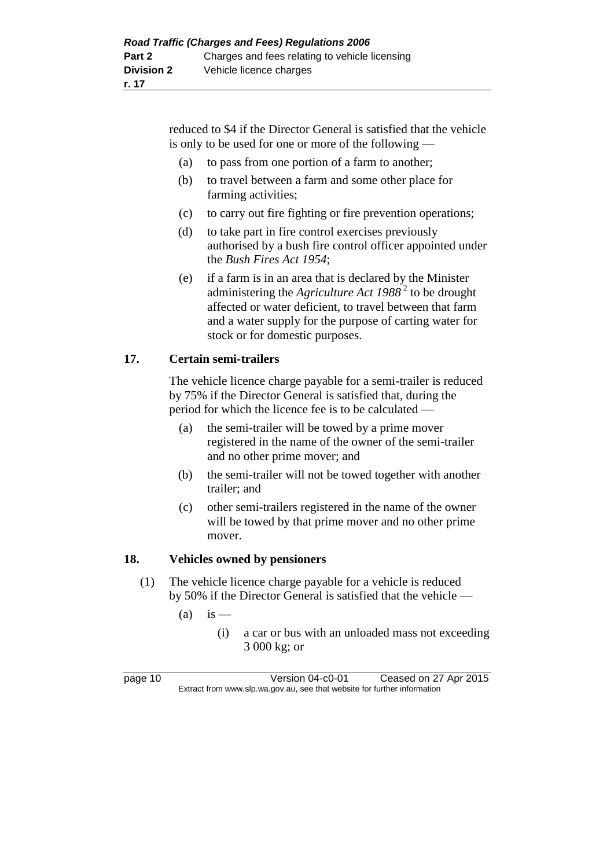reduced to \$4 if the Director General is satisfied that the vehicle is only to be used for one or more of the following —

- (a) to pass from one portion of a farm to another;
- (b) to travel between a farm and some other place for farming activities;
- (c) to carry out fire fighting or fire prevention operations;
- (d) to take part in fire control exercises previously authorised by a bush fire control officer appointed under the *Bush Fires Act 1954*;
- (e) if a farm is in an area that is declared by the Minister administering the *Agriculture Act 1988* <sup>2</sup> to be drought affected or water deficient, to travel between that farm and a water supply for the purpose of carting water for stock or for domestic purposes.

## **17. Certain semi-trailers**

The vehicle licence charge payable for a semi-trailer is reduced by 75% if the Director General is satisfied that, during the period for which the licence fee is to be calculated —

- (a) the semi-trailer will be towed by a prime mover registered in the name of the owner of the semi-trailer and no other prime mover; and
- (b) the semi-trailer will not be towed together with another trailer; and
- (c) other semi-trailers registered in the name of the owner will be towed by that prime mover and no other prime mover.

## **18. Vehicles owned by pensioners**

- (1) The vehicle licence charge payable for a vehicle is reduced by 50% if the Director General is satisfied that the vehicle —
	- $(a)$  is
		- (i) a car or bus with an unloaded mass not exceeding 3 000 kg; or

page 10 Version 04-c0-01 Ceased on 27 Apr 2015 Extract from www.slp.wa.gov.au, see that website for further information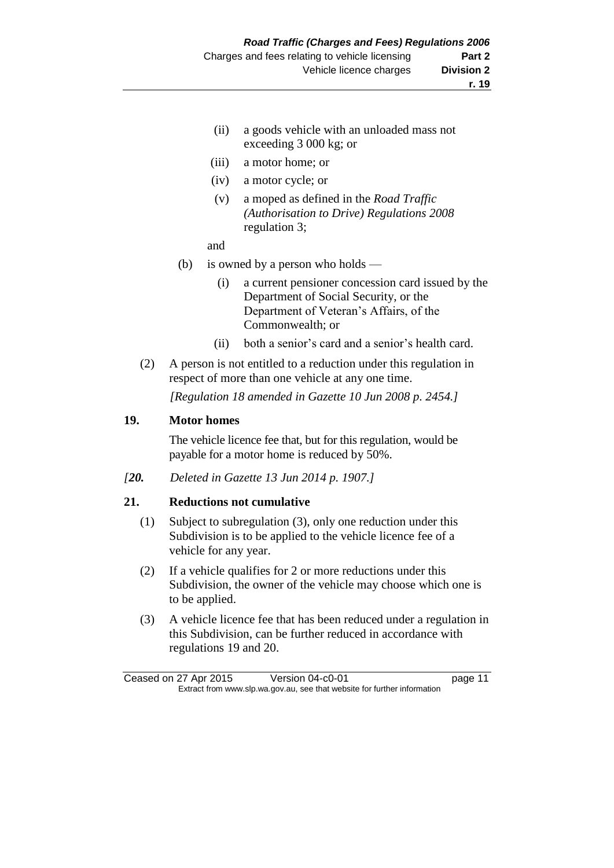- (ii) a goods vehicle with an unloaded mass not exceeding 3 000 kg; or
- (iii) a motor home; or
- (iv) a motor cycle; or
- (v) a moped as defined in the *Road Traffic (Authorisation to Drive) Regulations 2008* regulation 3;
- and
- (b) is owned by a person who holds
	- (i) a current pensioner concession card issued by the Department of Social Security, or the Department of Veteran's Affairs, of the Commonwealth; or
	- (ii) both a senior's card and a senior's health card.
- (2) A person is not entitled to a reduction under this regulation in respect of more than one vehicle at any one time.

*[Regulation 18 amended in Gazette 10 Jun 2008 p. 2454.]*

#### **19. Motor homes**

The vehicle licence fee that, but for this regulation, would be payable for a motor home is reduced by 50%.

*[20. Deleted in Gazette 13 Jun 2014 p. 1907.]*

#### **21. Reductions not cumulative**

- (1) Subject to subregulation (3), only one reduction under this Subdivision is to be applied to the vehicle licence fee of a vehicle for any year.
- (2) If a vehicle qualifies for 2 or more reductions under this Subdivision, the owner of the vehicle may choose which one is to be applied.
- (3) A vehicle licence fee that has been reduced under a regulation in this Subdivision, can be further reduced in accordance with regulations 19 and 20.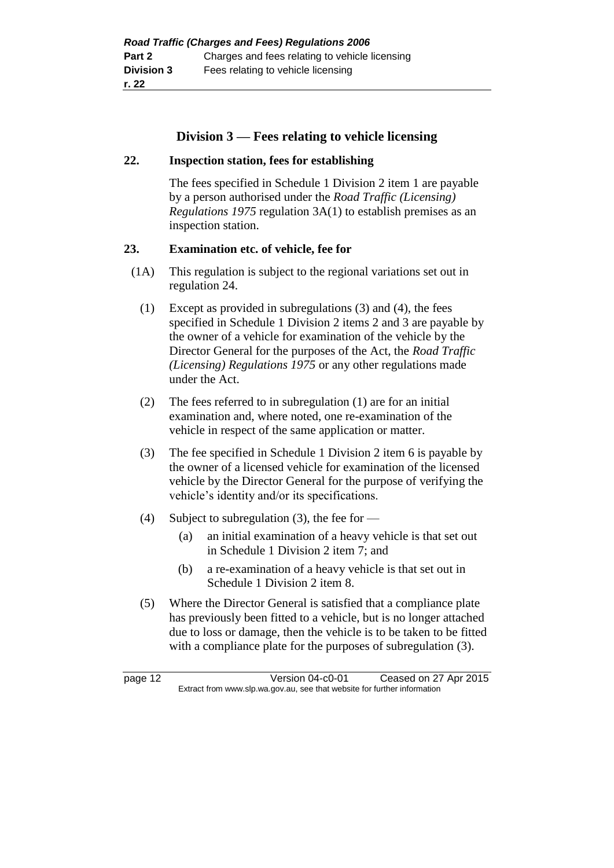## **Division 3 — Fees relating to vehicle licensing**

## **22. Inspection station, fees for establishing**

The fees specified in Schedule 1 Division 2 item 1 are payable by a person authorised under the *Road Traffic (Licensing) Regulations 1975* regulation 3A(1) to establish premises as an inspection station.

## **23. Examination etc. of vehicle, fee for**

- (1A) This regulation is subject to the regional variations set out in regulation 24.
	- (1) Except as provided in subregulations (3) and (4), the fees specified in Schedule 1 Division 2 items 2 and 3 are payable by the owner of a vehicle for examination of the vehicle by the Director General for the purposes of the Act, the *Road Traffic (Licensing) Regulations 1975* or any other regulations made under the Act.
	- (2) The fees referred to in subregulation (1) are for an initial examination and, where noted, one re-examination of the vehicle in respect of the same application or matter.
	- (3) The fee specified in Schedule 1 Division 2 item 6 is payable by the owner of a licensed vehicle for examination of the licensed vehicle by the Director General for the purpose of verifying the vehicle's identity and/or its specifications.
	- (4) Subject to subregulation (3), the fee for
		- (a) an initial examination of a heavy vehicle is that set out in Schedule 1 Division 2 item 7; and
		- (b) a re-examination of a heavy vehicle is that set out in Schedule 1 Division 2 item 8.
	- (5) Where the Director General is satisfied that a compliance plate has previously been fitted to a vehicle, but is no longer attached due to loss or damage, then the vehicle is to be taken to be fitted with a compliance plate for the purposes of subregulation (3).

page 12 Version 04-c0-01 Ceased on 27 Apr 2015 Extract from www.slp.wa.gov.au, see that website for further information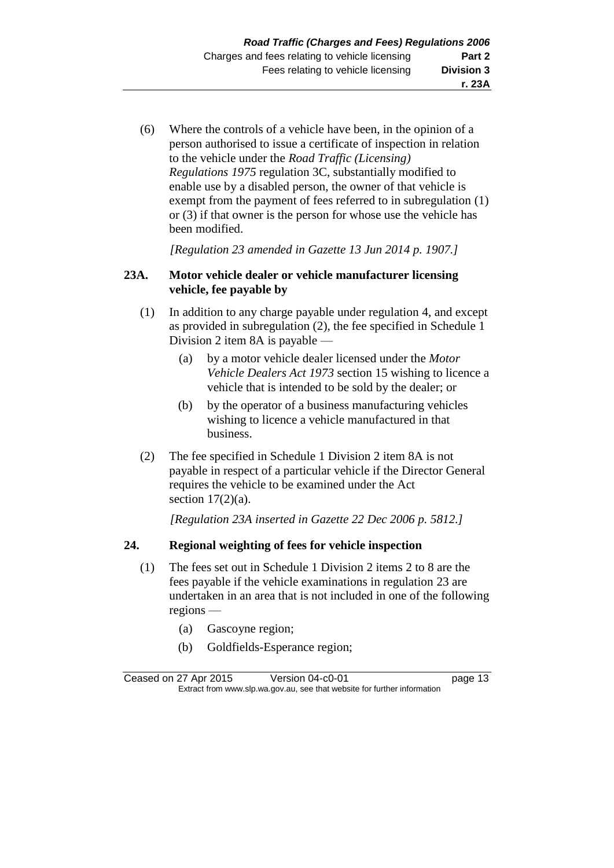(6) Where the controls of a vehicle have been, in the opinion of a person authorised to issue a certificate of inspection in relation to the vehicle under the *Road Traffic (Licensing) Regulations 1975* regulation 3C, substantially modified to enable use by a disabled person, the owner of that vehicle is exempt from the payment of fees referred to in subregulation (1) or (3) if that owner is the person for whose use the vehicle has been modified.

*[Regulation 23 amended in Gazette 13 Jun 2014 p. 1907.]*

## **23A. Motor vehicle dealer or vehicle manufacturer licensing vehicle, fee payable by**

- (1) In addition to any charge payable under regulation 4, and except as provided in subregulation (2), the fee specified in Schedule 1 Division 2 item 8A is payable —
	- (a) by a motor vehicle dealer licensed under the *Motor Vehicle Dealers Act 1973* section 15 wishing to licence a vehicle that is intended to be sold by the dealer; or
	- (b) by the operator of a business manufacturing vehicles wishing to licence a vehicle manufactured in that business.
- (2) The fee specified in Schedule 1 Division 2 item 8A is not payable in respect of a particular vehicle if the Director General requires the vehicle to be examined under the Act section  $17(2)(a)$ .

*[Regulation 23A inserted in Gazette 22 Dec 2006 p. 5812.]*

## **24. Regional weighting of fees for vehicle inspection**

- (1) The fees set out in Schedule 1 Division 2 items 2 to 8 are the fees payable if the vehicle examinations in regulation 23 are undertaken in an area that is not included in one of the following regions —
	- (a) Gascoyne region;
	- (b) Goldfields-Esperance region;

Ceased on 27 Apr 2015 Version 04-c0-01 page 13 Extract from www.slp.wa.gov.au, see that website for further information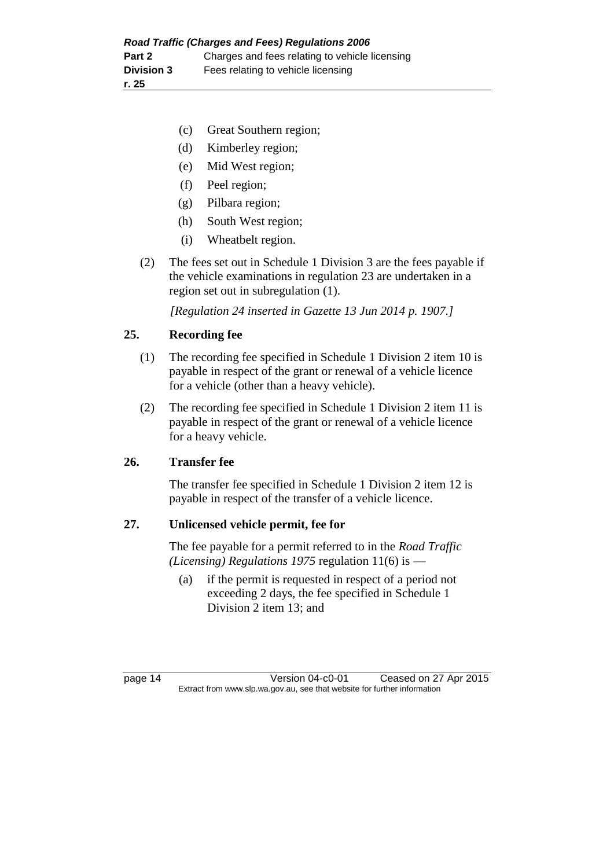- (c) Great Southern region;
- (d) Kimberley region;
- (e) Mid West region;
- (f) Peel region;
- (g) Pilbara region;
- (h) South West region;
- (i) Wheatbelt region.
- (2) The fees set out in Schedule 1 Division 3 are the fees payable if the vehicle examinations in regulation 23 are undertaken in a region set out in subregulation (1).

*[Regulation 24 inserted in Gazette 13 Jun 2014 p. 1907.]*

## **25. Recording fee**

- (1) The recording fee specified in Schedule 1 Division 2 item 10 is payable in respect of the grant or renewal of a vehicle licence for a vehicle (other than a heavy vehicle).
- (2) The recording fee specified in Schedule 1 Division 2 item 11 is payable in respect of the grant or renewal of a vehicle licence for a heavy vehicle.

## **26. Transfer fee**

The transfer fee specified in Schedule 1 Division 2 item 12 is payable in respect of the transfer of a vehicle licence.

## **27. Unlicensed vehicle permit, fee for**

The fee payable for a permit referred to in the *Road Traffic (Licensing) Regulations 1975* regulation 11(6) is —

(a) if the permit is requested in respect of a period not exceeding 2 days, the fee specified in Schedule 1 Division 2 item 13; and

page 14 Version 04-c0-01 Ceased on 27 Apr 2015 Extract from www.slp.wa.gov.au, see that website for further information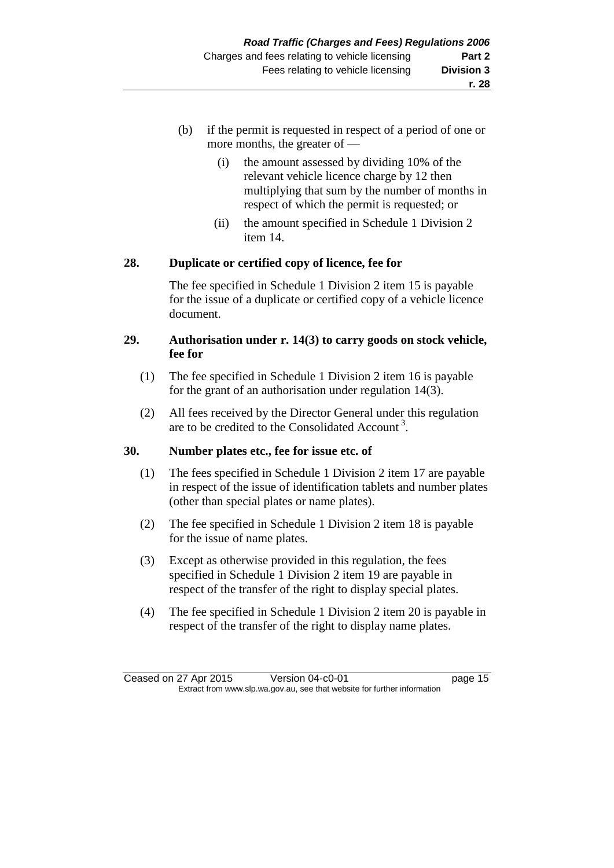- (b) if the permit is requested in respect of a period of one or more months, the greater of —
	- (i) the amount assessed by dividing 10% of the relevant vehicle licence charge by 12 then multiplying that sum by the number of months in respect of which the permit is requested; or
	- (ii) the amount specified in Schedule 1 Division 2 item 14.

## **28. Duplicate or certified copy of licence, fee for**

The fee specified in Schedule 1 Division 2 item 15 is payable for the issue of a duplicate or certified copy of a vehicle licence document.

## **29. Authorisation under r. 14(3) to carry goods on stock vehicle, fee for**

- (1) The fee specified in Schedule 1 Division 2 item 16 is payable for the grant of an authorisation under regulation 14(3).
- (2) All fees received by the Director General under this regulation are to be credited to the Consolidated Account<sup>3</sup>.

## **30. Number plates etc., fee for issue etc. of**

- (1) The fees specified in Schedule 1 Division 2 item 17 are payable in respect of the issue of identification tablets and number plates (other than special plates or name plates).
- (2) The fee specified in Schedule 1 Division 2 item 18 is payable for the issue of name plates.
- (3) Except as otherwise provided in this regulation, the fees specified in Schedule 1 Division 2 item 19 are payable in respect of the transfer of the right to display special plates.
- (4) The fee specified in Schedule 1 Division 2 item 20 is payable in respect of the transfer of the right to display name plates.

Ceased on 27 Apr 2015 Version 04-c0-01 page 15 Extract from www.slp.wa.gov.au, see that website for further information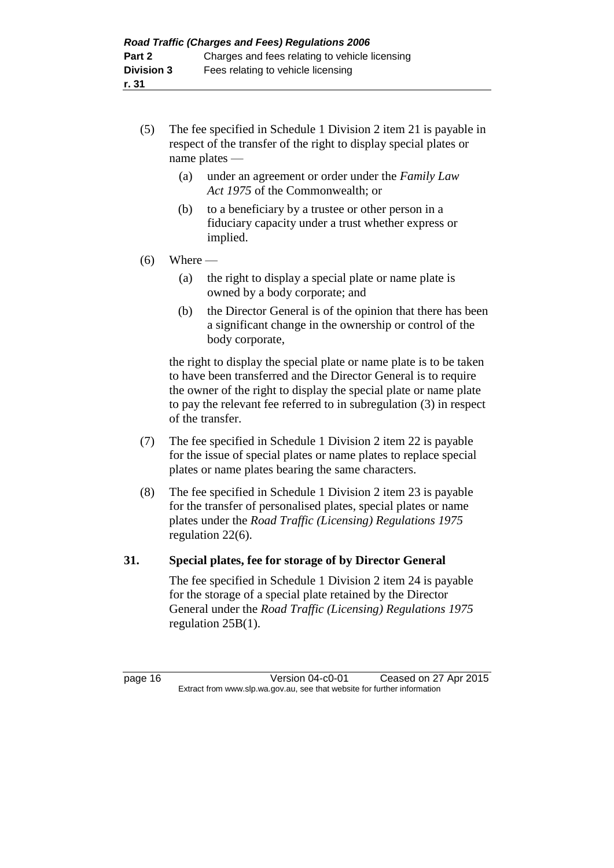- (5) The fee specified in Schedule 1 Division 2 item 21 is payable in respect of the transfer of the right to display special plates or name plates —
	- (a) under an agreement or order under the *Family Law Act 1975* of the Commonwealth; or
	- (b) to a beneficiary by a trustee or other person in a fiduciary capacity under a trust whether express or implied.

## $(6)$  Where —

- (a) the right to display a special plate or name plate is owned by a body corporate; and
- (b) the Director General is of the opinion that there has been a significant change in the ownership or control of the body corporate,

the right to display the special plate or name plate is to be taken to have been transferred and the Director General is to require the owner of the right to display the special plate or name plate to pay the relevant fee referred to in subregulation (3) in respect of the transfer.

- (7) The fee specified in Schedule 1 Division 2 item 22 is payable for the issue of special plates or name plates to replace special plates or name plates bearing the same characters.
- (8) The fee specified in Schedule 1 Division 2 item 23 is payable for the transfer of personalised plates, special plates or name plates under the *Road Traffic (Licensing) Regulations 1975* regulation 22(6).

## **31. Special plates, fee for storage of by Director General**

The fee specified in Schedule 1 Division 2 item 24 is payable for the storage of a special plate retained by the Director General under the *Road Traffic (Licensing) Regulations 1975* regulation 25B(1).

page 16 Version 04-c0-01 Ceased on 27 Apr 2015 Extract from www.slp.wa.gov.au, see that website for further information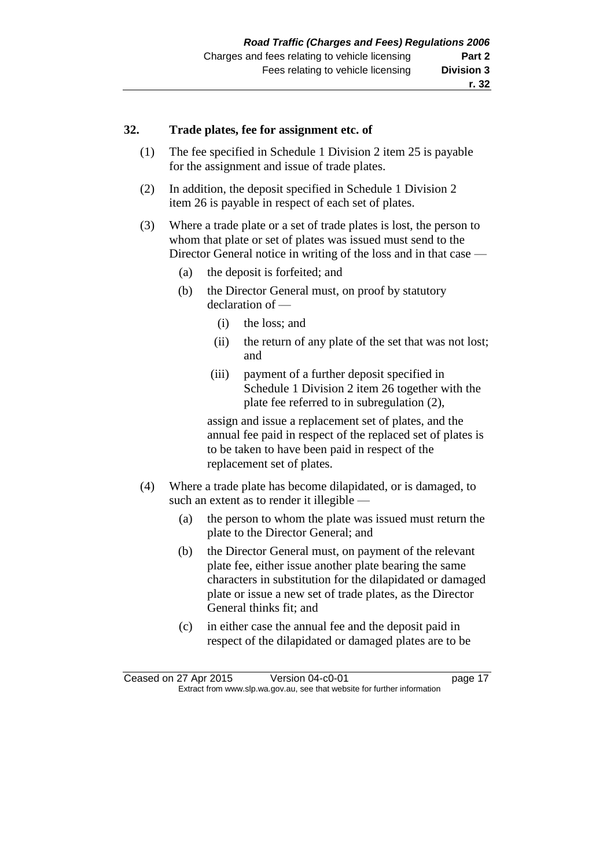### **32. Trade plates, fee for assignment etc. of**

- (1) The fee specified in Schedule 1 Division 2 item 25 is payable for the assignment and issue of trade plates.
- (2) In addition, the deposit specified in Schedule 1 Division 2 item 26 is payable in respect of each set of plates.
- (3) Where a trade plate or a set of trade plates is lost, the person to whom that plate or set of plates was issued must send to the Director General notice in writing of the loss and in that case —
	- (a) the deposit is forfeited; and
	- (b) the Director General must, on proof by statutory declaration of —
		- (i) the loss; and
		- (ii) the return of any plate of the set that was not lost; and
		- (iii) payment of a further deposit specified in Schedule 1 Division 2 item 26 together with the plate fee referred to in subregulation (2),

assign and issue a replacement set of plates, and the annual fee paid in respect of the replaced set of plates is to be taken to have been paid in respect of the replacement set of plates.

- (4) Where a trade plate has become dilapidated, or is damaged, to such an extent as to render it illegible —
	- (a) the person to whom the plate was issued must return the plate to the Director General; and
	- (b) the Director General must, on payment of the relevant plate fee, either issue another plate bearing the same characters in substitution for the dilapidated or damaged plate or issue a new set of trade plates, as the Director General thinks fit; and
	- (c) in either case the annual fee and the deposit paid in respect of the dilapidated or damaged plates are to be

Ceased on 27 Apr 2015 Version 04-c0-01 page 17 Extract from www.slp.wa.gov.au, see that website for further information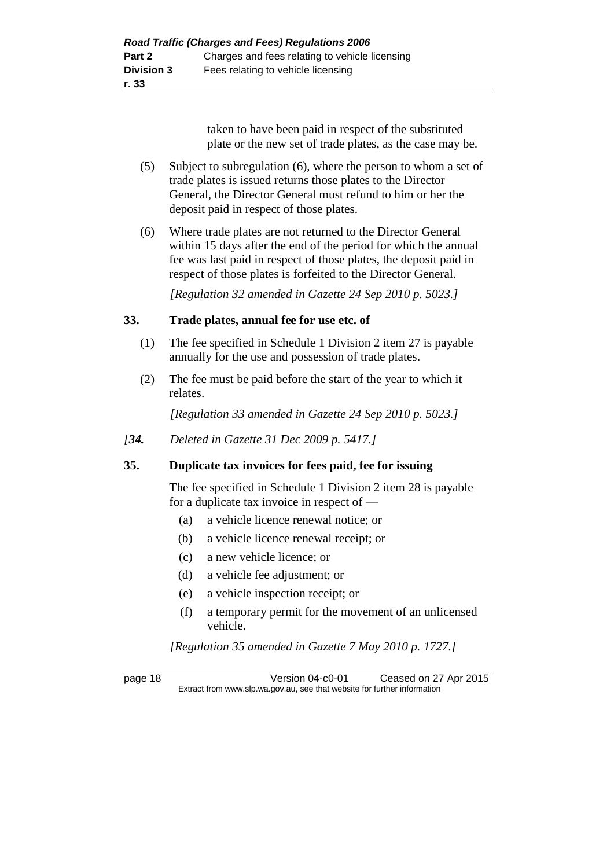taken to have been paid in respect of the substituted plate or the new set of trade plates, as the case may be.

- (5) Subject to subregulation (6), where the person to whom a set of trade plates is issued returns those plates to the Director General, the Director General must refund to him or her the deposit paid in respect of those plates.
- (6) Where trade plates are not returned to the Director General within 15 days after the end of the period for which the annual fee was last paid in respect of those plates, the deposit paid in respect of those plates is forfeited to the Director General.

*[Regulation 32 amended in Gazette 24 Sep 2010 p. 5023.]*

## **33. Trade plates, annual fee for use etc. of**

- (1) The fee specified in Schedule 1 Division 2 item 27 is payable annually for the use and possession of trade plates.
- (2) The fee must be paid before the start of the year to which it relates.

*[Regulation 33 amended in Gazette 24 Sep 2010 p. 5023.]*

*[34. Deleted in Gazette 31 Dec 2009 p. 5417.]*

#### **35. Duplicate tax invoices for fees paid, fee for issuing**

The fee specified in Schedule 1 Division 2 item 28 is payable for a duplicate tax invoice in respect of —

- (a) a vehicle licence renewal notice; or
- (b) a vehicle licence renewal receipt; or
- (c) a new vehicle licence; or
- (d) a vehicle fee adjustment; or
- (e) a vehicle inspection receipt; or
- (f) a temporary permit for the movement of an unlicensed vehicle.

*[Regulation 35 amended in Gazette 7 May 2010 p. 1727.]*

page 18 Version 04-c0-01 Ceased on 27 Apr 2015 Extract from www.slp.wa.gov.au, see that website for further information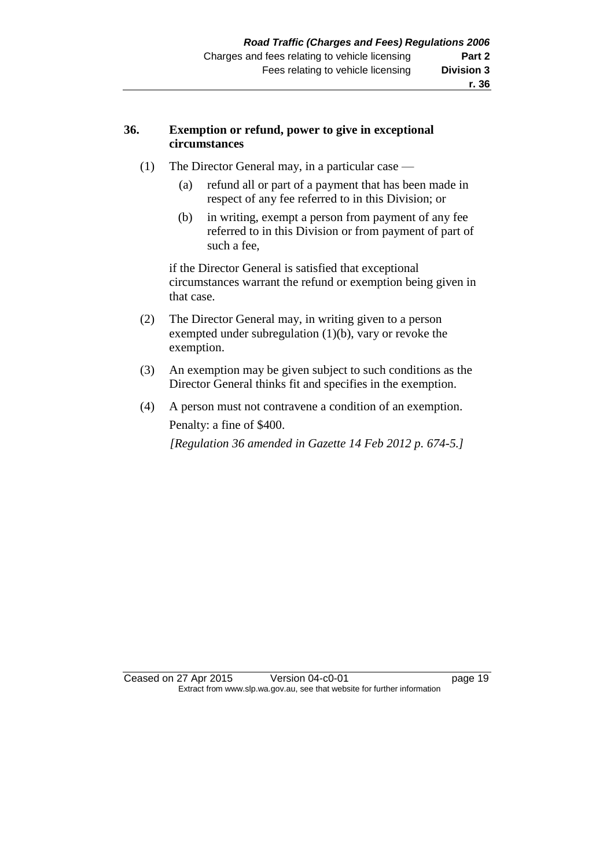## **r. 36**

## **36. Exemption or refund, power to give in exceptional circumstances**

- (1) The Director General may, in a particular case
	- (a) refund all or part of a payment that has been made in respect of any fee referred to in this Division; or
	- (b) in writing, exempt a person from payment of any fee referred to in this Division or from payment of part of such a fee,

if the Director General is satisfied that exceptional circumstances warrant the refund or exemption being given in that case.

- (2) The Director General may, in writing given to a person exempted under subregulation (1)(b), vary or revoke the exemption.
- (3) An exemption may be given subject to such conditions as the Director General thinks fit and specifies in the exemption.
- (4) A person must not contravene a condition of an exemption. Penalty: a fine of \$400. *[Regulation 36 amended in Gazette 14 Feb 2012 p. 674-5.]*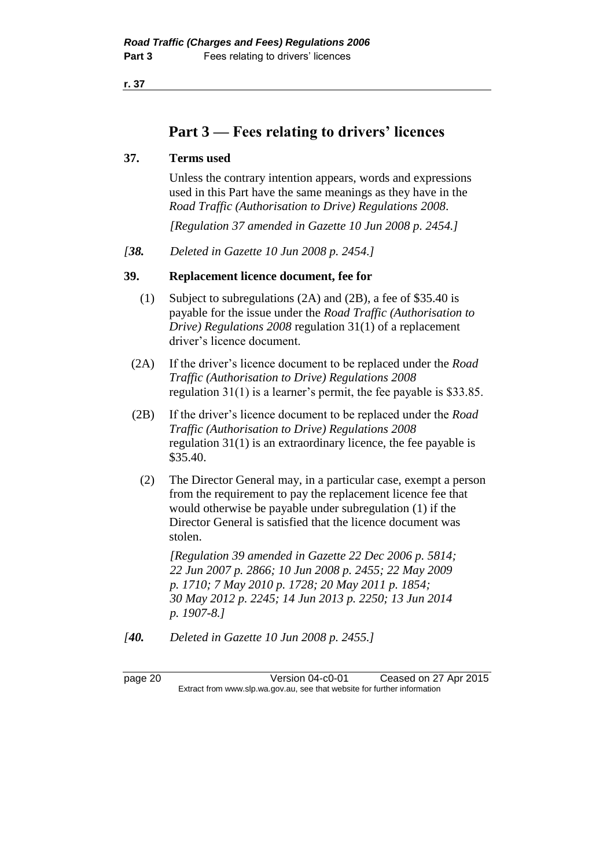**r. 37**

## **Part 3 — Fees relating to drivers' licences**

## **37. Terms used**

Unless the contrary intention appears, words and expressions used in this Part have the same meanings as they have in the *Road Traffic (Authorisation to Drive) Regulations 2008*.

*[Regulation 37 amended in Gazette 10 Jun 2008 p. 2454.]*

*[38. Deleted in Gazette 10 Jun 2008 p. 2454.]*

## **39. Replacement licence document, fee for**

- (1) Subject to subregulations (2A) and (2B), a fee of \$35.40 is payable for the issue under the *Road Traffic (Authorisation to Drive) Regulations 2008* regulation 31(1) of a replacement driver's licence document.
- (2A) If the driver's licence document to be replaced under the *Road Traffic (Authorisation to Drive) Regulations 2008* regulation 31(1) is a learner's permit, the fee payable is \$33.85.
- (2B) If the driver's licence document to be replaced under the *Road Traffic (Authorisation to Drive) Regulations 2008* regulation 31(1) is an extraordinary licence, the fee payable is \$35.40.
	- (2) The Director General may, in a particular case, exempt a person from the requirement to pay the replacement licence fee that would otherwise be payable under subregulation (1) if the Director General is satisfied that the licence document was stolen.

*[Regulation 39 amended in Gazette 22 Dec 2006 p. 5814; 22 Jun 2007 p. 2866; 10 Jun 2008 p. 2455; 22 May 2009 p. 1710; 7 May 2010 p. 1728; 20 May 2011 p. 1854; 30 May 2012 p. 2245; 14 Jun 2013 p. 2250; 13 Jun 2014 p. 1907-8.]*

*[40. Deleted in Gazette 10 Jun 2008 p. 2455.]*

page 20 Version 04-c0-01 Ceased on 27 Apr 2015 Extract from www.slp.wa.gov.au, see that website for further information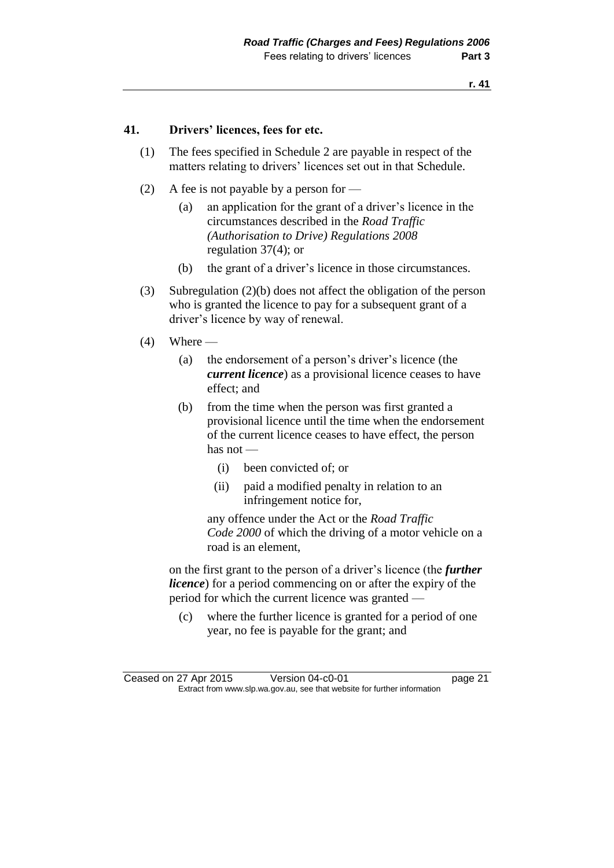## **41. Drivers' licences, fees for etc.**

- (1) The fees specified in Schedule 2 are payable in respect of the matters relating to drivers' licences set out in that Schedule.
- (2) A fee is not payable by a person for
	- (a) an application for the grant of a driver's licence in the circumstances described in the *Road Traffic (Authorisation to Drive) Regulations 2008* regulation 37(4); or
	- (b) the grant of a driver's licence in those circumstances.
- (3) Subregulation (2)(b) does not affect the obligation of the person who is granted the licence to pay for a subsequent grant of a driver's licence by way of renewal.
- $(4)$  Where
	- (a) the endorsement of a person's driver's licence (the *current licence*) as a provisional licence ceases to have effect; and
	- (b) from the time when the person was first granted a provisional licence until the time when the endorsement of the current licence ceases to have effect, the person has not —
		- (i) been convicted of; or
		- (ii) paid a modified penalty in relation to an infringement notice for,

any offence under the Act or the *Road Traffic Code 2000* of which the driving of a motor vehicle on a road is an element,

on the first grant to the person of a driver's licence (the *further licence*) for a period commencing on or after the expiry of the period for which the current licence was granted —

(c) where the further licence is granted for a period of one year, no fee is payable for the grant; and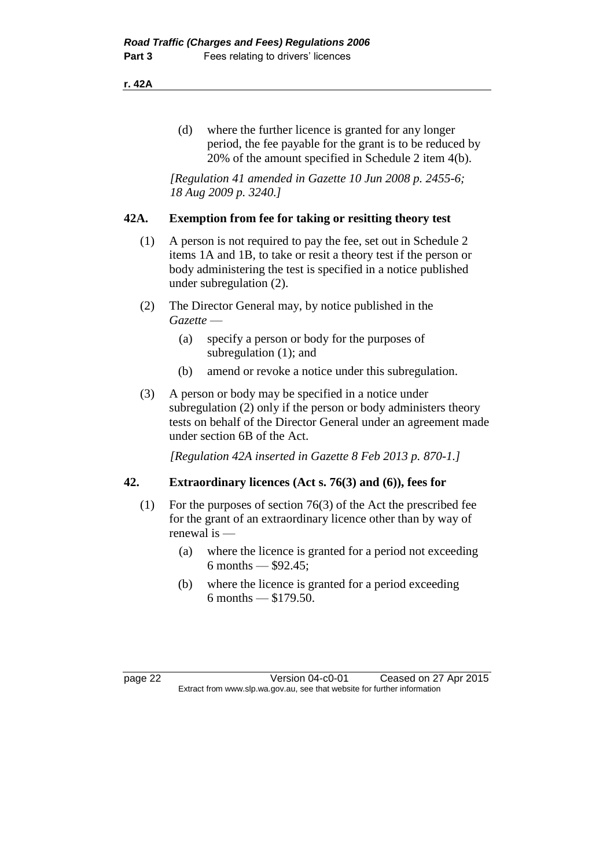#### **r. 42A**

(d) where the further licence is granted for any longer period, the fee payable for the grant is to be reduced by 20% of the amount specified in Schedule 2 item 4(b).

*[Regulation 41 amended in Gazette 10 Jun 2008 p. 2455-6; 18 Aug 2009 p. 3240.]*

#### **42A. Exemption from fee for taking or resitting theory test**

- (1) A person is not required to pay the fee, set out in Schedule 2 items 1A and 1B, to take or resit a theory test if the person or body administering the test is specified in a notice published under subregulation (2).
- (2) The Director General may, by notice published in the *Gazette* —
	- (a) specify a person or body for the purposes of subregulation (1); and
	- (b) amend or revoke a notice under this subregulation.
- (3) A person or body may be specified in a notice under subregulation (2) only if the person or body administers theory tests on behalf of the Director General under an agreement made under section 6B of the Act.

*[Regulation 42A inserted in Gazette 8 Feb 2013 p. 870-1.]*

## **42. Extraordinary licences (Act s. 76(3) and (6)), fees for**

- (1) For the purposes of section 76(3) of the Act the prescribed fee for the grant of an extraordinary licence other than by way of renewal is —
	- (a) where the licence is granted for a period not exceeding 6 months —  $$92.45$ ;
	- (b) where the licence is granted for a period exceeding 6 months — \$179.50.

page 22 Version 04-c0-01 Ceased on 27 Apr 2015 Extract from www.slp.wa.gov.au, see that website for further information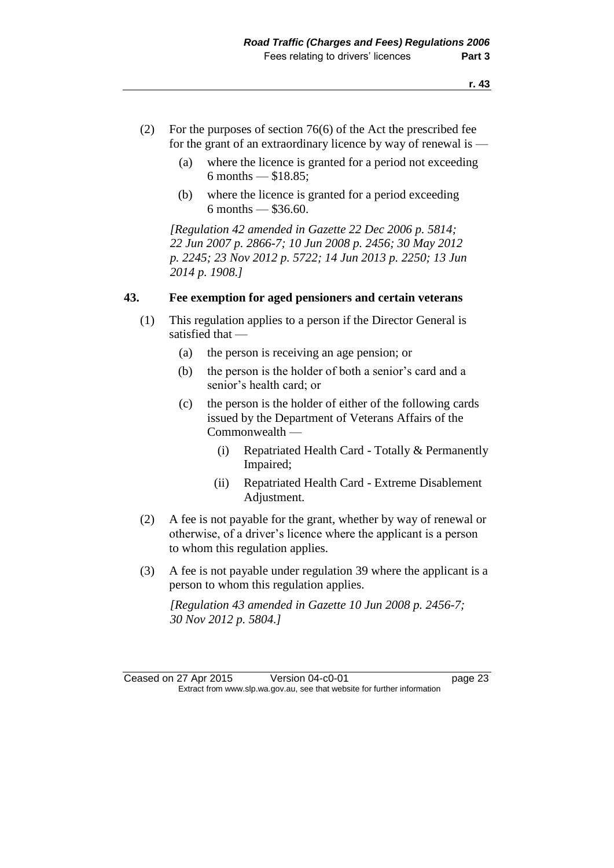- (2) For the purposes of section 76(6) of the Act the prescribed fee for the grant of an extraordinary licence by way of renewal is —
	- (a) where the licence is granted for a period not exceeding 6 months — \$18.85;
	- (b) where the licence is granted for a period exceeding 6 months — \$36.60.

*[Regulation 42 amended in Gazette 22 Dec 2006 p. 5814; 22 Jun 2007 p. 2866-7; 10 Jun 2008 p. 2456; 30 May 2012 p. 2245; 23 Nov 2012 p. 5722; 14 Jun 2013 p. 2250; 13 Jun 2014 p. 1908.]*

#### **43. Fee exemption for aged pensioners and certain veterans**

- (1) This regulation applies to a person if the Director General is satisfied that —
	- (a) the person is receiving an age pension; or
	- (b) the person is the holder of both a senior's card and a senior's health card; or
	- (c) the person is the holder of either of the following cards issued by the Department of Veterans Affairs of the Commonwealth —
		- (i) Repatriated Health Card Totally & Permanently Impaired;
		- (ii) Repatriated Health Card Extreme Disablement Adjustment.
- (2) A fee is not payable for the grant, whether by way of renewal or otherwise, of a driver's licence where the applicant is a person to whom this regulation applies.
- (3) A fee is not payable under regulation 39 where the applicant is a person to whom this regulation applies.

*[Regulation 43 amended in Gazette 10 Jun 2008 p. 2456-7; 30 Nov 2012 p. 5804.]*

Ceased on 27 Apr 2015 Version 04-c0-01 page 23 Extract from www.slp.wa.gov.au, see that website for further information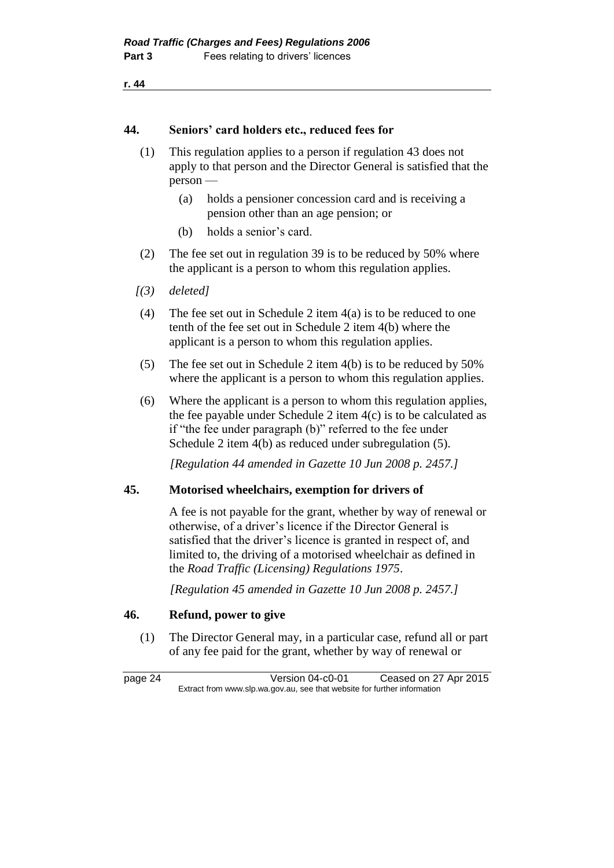```
r. 44
```
## **44. Seniors' card holders etc., reduced fees for**

- (1) This regulation applies to a person if regulation 43 does not apply to that person and the Director General is satisfied that the person —
	- (a) holds a pensioner concession card and is receiving a pension other than an age pension; or
	- (b) holds a senior's card.
- (2) The fee set out in regulation 39 is to be reduced by 50% where the applicant is a person to whom this regulation applies.
- *[(3) deleted]*
- (4) The fee set out in Schedule 2 item 4(a) is to be reduced to one tenth of the fee set out in Schedule 2 item 4(b) where the applicant is a person to whom this regulation applies.
- (5) The fee set out in Schedule 2 item 4(b) is to be reduced by 50% where the applicant is a person to whom this regulation applies.
- (6) Where the applicant is a person to whom this regulation applies, the fee payable under Schedule 2 item  $4(c)$  is to be calculated as if "the fee under paragraph (b)" referred to the fee under Schedule 2 item 4(b) as reduced under subregulation (5).

*[Regulation 44 amended in Gazette 10 Jun 2008 p. 2457.]*

#### **45. Motorised wheelchairs, exemption for drivers of**

A fee is not payable for the grant, whether by way of renewal or otherwise, of a driver's licence if the Director General is satisfied that the driver's licence is granted in respect of, and limited to, the driving of a motorised wheelchair as defined in the *Road Traffic (Licensing) Regulations 1975*.

*[Regulation 45 amended in Gazette 10 Jun 2008 p. 2457.]*

## **46. Refund, power to give**

(1) The Director General may, in a particular case, refund all or part of any fee paid for the grant, whether by way of renewal or

page 24 Version 04-c0-01 Ceased on 27 Apr 2015 Extract from www.slp.wa.gov.au, see that website for further information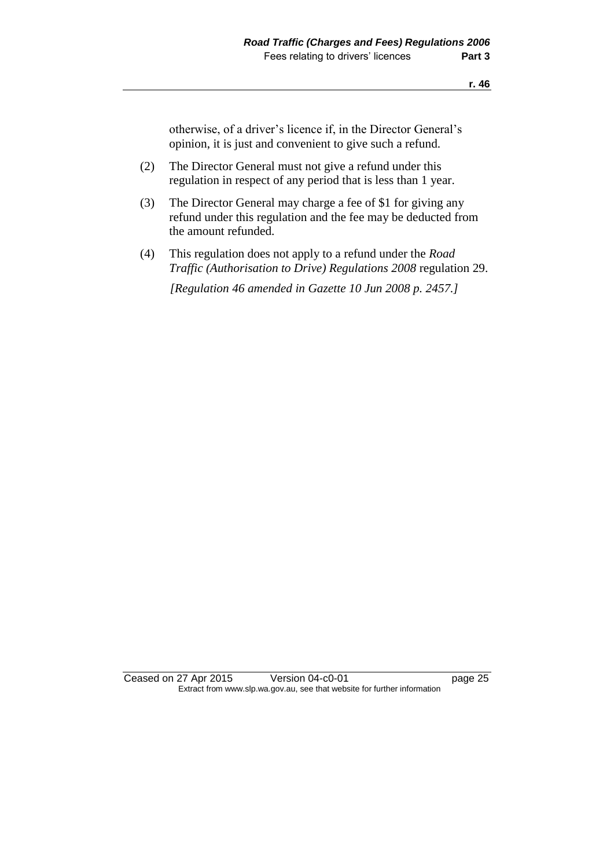otherwise, of a driver's licence if, in the Director General's opinion, it is just and convenient to give such a refund.

- (2) The Director General must not give a refund under this regulation in respect of any period that is less than 1 year.
- (3) The Director General may charge a fee of \$1 for giving any refund under this regulation and the fee may be deducted from the amount refunded.
- (4) This regulation does not apply to a refund under the *Road Traffic (Authorisation to Drive) Regulations 2008* regulation 29.

*[Regulation 46 amended in Gazette 10 Jun 2008 p. 2457.]*

Ceased on 27 Apr 2015 Version 04-c0-01 page 25 Extract from www.slp.wa.gov.au, see that website for further information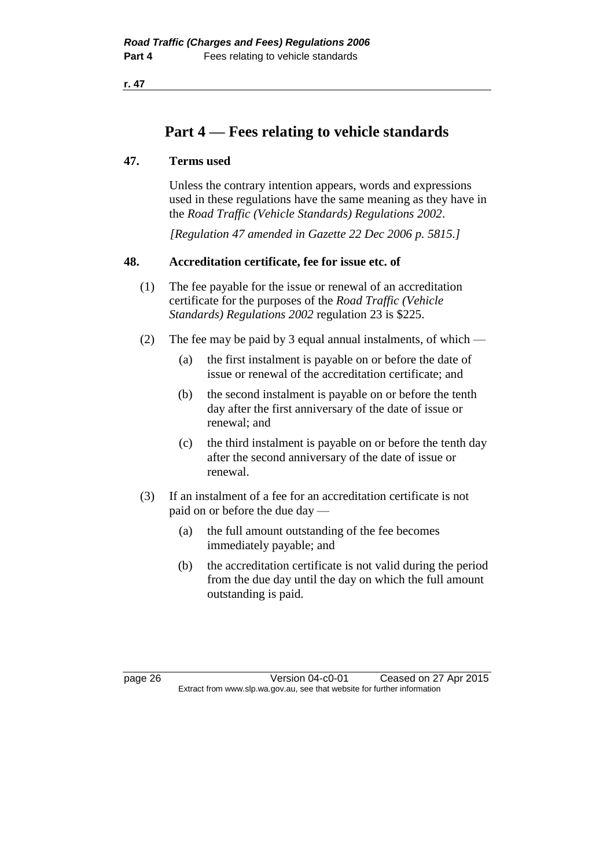**r. 47**

## **Part 4 — Fees relating to vehicle standards**

## **47. Terms used**

Unless the contrary intention appears, words and expressions used in these regulations have the same meaning as they have in the *Road Traffic (Vehicle Standards) Regulations 2002*.

*[Regulation 47 amended in Gazette 22 Dec 2006 p. 5815.]*

## **48. Accreditation certificate, fee for issue etc. of**

- (1) The fee payable for the issue or renewal of an accreditation certificate for the purposes of the *Road Traffic (Vehicle Standards) Regulations 2002* regulation 23 is \$225.
- (2) The fee may be paid by 3 equal annual instalments, of which
	- (a) the first instalment is payable on or before the date of issue or renewal of the accreditation certificate; and
	- (b) the second instalment is payable on or before the tenth day after the first anniversary of the date of issue or renewal; and
	- (c) the third instalment is payable on or before the tenth day after the second anniversary of the date of issue or renewal.
- (3) If an instalment of a fee for an accreditation certificate is not paid on or before the due day —
	- (a) the full amount outstanding of the fee becomes immediately payable; and
	- (b) the accreditation certificate is not valid during the period from the due day until the day on which the full amount outstanding is paid.

page 26 Version 04-c0-01 Ceased on 27 Apr 2015 Extract from www.slp.wa.gov.au, see that website for further information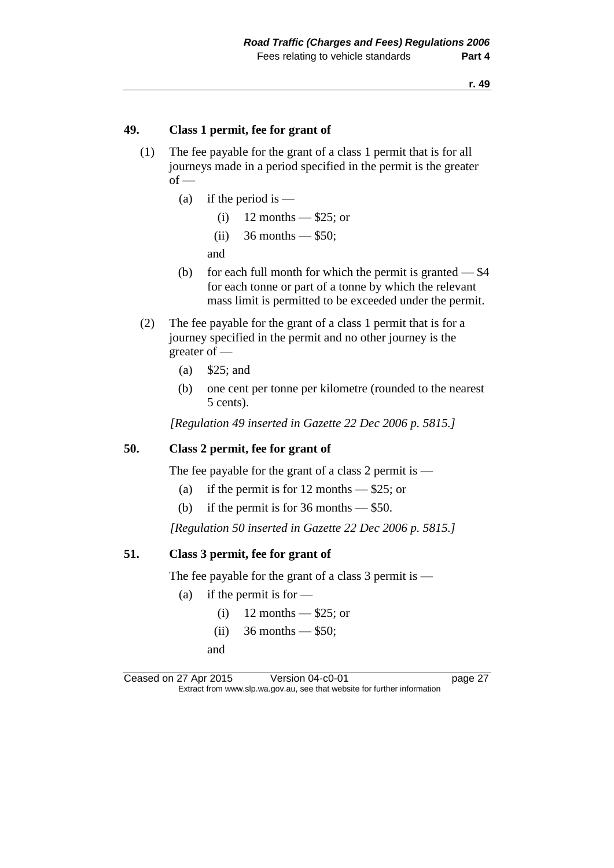## **49. Class 1 permit, fee for grant of**

- (1) The fee payable for the grant of a class 1 permit that is for all journeys made in a period specified in the permit is the greater  $of -$ 
	- (a) if the period is  $-$ 
		- $(i)$  12 months \$25; or
		- (ii)  $36$  months \$50;

and

- (b) for each full month for which the permit is granted  $-$  \$4 for each tonne or part of a tonne by which the relevant mass limit is permitted to be exceeded under the permit.
- (2) The fee payable for the grant of a class 1 permit that is for a journey specified in the permit and no other journey is the greater of —
	- (a) \$25; and
	- (b) one cent per tonne per kilometre (rounded to the nearest 5 cents).

*[Regulation 49 inserted in Gazette 22 Dec 2006 p. 5815.]*

#### **50. Class 2 permit, fee for grant of**

The fee payable for the grant of a class 2 permit is —

- (a) if the permit is for 12 months  $-$  \$25; or
- (b) if the permit is for  $36$  months  $-$  \$50.

*[Regulation 50 inserted in Gazette 22 Dec 2006 p. 5815.]*

#### **51. Class 3 permit, fee for grant of**

The fee payable for the grant of a class  $3$  permit is —

- (a) if the permit is for  $-$ 
	- $(i)$  12 months \$25; or
	- (ii)  $36$  months \$50;
	- and

Ceased on 27 Apr 2015 Version 04-c0-01 page 27 Extract from www.slp.wa.gov.au, see that website for further information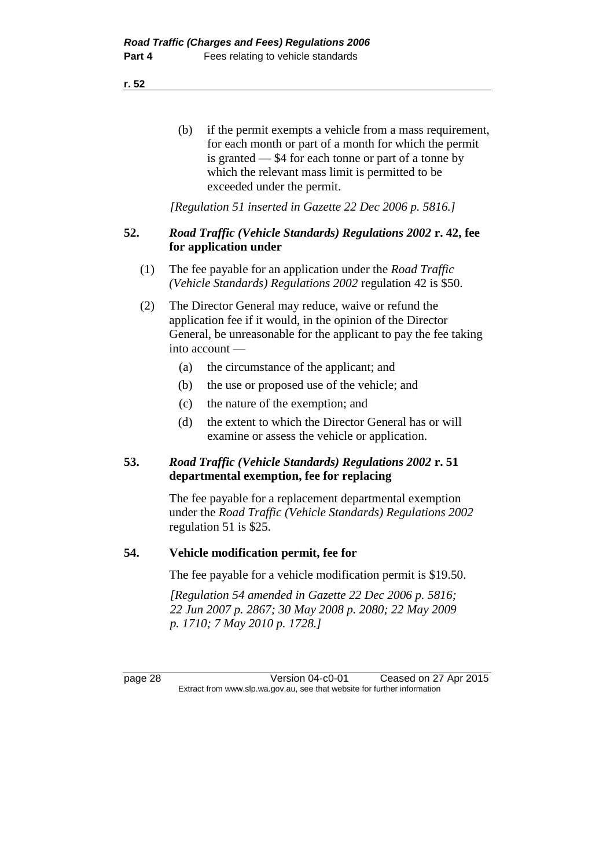**r. 52**

(b) if the permit exempts a vehicle from a mass requirement, for each month or part of a month for which the permit is granted — \$4 for each tonne or part of a tonne by which the relevant mass limit is permitted to be exceeded under the permit.

*[Regulation 51 inserted in Gazette 22 Dec 2006 p. 5816.]*

## **52.** *Road Traffic (Vehicle Standards) Regulations 2002* **r. 42, fee for application under**

- (1) The fee payable for an application under the *Road Traffic (Vehicle Standards) Regulations 2002* regulation 42 is \$50.
- (2) The Director General may reduce, waive or refund the application fee if it would, in the opinion of the Director General, be unreasonable for the applicant to pay the fee taking into account —
	- (a) the circumstance of the applicant; and
	- (b) the use or proposed use of the vehicle; and
	- (c) the nature of the exemption; and
	- (d) the extent to which the Director General has or will examine or assess the vehicle or application.

## **53.** *Road Traffic (Vehicle Standards) Regulations 2002* **r. 51 departmental exemption, fee for replacing**

The fee payable for a replacement departmental exemption under the *Road Traffic (Vehicle Standards) Regulations 2002* regulation 51 is \$25.

## **54. Vehicle modification permit, fee for**

The fee payable for a vehicle modification permit is \$19.50.

*[Regulation 54 amended in Gazette 22 Dec 2006 p. 5816; 22 Jun 2007 p. 2867; 30 May 2008 p. 2080; 22 May 2009 p. 1710; 7 May 2010 p. 1728.]*

page 28 Version 04-c0-01 Ceased on 27 Apr 2015 Extract from www.slp.wa.gov.au, see that website for further information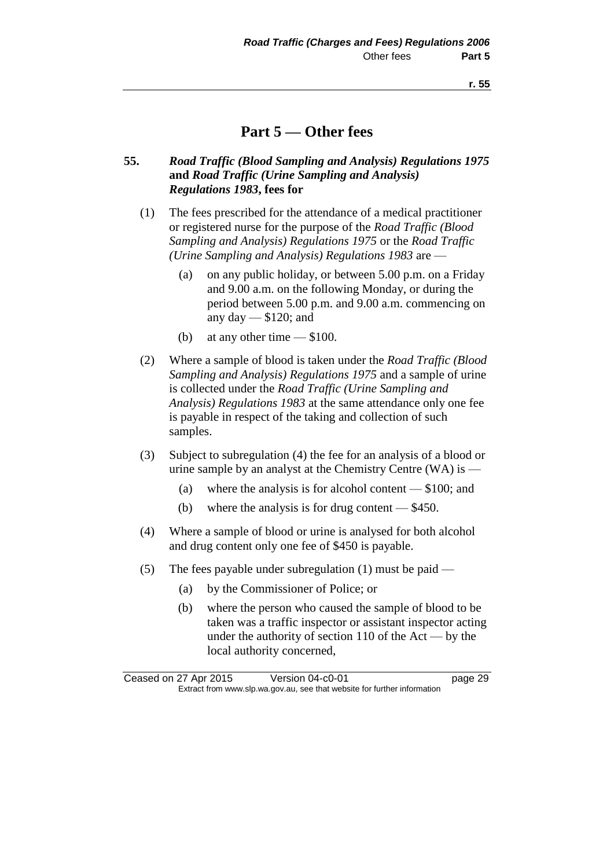## **Part 5 — Other fees**

## **55.** *Road Traffic (Blood Sampling and Analysis) Regulations 1975* **and** *Road Traffic (Urine Sampling and Analysis) Regulations 1983***, fees for**

- (1) The fees prescribed for the attendance of a medical practitioner or registered nurse for the purpose of the *Road Traffic (Blood Sampling and Analysis) Regulations 1975* or the *Road Traffic (Urine Sampling and Analysis) Regulations 1983* are —
	- (a) on any public holiday, or between 5.00 p.m. on a Friday and 9.00 a.m. on the following Monday, or during the period between 5.00 p.m. and 9.00 a.m. commencing on any day  $-$  \$120; and
	- (b) at any other time \$100.
- (2) Where a sample of blood is taken under the *Road Traffic (Blood Sampling and Analysis) Regulations 1975* and a sample of urine is collected under the *Road Traffic (Urine Sampling and Analysis) Regulations 1983* at the same attendance only one fee is payable in respect of the taking and collection of such samples.
- (3) Subject to subregulation (4) the fee for an analysis of a blood or urine sample by an analyst at the Chemistry Centre (WA) is —
	- (a) where the analysis is for alcohol content \$100; and
	- (b) where the analysis is for drug content \$450.
- (4) Where a sample of blood or urine is analysed for both alcohol and drug content only one fee of \$450 is payable.
- (5) The fees payable under subregulation (1) must be paid
	- (a) by the Commissioner of Police; or
	- (b) where the person who caused the sample of blood to be taken was a traffic inspector or assistant inspector acting under the authority of section 110 of the Act — by the local authority concerned,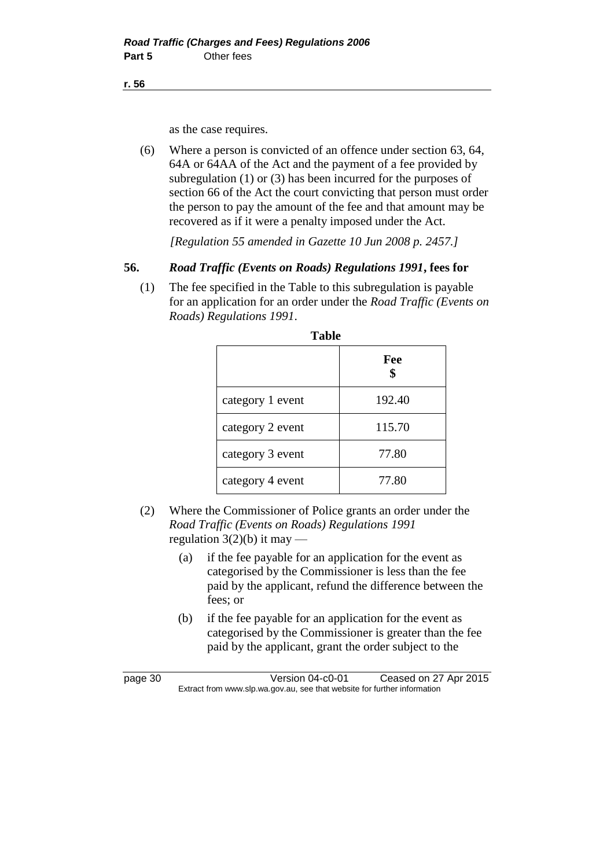**r. 56**

as the case requires.

(6) Where a person is convicted of an offence under section 63, 64, 64A or 64AA of the Act and the payment of a fee provided by subregulation (1) or (3) has been incurred for the purposes of section 66 of the Act the court convicting that person must order the person to pay the amount of the fee and that amount may be recovered as if it were a penalty imposed under the Act.

*[Regulation 55 amended in Gazette 10 Jun 2008 p. 2457.]*

## **56.** *Road Traffic (Events on Roads) Regulations 1991***, fees for**

(1) The fee specified in the Table to this subregulation is payable for an application for an order under the *Road Traffic (Events on Roads) Regulations 1991*.

|                  | Fee<br>\$ |  |
|------------------|-----------|--|
| category 1 event | 192.40    |  |
| category 2 event | 115.70    |  |
| category 3 event | 77.80     |  |
| category 4 event | 77.80     |  |

- (2) Where the Commissioner of Police grants an order under the *Road Traffic (Events on Roads) Regulations 1991* regulation  $3(2)(b)$  it may —
	- (a) if the fee payable for an application for the event as categorised by the Commissioner is less than the fee paid by the applicant, refund the difference between the fees; or
	- (b) if the fee payable for an application for the event as categorised by the Commissioner is greater than the fee paid by the applicant, grant the order subject to the

page 30 Version 04-c0-01 Ceased on 27 Apr 2015 Extract from www.slp.wa.gov.au, see that website for further information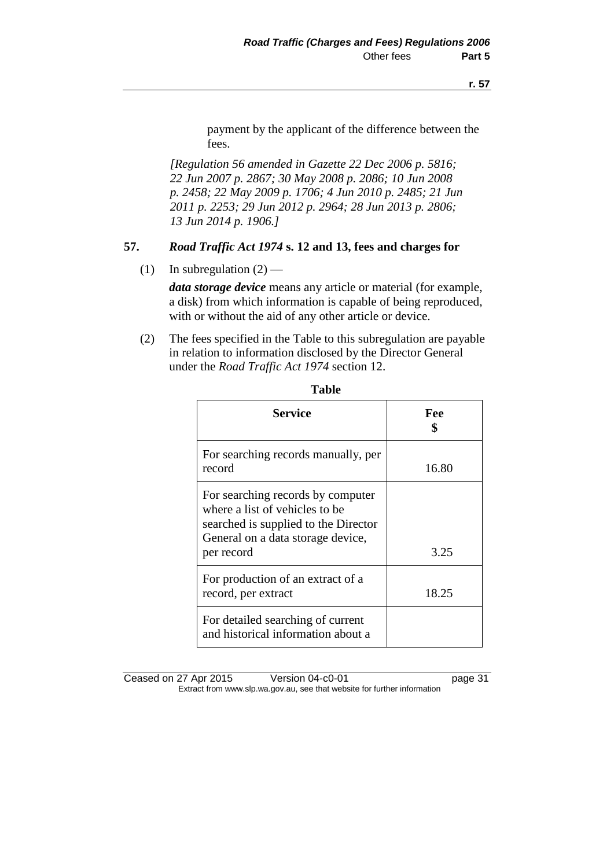payment by the applicant of the difference between the fees.

*[Regulation 56 amended in Gazette 22 Dec 2006 p. 5816; 22 Jun 2007 p. 2867; 30 May 2008 p. 2086; 10 Jun 2008 p. 2458; 22 May 2009 p. 1706; 4 Jun 2010 p. 2485; 21 Jun 2011 p. 2253; 29 Jun 2012 p. 2964; 28 Jun 2013 p. 2806; 13 Jun 2014 p. 1906.]*

## **57.** *Road Traffic Act 1974* **s. 12 and 13, fees and charges for**

(1) In subregulation  $(2)$  —

*data storage device* means any article or material (for example, a disk) from which information is capable of being reproduced, with or without the aid of any other article or device.

(2) The fees specified in the Table to this subregulation are payable in relation to information disclosed by the Director General under the *Road Traffic Act 1974* section 12.

| <b>Service</b>                                                                                                                                                 | Fee   |
|----------------------------------------------------------------------------------------------------------------------------------------------------------------|-------|
| For searching records manually, per<br>record                                                                                                                  | 16.80 |
| For searching records by computer<br>where a list of vehicles to be<br>searched is supplied to the Director<br>General on a data storage device,<br>per record | 3.25  |
| For production of an extract of a<br>record, per extract                                                                                                       | 18.25 |
| For detailed searching of current<br>and historical information about a                                                                                        |       |

| ۰. | ×<br>۰,<br>I | ×<br>۰, |
|----|--------------|---------|
|    |              |         |

Ceased on 27 Apr 2015 Version 04-c0-01 page 31 Extract from www.slp.wa.gov.au, see that website for further information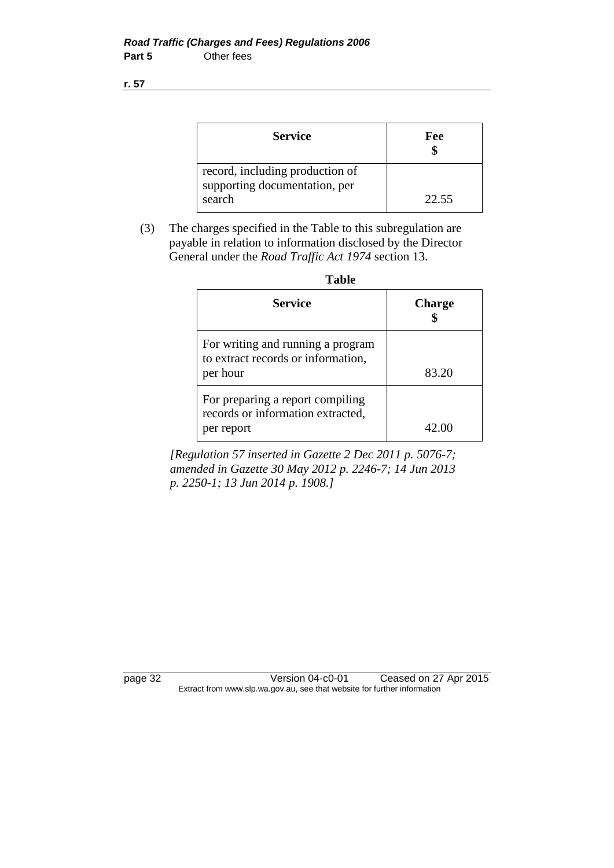**r. 57**

| <b>Service</b>                                                             | Fee   |
|----------------------------------------------------------------------------|-------|
| record, including production of<br>supporting documentation, per<br>search | 22.55 |

(3) The charges specified in the Table to this subregulation are payable in relation to information disclosed by the Director General under the *Road Traffic Act 1974* section 13.

| <b>Service</b>                                                                      | <b>Charge</b> |
|-------------------------------------------------------------------------------------|---------------|
| For writing and running a program<br>to extract records or information,<br>per hour | 83.20         |
| For preparing a report compiling<br>records or information extracted,<br>per report | 42.00         |

*[Regulation 57 inserted in Gazette 2 Dec 2011 p. 5076-7; amended in Gazette 30 May 2012 p. 2246-7; 14 Jun 2013 p. 2250-1; 13 Jun 2014 p. 1908.]*

page 32 Version 04-c0-01 Ceased on 27 Apr 2015 Extract from www.slp.wa.gov.au, see that website for further information

| v<br>×<br>۰,<br>×<br>۰.<br>۰. |
|-------------------------------|
|-------------------------------|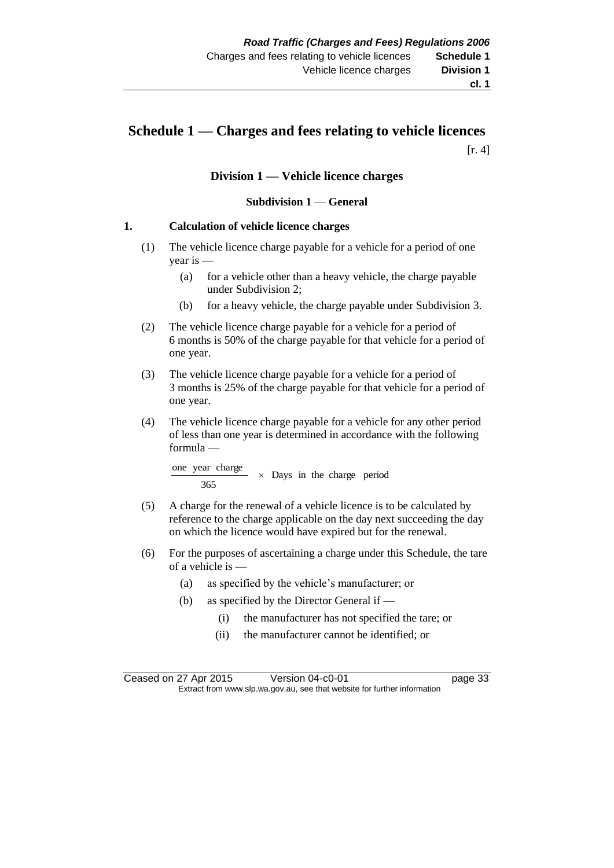## **Schedule 1 — Charges and fees relating to vehicle licences**  $[r. 4]$

#### **Division 1 — Vehicle licence charges**

#### **Subdivision 1** — **General**

#### **1. Calculation of vehicle licence charges**

- (1) The vehicle licence charge payable for a vehicle for a period of one year is —
	- (a) for a vehicle other than a heavy vehicle, the charge payable under Subdivision 2;
	- (b) for a heavy vehicle, the charge payable under Subdivision 3.
- (2) The vehicle licence charge payable for a vehicle for a period of 6 months is 50% of the charge payable for that vehicle for a period of one year.
- (3) The vehicle licence charge payable for a vehicle for a period of 3 months is 25% of the charge payable for that vehicle for a period of one year.
- (4) The vehicle licence charge payable for a vehicle for any other period of less than one year is determined in accordance with the following formula —

Days in the charge period 365 one year charge

- (5) A charge for the renewal of a vehicle licence is to be calculated by reference to the charge applicable on the day next succeeding the day on which the licence would have expired but for the renewal.
- (6) For the purposes of ascertaining a charge under this Schedule, the tare of a vehicle is —
	- (a) as specified by the vehicle's manufacturer; or
	- (b) as specified by the Director General if
		- (i) the manufacturer has not specified the tare; or
		- (ii) the manufacturer cannot be identified; or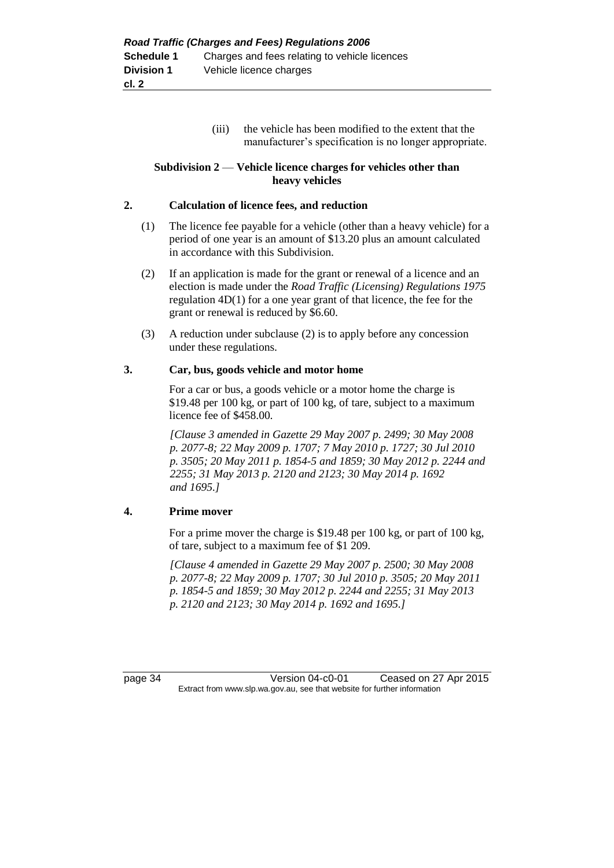(iii) the vehicle has been modified to the extent that the manufacturer's specification is no longer appropriate.

#### **Subdivision 2** — **Vehicle licence charges for vehicles other than heavy vehicles**

#### **2. Calculation of licence fees, and reduction**

- (1) The licence fee payable for a vehicle (other than a heavy vehicle) for a period of one year is an amount of \$13.20 plus an amount calculated in accordance with this Subdivision.
- (2) If an application is made for the grant or renewal of a licence and an election is made under the *Road Traffic (Licensing) Regulations 1975* regulation 4D(1) for a one year grant of that licence, the fee for the grant or renewal is reduced by \$6.60.
- (3) A reduction under subclause (2) is to apply before any concession under these regulations.

#### **3. Car, bus, goods vehicle and motor home**

For a car or bus, a goods vehicle or a motor home the charge is \$19.48 per 100 kg, or part of 100 kg, of tare, subject to a maximum licence fee of \$458.00.

*[Clause 3 amended in Gazette 29 May 2007 p. 2499; 30 May 2008 p. 2077-8; 22 May 2009 p. 1707; 7 May 2010 p. 1727; 30 Jul 2010 p. 3505; 20 May 2011 p. 1854-5 and 1859; 30 May 2012 p. 2244 and 2255; 31 May 2013 p. 2120 and 2123; 30 May 2014 p. 1692 and 1695.]*

#### **4. Prime mover**

For a prime mover the charge is \$19.48 per 100 kg, or part of 100 kg, of tare, subject to a maximum fee of \$1 209.

*[Clause 4 amended in Gazette 29 May 2007 p. 2500; 30 May 2008 p. 2077-8; 22 May 2009 p. 1707; 30 Jul 2010 p. 3505; 20 May 2011 p. 1854-5 and 1859; 30 May 2012 p. 2244 and 2255; 31 May 2013 p. 2120 and 2123; 30 May 2014 p. 1692 and 1695.]*

page 34 Version 04-c0-01 Ceased on 27 Apr 2015 Extract from www.slp.wa.gov.au, see that website for further information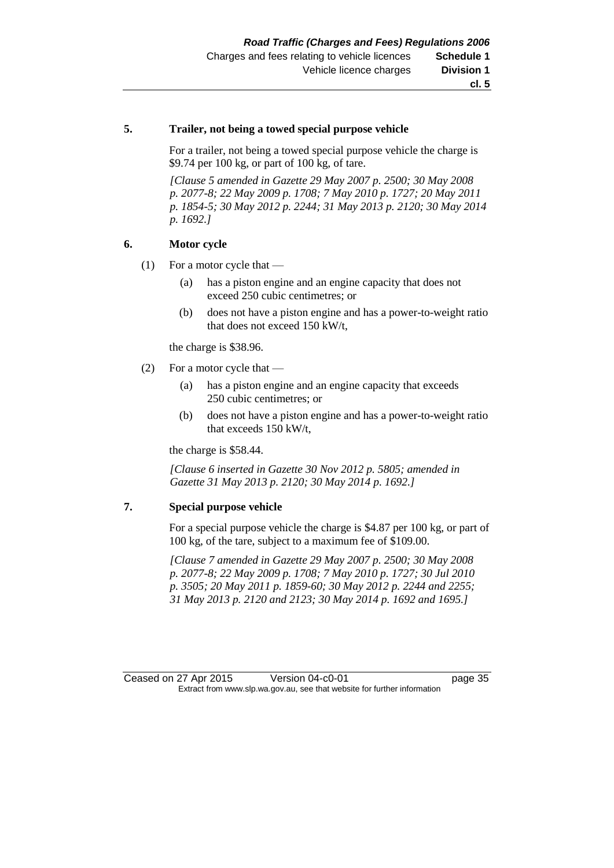#### **5. Trailer, not being a towed special purpose vehicle**

For a trailer, not being a towed special purpose vehicle the charge is \$9.74 per 100 kg, or part of 100 kg, of tare.

*[Clause 5 amended in Gazette 29 May 2007 p. 2500; 30 May 2008 p. 2077-8; 22 May 2009 p. 1708; 7 May 2010 p. 1727; 20 May 2011 p. 1854-5; 30 May 2012 p. 2244; 31 May 2013 p. 2120; 30 May 2014 p. 1692.]*

#### **6. Motor cycle**

- (1) For a motor cycle that
	- (a) has a piston engine and an engine capacity that does not exceed 250 cubic centimetres; or
	- (b) does not have a piston engine and has a power-to-weight ratio that does not exceed 150 kW/t,

the charge is \$38.96.

- (2) For a motor cycle that
	- (a) has a piston engine and an engine capacity that exceeds 250 cubic centimetres; or
	- (b) does not have a piston engine and has a power-to-weight ratio that exceeds 150 kW/t,

the charge is \$58.44.

*[Clause 6 inserted in Gazette 30 Nov 2012 p. 5805; amended in Gazette 31 May 2013 p. 2120; 30 May 2014 p. 1692.]*

#### **7. Special purpose vehicle**

For a special purpose vehicle the charge is \$4.87 per 100 kg, or part of 100 kg, of the tare, subject to a maximum fee of \$109.00.

*[Clause 7 amended in Gazette 29 May 2007 p. 2500; 30 May 2008 p. 2077-8; 22 May 2009 p. 1708; 7 May 2010 p. 1727; 30 Jul 2010 p. 3505; 20 May 2011 p. 1859-60; 30 May 2012 p. 2244 and 2255; 31 May 2013 p. 2120 and 2123; 30 May 2014 p. 1692 and 1695.]*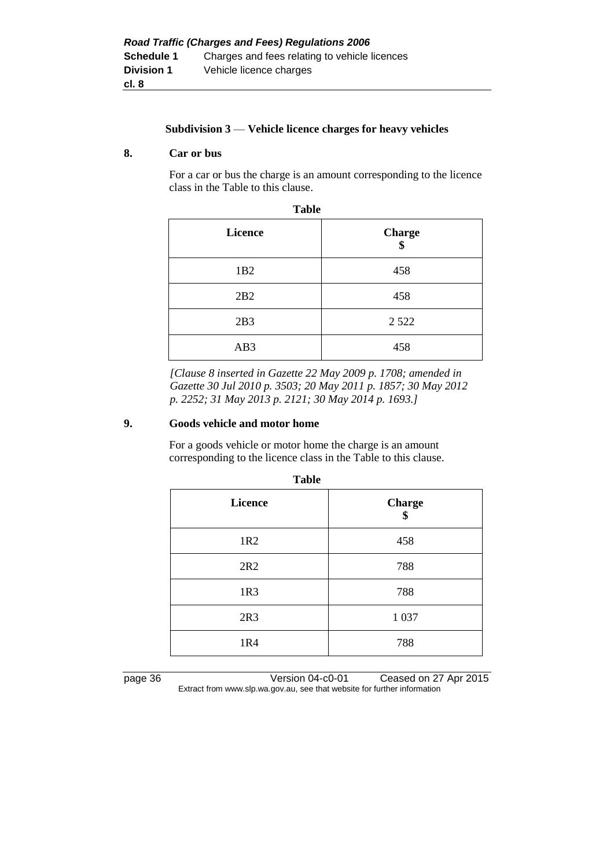#### **Subdivision 3** — **Vehicle licence charges for heavy vehicles**

#### **8. Car or bus**

For a car or bus the charge is an amount corresponding to the licence class in the Table to this clause.

| <b>Table</b>    |                     |  |
|-----------------|---------------------|--|
| <b>Licence</b>  | <b>Charge</b><br>\$ |  |
| 1B <sub>2</sub> | 458                 |  |
| 2B2             | 458                 |  |
| 2B3             | 2 5 2 2             |  |
| AB3             | 458                 |  |

*[Clause 8 inserted in Gazette 22 May 2009 p. 1708; amended in Gazette 30 Jul 2010 p. 3503; 20 May 2011 p. 1857; 30 May 2012 p. 2252; 31 May 2013 p. 2121; 30 May 2014 p. 1693.]*

#### **9. Goods vehicle and motor home**

For a goods vehicle or motor home the charge is an amount corresponding to the licence class in the Table to this clause.

| <b>Licence</b>  | <b>Charge</b><br>\$ |
|-----------------|---------------------|
| 1R <sub>2</sub> | 458                 |
| 2R2             | 788                 |
| 1R3             | 788                 |
| 2R3             | 1 0 3 7             |
| 1R4             | 788                 |

**Table**

page 36 Version 04-c0-01 Ceased on 27 Apr 2015 Extract from www.slp.wa.gov.au, see that website for further information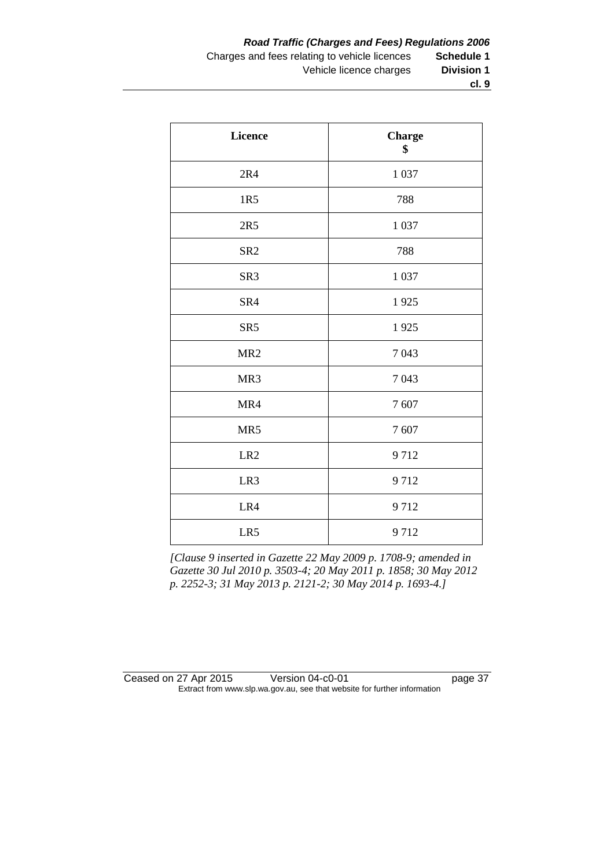| <b>Licence</b>  | <b>Charge</b><br>\$ |
|-----------------|---------------------|
| 2R4             | 1 0 3 7             |
| 1R5             | 788                 |
| 2R5             | 1 0 3 7             |
| SR <sub>2</sub> | 788                 |
| SR <sub>3</sub> | 1 0 3 7             |
| SR4             | 1925                |
| SR <sub>5</sub> | 1925                |
| MR <sub>2</sub> | 7043                |
| MR3             | 7043                |
| MR4             | 7607                |
| MR5             | 7607                |
| LR <sub>2</sub> | 9712                |
| LR3             | 9712                |
| LR4             | 9712                |
| LR5             | 9712                |

*[Clause 9 inserted in Gazette 22 May 2009 p. 1708-9; amended in Gazette 30 Jul 2010 p. 3503-4; 20 May 2011 p. 1858; 30 May 2012 p. 2252-3; 31 May 2013 p. 2121-2; 30 May 2014 p. 1693-4.]*

| Ceased on 27 Apr 2015 | Version 04-c0-01                                                         | page 37 |
|-----------------------|--------------------------------------------------------------------------|---------|
|                       | Extract from www.slp.wa.gov.au, see that website for further information |         |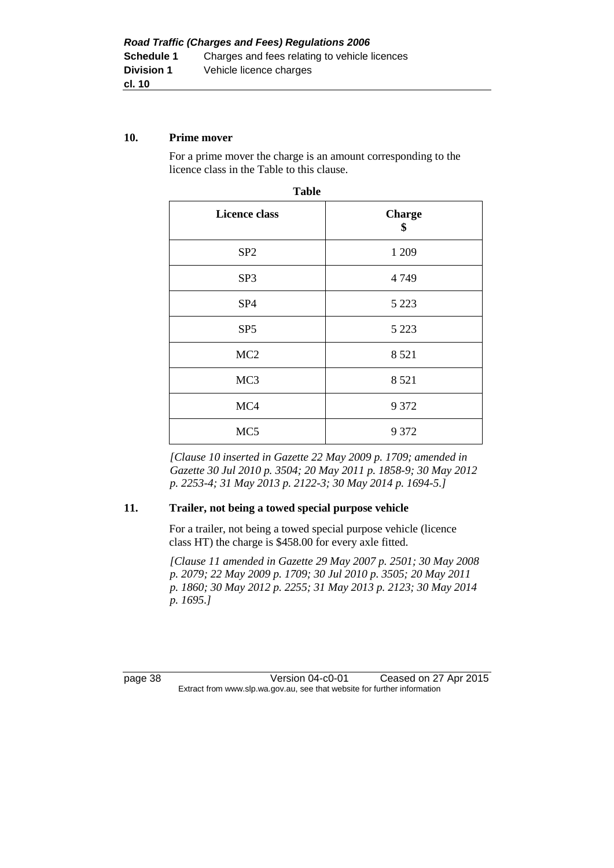#### **10. Prime mover**

For a prime mover the charge is an amount corresponding to the licence class in the Table to this clause.

| <b>Licence class</b> | <b>Charge</b><br>\$ |
|----------------------|---------------------|
| SP <sub>2</sub>      | 1 209               |
| SP <sub>3</sub>      | 4749                |
| SP <sub>4</sub>      | 5 2 2 3             |
| SP <sub>5</sub>      | 5 2 2 3             |
| MC <sub>2</sub>      | 8521                |
| MC <sub>3</sub>      | 8521                |
| MC4                  | 9 3 7 2             |
| MC <sub>5</sub>      | 9 3 7 2             |

| v<br>. .<br>v<br>×<br>۰. |
|--------------------------|
|--------------------------|

*[Clause 10 inserted in Gazette 22 May 2009 p. 1709; amended in Gazette 30 Jul 2010 p. 3504; 20 May 2011 p. 1858-9; 30 May 2012 p. 2253-4; 31 May 2013 p. 2122-3; 30 May 2014 p. 1694-5.]*

#### **11. Trailer, not being a towed special purpose vehicle**

For a trailer, not being a towed special purpose vehicle (licence class HT) the charge is \$458.00 for every axle fitted.

*[Clause 11 amended in Gazette 29 May 2007 p. 2501; 30 May 2008 p. 2079; 22 May 2009 p. 1709; 30 Jul 2010 p. 3505; 20 May 2011 p. 1860; 30 May 2012 p. 2255; 31 May 2013 p. 2123; 30 May 2014 p. 1695.]*

page 38 Version 04-c0-01 Ceased on 27 Apr 2015 Extract from www.slp.wa.gov.au, see that website for further information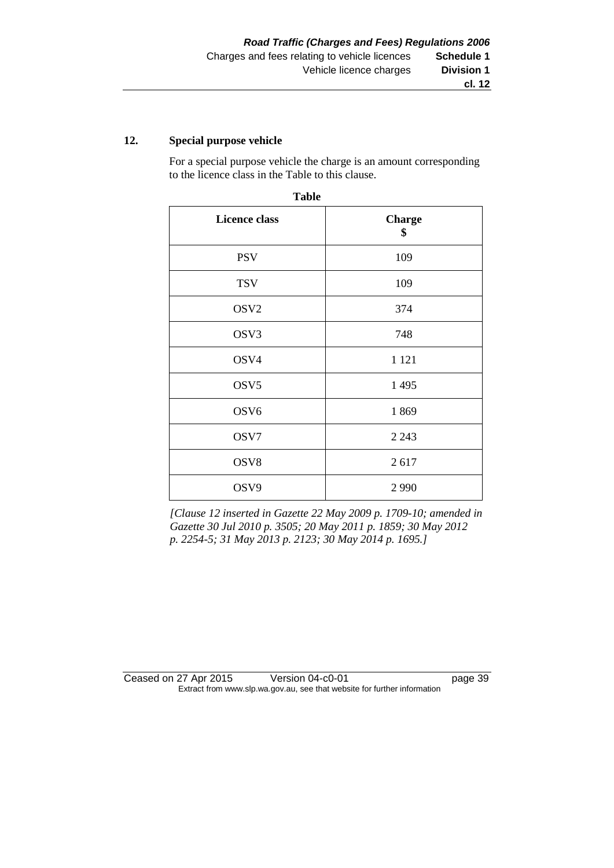#### **12. Special purpose vehicle**

For a special purpose vehicle the charge is an amount corresponding to the licence class in the Table to this clause.

| <b>Table</b>         |                     |  |  |
|----------------------|---------------------|--|--|
| <b>Licence class</b> | <b>Charge</b><br>\$ |  |  |
| <b>PSV</b>           | 109                 |  |  |
| <b>TSV</b>           | 109                 |  |  |
| OSV <sub>2</sub>     | 374                 |  |  |
| OSV3                 | 748                 |  |  |
| OSV4                 | 1 1 2 1             |  |  |
| OSV <sub>5</sub>     | 1 4 9 5             |  |  |
| OSV <sub>6</sub>     | 1869                |  |  |
| OSV7                 | 2 2 4 3             |  |  |
| OSV8                 | 2617                |  |  |
| OSV9                 | 2990                |  |  |

*[Clause 12 inserted in Gazette 22 May 2009 p. 1709-10; amended in Gazette 30 Jul 2010 p. 3505; 20 May 2011 p. 1859; 30 May 2012 p. 2254-5; 31 May 2013 p. 2123; 30 May 2014 p. 1695.]*

Ceased on 27 Apr 2015 Version 04-c0-01 page 39 Extract from www.slp.wa.gov.au, see that website for further information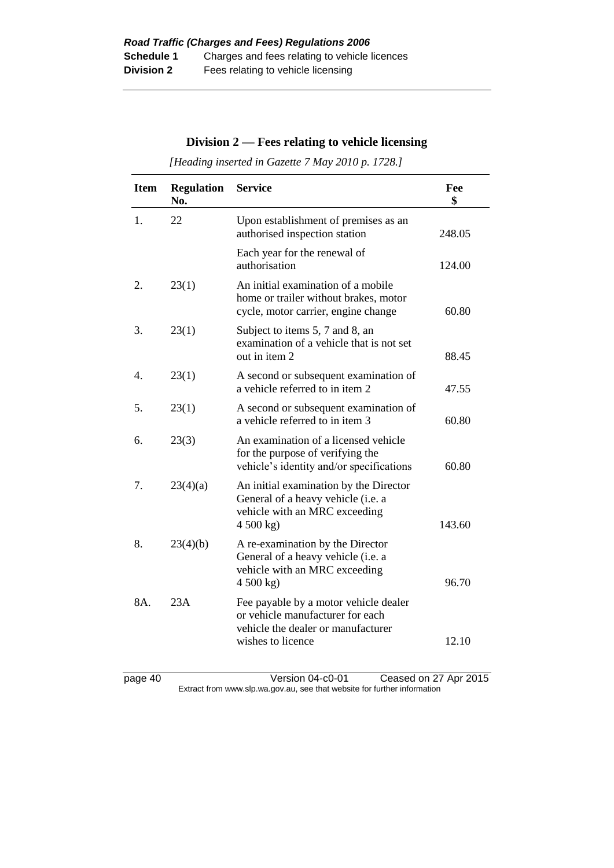## **Division 2 — Fees relating to vehicle licensing**

*[Heading inserted in Gazette 7 May 2010 p. 1728.]*

| <b>Item</b> | <b>Regulation</b><br>No. | <b>Service</b>                                                                                                                       | Fee<br>\$ |
|-------------|--------------------------|--------------------------------------------------------------------------------------------------------------------------------------|-----------|
| 1.          | 22                       | Upon establishment of premises as an<br>authorised inspection station                                                                | 248.05    |
|             |                          | Each year for the renewal of<br>authorisation                                                                                        | 124.00    |
| 2.          | 23(1)                    | An initial examination of a mobile<br>home or trailer without brakes, motor<br>cycle, motor carrier, engine change                   | 60.80     |
| 3.          | 23(1)                    | Subject to items 5, 7 and 8, an<br>examination of a vehicle that is not set<br>out in item 2                                         | 88.45     |
| 4.          | 23(1)                    | A second or subsequent examination of<br>a vehicle referred to in item 2                                                             | 47.55     |
| 5.          | 23(1)                    | A second or subsequent examination of<br>a vehicle referred to in item 3                                                             | 60.80     |
| 6.          | 23(3)                    | An examination of a licensed vehicle<br>for the purpose of verifying the<br>vehicle's identity and/or specifications                 | 60.80     |
| 7.          | 23(4)(a)                 | An initial examination by the Director<br>General of a heavy vehicle (i.e. a<br>vehicle with an MRC exceeding<br>4500 kg             | 143.60    |
| 8.          | 23(4)(b)                 | A re-examination by the Director<br>General of a heavy vehicle (i.e. a<br>vehicle with an MRC exceeding<br>4 500 kg)                 | 96.70     |
| 8A.         | 23A                      | Fee payable by a motor vehicle dealer<br>or vehicle manufacturer for each<br>vehicle the dealer or manufacturer<br>wishes to licence | 12.10     |

page 40 Version 04-c0-01 Ceased on 27 Apr 2015 Extract from www.slp.wa.gov.au, see that website for further information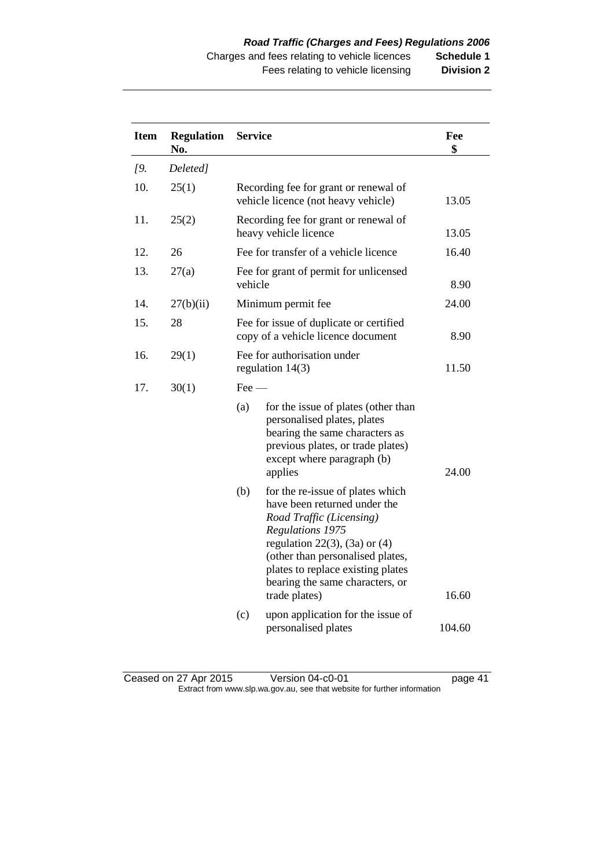| <b>Item</b>       | <b>Regulation</b><br>No. |                | <b>Service</b>                                                                                                                                                                                                                                                  |        |
|-------------------|--------------------------|----------------|-----------------------------------------------------------------------------------------------------------------------------------------------------------------------------------------------------------------------------------------------------------------|--------|
| $\overline{19}$ . | Deleted]                 |                |                                                                                                                                                                                                                                                                 |        |
| 10.               | 25(1)                    |                | Recording fee for grant or renewal of<br>vehicle licence (not heavy vehicle)                                                                                                                                                                                    | 13.05  |
| 11.               | 25(2)                    |                | Recording fee for grant or renewal of<br>heavy vehicle licence                                                                                                                                                                                                  | 13.05  |
| 12.               | 26                       |                | Fee for transfer of a vehicle licence                                                                                                                                                                                                                           | 16.40  |
| 13.               | 27(a)                    | vehicle        | Fee for grant of permit for unlicensed                                                                                                                                                                                                                          | 8.90   |
| 14.               | 27(b)(ii)                |                | Minimum permit fee                                                                                                                                                                                                                                              | 24.00  |
| 15.               | 28                       |                | Fee for issue of duplicate or certified<br>copy of a vehicle licence document                                                                                                                                                                                   |        |
| 16.               | 29(1)                    |                | Fee for authorisation under<br>regulation $14(3)$                                                                                                                                                                                                               | 11.50  |
| 17.               | 30(1)                    | $\text{Fee}$ — |                                                                                                                                                                                                                                                                 |        |
|                   |                          | (a)            | for the issue of plates (other than<br>personalised plates, plates<br>bearing the same characters as<br>previous plates, or trade plates)<br>except where paragraph (b)<br>applies                                                                              | 24.00  |
|                   |                          | (b)            | for the re-issue of plates which<br>have been returned under the<br>Road Traffic (Licensing)<br>Regulations 1975<br>regulation 22(3), (3a) or $(4)$<br>(other than personalised plates,<br>plates to replace existing plates<br>bearing the same characters, or |        |
|                   |                          |                | trade plates)                                                                                                                                                                                                                                                   | 16.60  |
|                   |                          | (c)            | upon application for the issue of<br>personalised plates                                                                                                                                                                                                        | 104.60 |

Ceased on 27 Apr 2015 Version 04-c0-01 ceased on 27 Apr 2015 Extract from www.slp.wa.gov.au, see that website for further information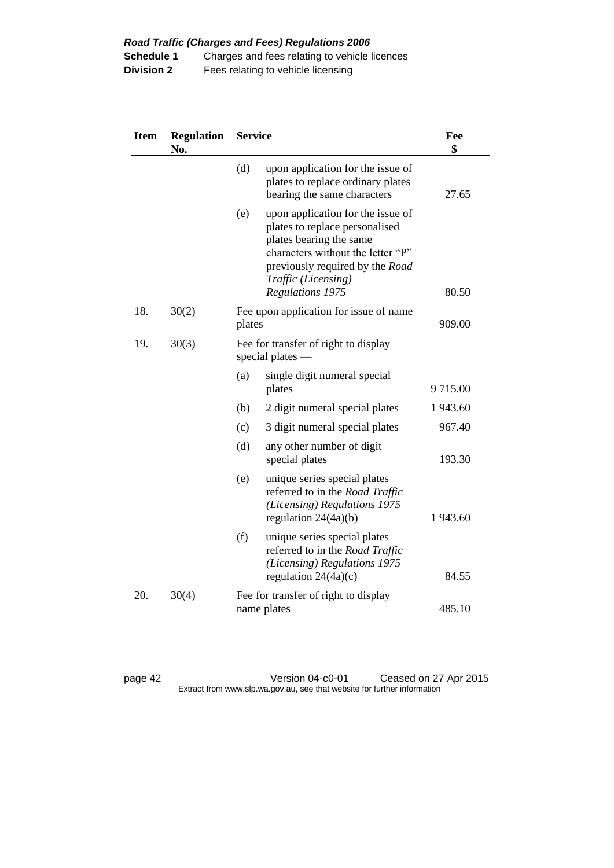| <b>Item</b> | <b>Regulation</b><br>No. | <b>Service</b> |                                                                                                                                                                                                                   | Fee<br>\$ |
|-------------|--------------------------|----------------|-------------------------------------------------------------------------------------------------------------------------------------------------------------------------------------------------------------------|-----------|
|             |                          | (d)            | upon application for the issue of<br>plates to replace ordinary plates<br>bearing the same characters                                                                                                             | 27.65     |
|             |                          | (e)            | upon application for the issue of<br>plates to replace personalised<br>plates bearing the same<br>characters without the letter "P"<br>previously required by the Road<br>Traffic (Licensing)<br>Regulations 1975 | 80.50     |
| 18.         | 30(2)                    | plates         | Fee upon application for issue of name                                                                                                                                                                            | 909.00    |
| 19.         | 30(3)                    |                | Fee for transfer of right to display<br>special plates $-$                                                                                                                                                        |           |
|             |                          | (a)            | single digit numeral special<br>plates                                                                                                                                                                            | 9715.00   |
|             |                          | (b)            | 2 digit numeral special plates                                                                                                                                                                                    | 1 943.60  |
|             |                          | (c)            | 3 digit numeral special plates                                                                                                                                                                                    | 967.40    |
|             |                          | (d)            | any other number of digit<br>special plates                                                                                                                                                                       | 193.30    |
|             |                          | (e)            | unique series special plates<br>referred to in the Road Traffic<br>(Licensing) Regulations 1975<br>regulation $24(4a)(b)$                                                                                         | 1 943.60  |
|             |                          | (f)            | unique series special plates<br>referred to in the Road Traffic<br>(Licensing) Regulations 1975<br>regulation $24(4a)(c)$                                                                                         | 84.55     |
| 20.         | 30(4)                    |                | Fee for transfer of right to display<br>name plates                                                                                                                                                               | 485.10    |

page 42 Version 04-c0-01 Ceased on 27 Apr 2015 Extract from www.slp.wa.gov.au, see that website for further information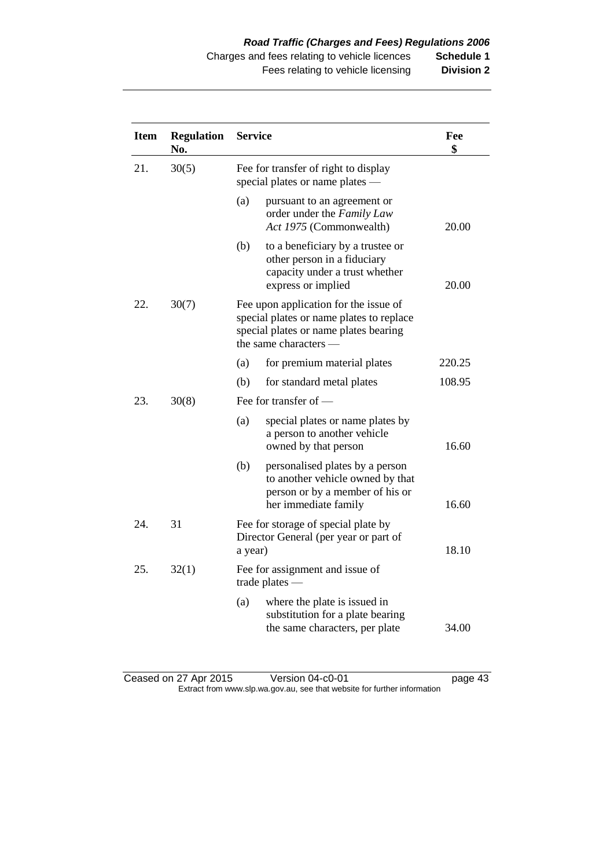| <b>Item</b>  | <b>Regulation</b><br>No. | <b>Service</b> |                                                                                                                                                     | Fee<br>\$ |
|--------------|--------------------------|----------------|-----------------------------------------------------------------------------------------------------------------------------------------------------|-----------|
| 30(5)<br>21. |                          |                | Fee for transfer of right to display<br>special plates or name plates -                                                                             |           |
|              |                          | (a)            | pursuant to an agreement or<br>order under the Family Law<br>Act 1975 (Commonwealth)                                                                | 20.00     |
|              |                          | (b)            | to a beneficiary by a trustee or<br>other person in a fiduciary<br>capacity under a trust whether<br>express or implied                             | 20.00     |
| 22.          | 30(7)                    |                | Fee upon application for the issue of<br>special plates or name plates to replace<br>special plates or name plates bearing<br>the same characters — |           |
|              |                          | (a)            | for premium material plates                                                                                                                         | 220.25    |
|              |                          | (b)            | for standard metal plates                                                                                                                           | 108.95    |
| 23.          | 30(8)                    |                | Fee for transfer of -                                                                                                                               |           |
|              |                          | (a)            | special plates or name plates by<br>a person to another vehicle<br>owned by that person                                                             | 16.60     |
|              |                          | (b)            | personalised plates by a person<br>to another vehicle owned by that<br>person or by a member of his or<br>her immediate family                      | 16.60     |
| 24.          | 31                       | a year)        | Fee for storage of special plate by<br>Director General (per year or part of                                                                        | 18.10     |
| 25.          | 32(1)                    |                | Fee for assignment and issue of<br>trade plates $-$                                                                                                 |           |
|              |                          | (a)            | where the plate is issued in<br>substitution for a plate bearing<br>the same characters, per plate                                                  | 34.00     |

Ceased on 27 Apr 2015 Version 04-c0-01 ceased on 27 Apr 2015 Extract from www.slp.wa.gov.au, see that website for further information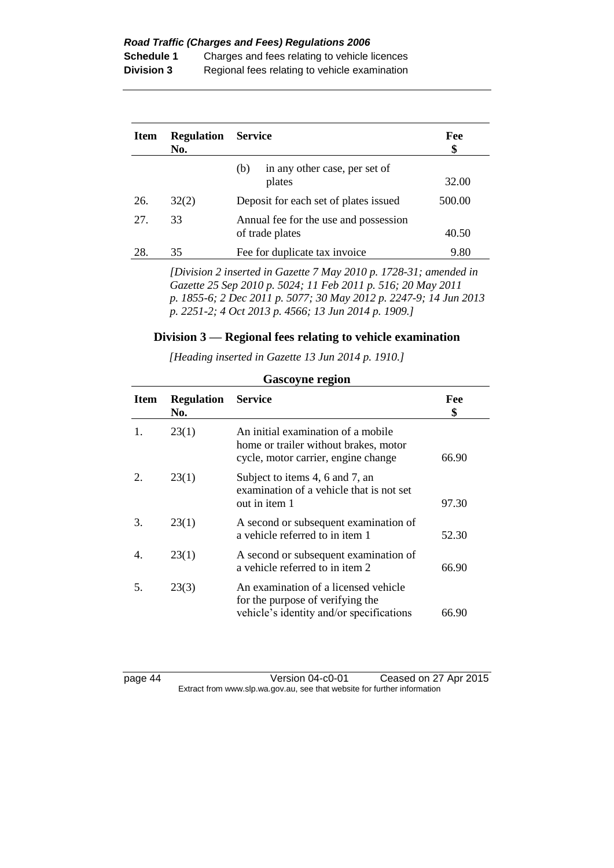**Schedule 1** Charges and fees relating to vehicle licences **Division 3** Regional fees relating to vehicle examination

| <b>Item</b> | <b>Regulation</b><br>No. | <b>Service</b>                                           | Fee<br>\$<br>32.00 |
|-------------|--------------------------|----------------------------------------------------------|--------------------|
|             |                          | in any other case, per set of<br>(b)<br>plates           |                    |
| 26.         | 32(2)                    | Deposit for each set of plates issued                    | 500.00             |
| 27.         | 33                       | Annual fee for the use and possession<br>of trade plates | 40.50              |
| 28.         | 35                       | Fee for duplicate tax invoice                            | 9.80               |
|             |                          |                                                          |                    |

*[Division 2 inserted in Gazette 7 May 2010 p. 1728-31; amended in Gazette 25 Sep 2010 p. 5024; 11 Feb 2011 p. 516; 20 May 2011 p. 1855-6; 2 Dec 2011 p. 5077; 30 May 2012 p. 2247-9; 14 Jun 2013 p. 2251-2; 4 Oct 2013 p. 4566; 13 Jun 2014 p. 1909.]*

### **Division 3 — Regional fees relating to vehicle examination**

*[Heading inserted in Gazette 13 Jun 2014 p. 1910.]*

| Item | <b>Regulation</b><br>No. | <b>Service</b>                                                                                                       | Fee<br>\$ |
|------|--------------------------|----------------------------------------------------------------------------------------------------------------------|-----------|
|      | 23(1)                    | An initial examination of a mobile<br>home or trailer without brakes, motor<br>cycle, motor carrier, engine change   | 66.90     |
|      | 23(1)                    | Subject to items 4, 6 and 7, an<br>examination of a vehicle that is not set<br>out in item 1                         | 97.30     |
| 3.   | 23(1)                    | A second or subsequent examination of<br>a vehicle referred to in item 1                                             | 52.30     |
| 4.   | 23(1)                    | A second or subsequent examination of<br>a vehicle referred to in item 2                                             | 66.90     |
| 5.   | 23(3)                    | An examination of a licensed vehicle<br>for the purpose of verifying the<br>vehicle's identity and/or specifications | 66.90     |

## **Gascoyne region**

page 44 Version 04-c0-01 Ceased on 27 Apr 2015 Extract from www.slp.wa.gov.au, see that website for further information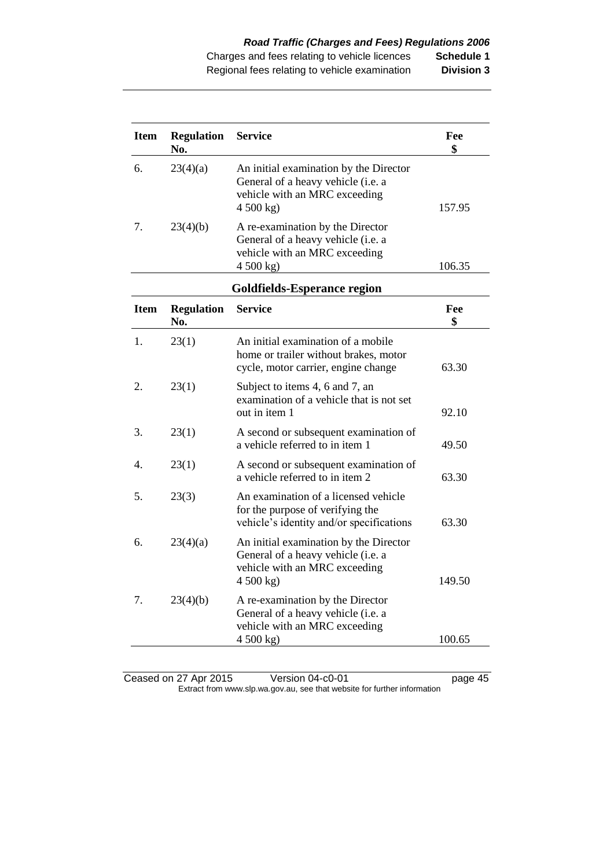| <b>Item</b> | <b>Regulation</b><br>No. | <b>Service</b>                                                                                                             | Fee<br>\$ |
|-------------|--------------------------|----------------------------------------------------------------------------------------------------------------------------|-----------|
| 6.          | 23(4)(a)                 | An initial examination by the Director<br>General of a heavy vehicle (i.e. a<br>vehicle with an MRC exceeding<br>4 500 kg) | 157.95    |
| 7.          | 23(4)(b)                 | A re-examination by the Director<br>General of a heavy vehicle (i.e. a<br>vehicle with an MRC exceeding<br>4 500 kg)       | 106.35    |
|             |                          | <b>Goldfields-Esperance region</b>                                                                                         |           |
| <b>Item</b> | <b>Regulation</b><br>No. | <b>Service</b>                                                                                                             | Fee<br>\$ |
| 1.          | 23(1)                    | An initial examination of a mobile<br>home or trailer without brakes, motor<br>cycle, motor carrier, engine change         | 63.30     |
| 2.          | 23(1)                    | Subject to items 4, 6 and 7, an<br>examination of a vehicle that is not set<br>out in item 1                               | 92.10     |
| 3.          | 23(1)                    | A second or subsequent examination of<br>a vehicle referred to in item 1                                                   | 49.50     |
| 4.          | 23(1)                    | A second or subsequent examination of<br>a vehicle referred to in item 2                                                   | 63.30     |
| 5.          | 23(3)                    | An examination of a licensed vehicle<br>for the purpose of verifying the<br>vehicle's identity and/or specifications       | 63.30     |
| 6.          | 23(4)(a)                 | An initial examination by the Director<br>General of a heavy vehicle (i.e. a<br>vehicle with an MRC exceeding<br>4500 kg   | 149.50    |
| 7.          | 23(4)(b)                 | A re-examination by the Director<br>General of a heavy vehicle (i.e. a<br>vehicle with an MRC exceeding<br>4500 kg         | 100.65    |

Ceased on 27 Apr 2015 Version 04-c0-01 ceased on 27 Apr 2015 Extract from www.slp.wa.gov.au, see that website for further information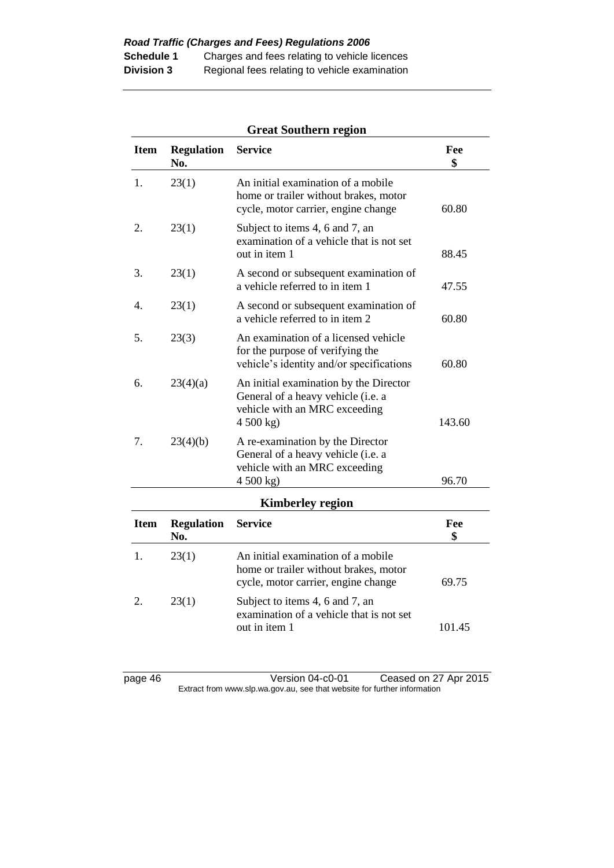|             | <b>Great Southern region</b> |                                                                                                                            |           |  |
|-------------|------------------------------|----------------------------------------------------------------------------------------------------------------------------|-----------|--|
| <b>Item</b> | <b>Regulation</b><br>No.     | <b>Service</b>                                                                                                             | Fee<br>\$ |  |
| 1.          | 23(1)                        | An initial examination of a mobile<br>home or trailer without brakes, motor<br>cycle, motor carrier, engine change         | 60.80     |  |
| 2.          | 23(1)                        | Subject to items 4, 6 and 7, an<br>examination of a vehicle that is not set<br>out in item 1                               | 88.45     |  |
| 3.          | 23(1)                        | A second or subsequent examination of<br>a vehicle referred to in item 1                                                   | 47.55     |  |
| 4.          | 23(1)                        | A second or subsequent examination of<br>a vehicle referred to in item 2                                                   | 60.80     |  |
| 5.          | 23(3)                        | An examination of a licensed vehicle<br>for the purpose of verifying the<br>vehicle's identity and/or specifications       | 60.80     |  |
| 6.          | 23(4)(a)                     | An initial examination by the Director<br>General of a heavy vehicle (i.e. a<br>vehicle with an MRC exceeding<br>4 500 kg) | 143.60    |  |
| 7.          | 23(4)(b)                     | A re-examination by the Director<br>General of a heavy vehicle (i.e. a<br>vehicle with an MRC exceeding<br>4 500 kg)       | 96.70     |  |
|             |                              | <b>Kimberley region</b>                                                                                                    |           |  |
| <b>Item</b> | <b>Regulation</b><br>No.     | <b>Service</b>                                                                                                             | Fee<br>\$ |  |
| 1.          | 23(1)                        | An initial examination of a mobile<br>home or trailer without brakes, motor<br>cycle, motor carrier, engine change         | 69.75     |  |
| 2.          | 23(1)                        | Subject to items 4, 6 and 7, an<br>examination of a vehicle that is not set<br>out in item 1                               | 101.45    |  |

## **Great Southern region**

page 46 Version 04-c0-01 Ceased on 27 Apr 2015 Extract from www.slp.wa.gov.au, see that website for further information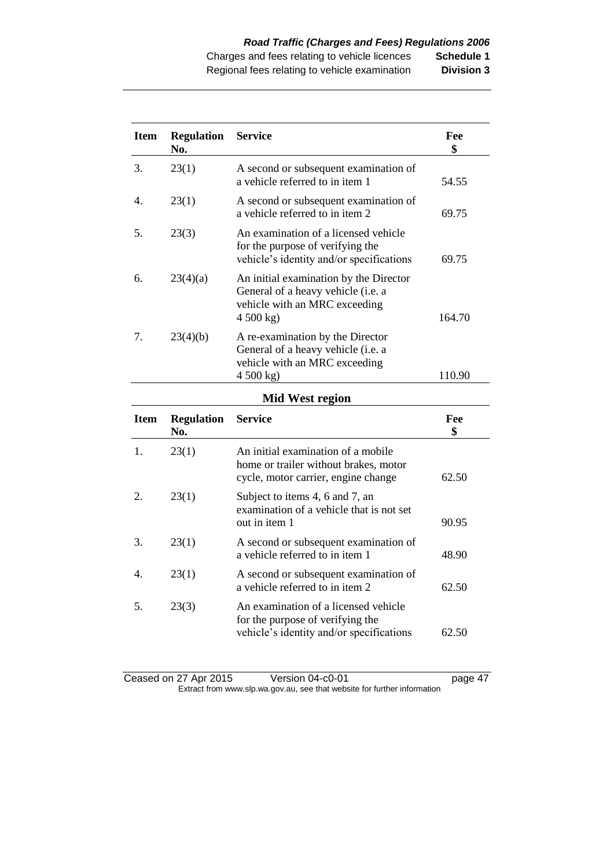| <b>Item</b> | <b>Regulation</b><br>No. | <b>Service</b>                                                                                                           | Fee<br>\$ |
|-------------|--------------------------|--------------------------------------------------------------------------------------------------------------------------|-----------|
| 3.          | 23(1)                    | A second or subsequent examination of<br>a vehicle referred to in item 1                                                 | 54.55     |
| 4.          | 23(1)                    | A second or subsequent examination of<br>a vehicle referred to in item 2                                                 | 69.75     |
| 5.          | 23(3)                    | An examination of a licensed vehicle<br>for the purpose of verifying the<br>vehicle's identity and/or specifications     | 69.75     |
| 6.          | 23(4)(a)                 | An initial examination by the Director<br>General of a heavy vehicle (i.e. a<br>vehicle with an MRC exceeding<br>4500 kg | 164.70    |
| 7.          | 23(4)(b)                 | A re-examination by the Director<br>General of a heavy vehicle (i.e. a<br>vehicle with an MRC exceeding<br>4500 kg       | 110.90    |
|             |                          | <b>Mid West region</b>                                                                                                   |           |
| <b>Item</b> | <b>Regulation</b><br>No. | Service                                                                                                                  | Fee<br>\$ |
| 1.          | 23(1)                    | An initial examination of a mobile<br>home or trailer without brakes, motor<br>cycle, motor carrier, engine change       | 62.50     |
| 2.          | 23(1)                    | Subject to items 4, 6 and 7, an<br>examination of a vehicle that is not set<br>out in item 1                             | 90.95     |
| 3.          | 23(1)                    | A second or subsequent examination of<br>a vehicle referred to in item 1                                                 | 48.90     |
| 4.          | 23(1)                    | A second or subsequent examination of<br>a vehicle referred to in item 2                                                 | 62.50     |
| 5.          | 23(3)                    | An examination of a licensed vehicle<br>for the purpose of verifying the                                                 |           |

Ceased on 27 Apr 2015 Version 04-c0-01 ceased on 27 Apr 2015 Extract from www.slp.wa.gov.au, see that website for further information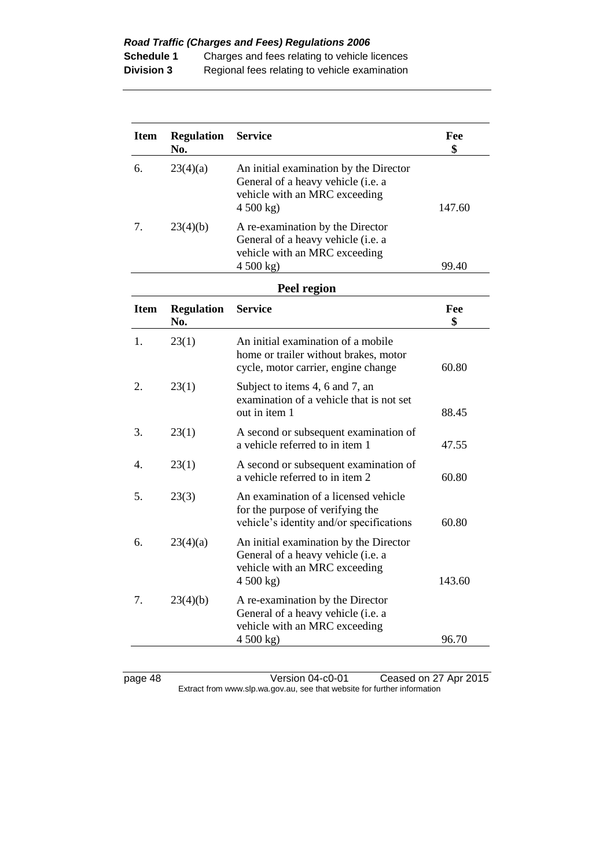| <b>Item</b> | <b>Regulation</b><br>No. | <b>Service</b>                                                                                                             | Fee<br>\$ |
|-------------|--------------------------|----------------------------------------------------------------------------------------------------------------------------|-----------|
| 6.          | 23(4)(a)                 | An initial examination by the Director<br>General of a heavy vehicle (i.e. a<br>vehicle with an MRC exceeding<br>4500 kg   | 147.60    |
| 7.          | 23(4)(b)                 | A re-examination by the Director<br>General of a heavy vehicle (i.e. a<br>vehicle with an MRC exceeding<br>4500 kg         | 99.40     |
|             |                          | Peel region                                                                                                                |           |
| <b>Item</b> | <b>Regulation</b><br>No. | <b>Service</b>                                                                                                             | Fee<br>\$ |
| 1.          | 23(1)                    | An initial examination of a mobile<br>home or trailer without brakes, motor<br>cycle, motor carrier, engine change         | 60.80     |
| 2.          | 23(1)                    | Subject to items 4, 6 and 7, an<br>examination of a vehicle that is not set<br>out in item 1                               | 88.45     |
| 3.          | 23(1)                    | A second or subsequent examination of<br>a vehicle referred to in item 1                                                   | 47.55     |
| 4.          | 23(1)                    | A second or subsequent examination of<br>a vehicle referred to in item 2                                                   | 60.80     |
| 5.          | 23(3)                    | An examination of a licensed vehicle<br>for the purpose of verifying the<br>vehicle's identity and/or specifications       | 60.80     |
| 6.          | 23(4)(a)                 | An initial examination by the Director<br>General of a heavy vehicle (i.e. a<br>vehicle with an MRC exceeding<br>4 500 kg) | 143.60    |
| 7.          | 23(4)(b)                 | A re-examination by the Director<br>General of a heavy vehicle (i.e. a<br>vehicle with an MRC exceeding<br>4500 kg         | 96.70     |
|             |                          |                                                                                                                            |           |

page 48 Version 04-c0-01 Ceased on 27 Apr 2015 Extract from www.slp.wa.gov.au, see that website for further information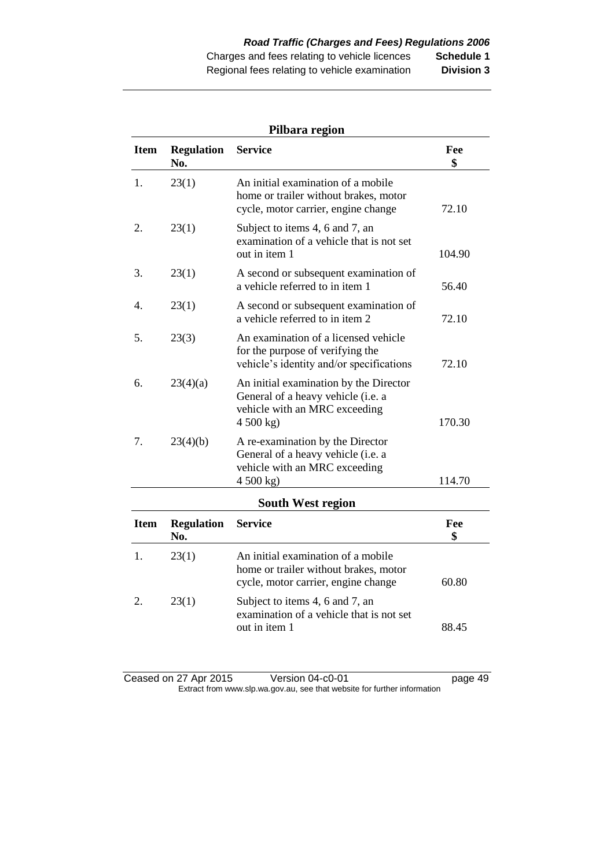| Pilbara region |                          |                                                                                                                            |           |
|----------------|--------------------------|----------------------------------------------------------------------------------------------------------------------------|-----------|
| <b>Item</b>    | <b>Regulation</b><br>No. | <b>Service</b>                                                                                                             | Fee<br>\$ |
| 1.             | 23(1)                    | An initial examination of a mobile<br>home or trailer without brakes, motor<br>cycle, motor carrier, engine change         | 72.10     |
| 2.             | 23(1)                    | Subject to items 4, 6 and 7, an<br>examination of a vehicle that is not set<br>out in item 1                               | 104.90    |
| 3.             | 23(1)                    | A second or subsequent examination of<br>a vehicle referred to in item 1                                                   | 56.40     |
| 4.             | 23(1)                    | A second or subsequent examination of<br>a vehicle referred to in item 2                                                   | 72.10     |
| 5.             | 23(3)                    | An examination of a licensed vehicle<br>for the purpose of verifying the<br>vehicle's identity and/or specifications       | 72.10     |
| 6.             | 23(4)(a)                 | An initial examination by the Director<br>General of a heavy vehicle (i.e. a<br>vehicle with an MRC exceeding<br>4 500 kg) | 170.30    |
| 7.             | 23(4)(b)                 | A re-examination by the Director<br>General of a heavy vehicle (i.e. a<br>vehicle with an MRC exceeding<br>4 500 kg)       | 114.70    |
|                |                          | <b>South West region</b>                                                                                                   |           |
| <b>Item</b>    | <b>Regulation</b><br>No. | <b>Service</b>                                                                                                             | Fee<br>\$ |
| 1.             | 23(1)                    | An initial examination of a mobile<br>home or trailer without brakes, motor<br>cycle, motor carrier, engine change         | 60.80     |
| 2.             | 23(1)                    | Subject to items 4, 6 and 7, an<br>examination of a vehicle that is not set<br>out in item 1                               | 88.45     |

#### Ceased on 27 Apr 2015 Version 04-c0-01 ceased on 27 Apr 2015 Extract from www.slp.wa.gov.au, see that website for further information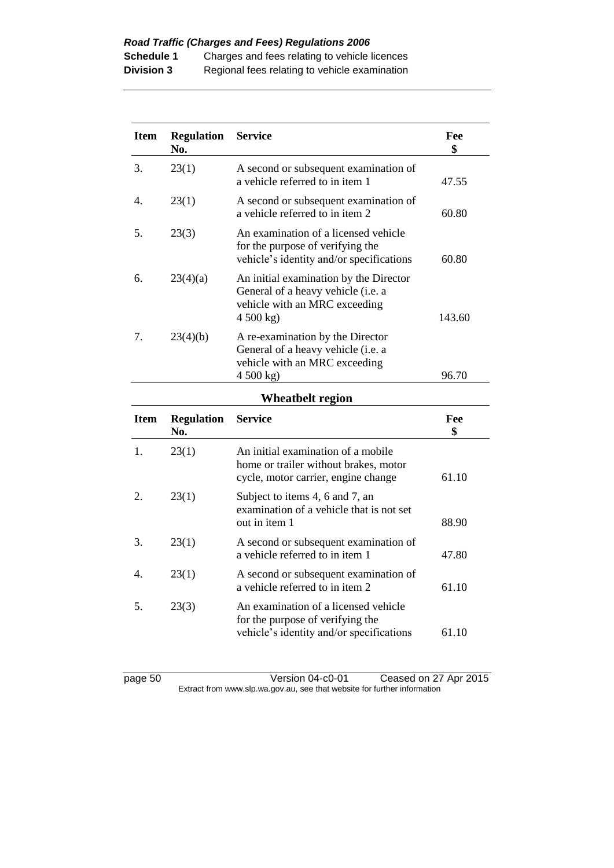| <b>Item</b>      | <b>Regulation</b><br>No. | <b>Service</b>                                                                                                             | Fee<br>\$ |
|------------------|--------------------------|----------------------------------------------------------------------------------------------------------------------------|-----------|
| 3.               | 23(1)                    | A second or subsequent examination of<br>a vehicle referred to in item 1                                                   | 47.55     |
| 4.               | 23(1)                    | A second or subsequent examination of<br>a vehicle referred to in item 2                                                   | 60.80     |
| 5.               | 23(3)                    | An examination of a licensed vehicle<br>for the purpose of verifying the<br>vehicle's identity and/or specifications       | 60.80     |
| 6.               | 23(4)(a)                 | An initial examination by the Director<br>General of a heavy vehicle (i.e. a<br>vehicle with an MRC exceeding<br>4 500 kg) | 143.60    |
| 7.               | 23(4)(b)                 | A re-examination by the Director<br>General of a heavy vehicle (i.e. a<br>vehicle with an MRC exceeding<br>4500 kg         | 96.70     |
|                  |                          | <b>Wheatbelt region</b>                                                                                                    |           |
|                  |                          |                                                                                                                            |           |
| <b>Item</b>      | <b>Regulation</b><br>No. | <b>Service</b>                                                                                                             | Fee<br>\$ |
| 1.               | 23(1)                    | An initial examination of a mobile<br>home or trailer without brakes, motor<br>cycle, motor carrier, engine change         | 61.10     |
| 2.               | 23(1)                    | Subject to items 4, 6 and 7, an<br>examination of a vehicle that is not set<br>out in item 1                               | 88.90     |
| 3.               | 23(1)                    | A second or subsequent examination of<br>a vehicle referred to in item 1                                                   | 47.80     |
| $\overline{4}$ . | 23(1)                    | A second or subsequent examination of<br>a vehicle referred to in item 2                                                   | 61.10     |

page 50 Version 04-c0-01 Ceased on 27 Apr 2015 Extract from www.slp.wa.gov.au, see that website for further information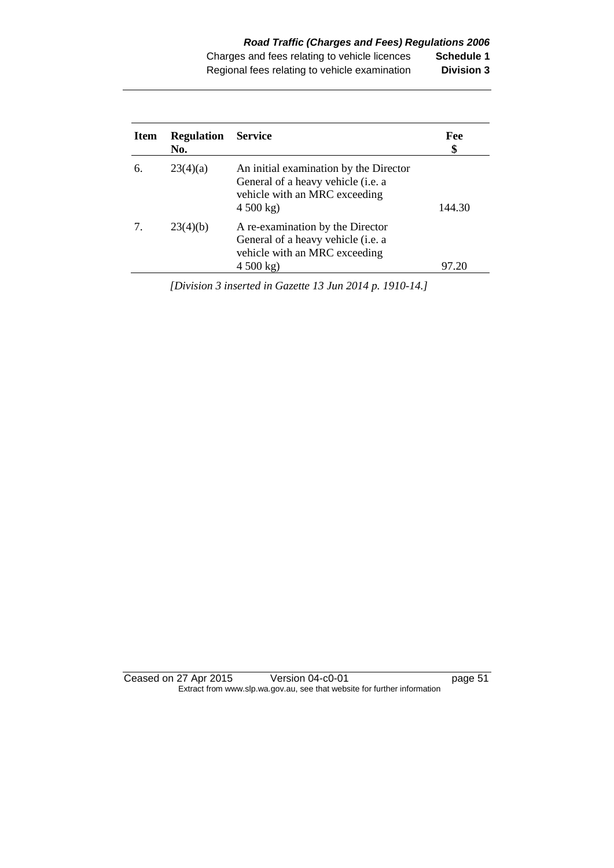| <b>Item</b> | <b>Regulation</b><br>No. | <b>Service</b>                                                                                                           | Fee<br>\$ |
|-------------|--------------------------|--------------------------------------------------------------------------------------------------------------------------|-----------|
| 6.          | 23(4)(a)                 | An initial examination by the Director<br>General of a heavy vehicle (i.e. a<br>vehicle with an MRC exceeding<br>4500 kg | 144.30    |
|             | 23(4)(b)                 | A re-examination by the Director<br>General of a heavy vehicle (i.e. a<br>vehicle with an MRC exceeding<br>4500 kg       | 97.20     |

*[Division 3 inserted in Gazette 13 Jun 2014 p. 1910-14.]*

Ceased on 27 Apr 2015 Version 04-c0-01 page 51 Extract from www.slp.wa.gov.au, see that website for further information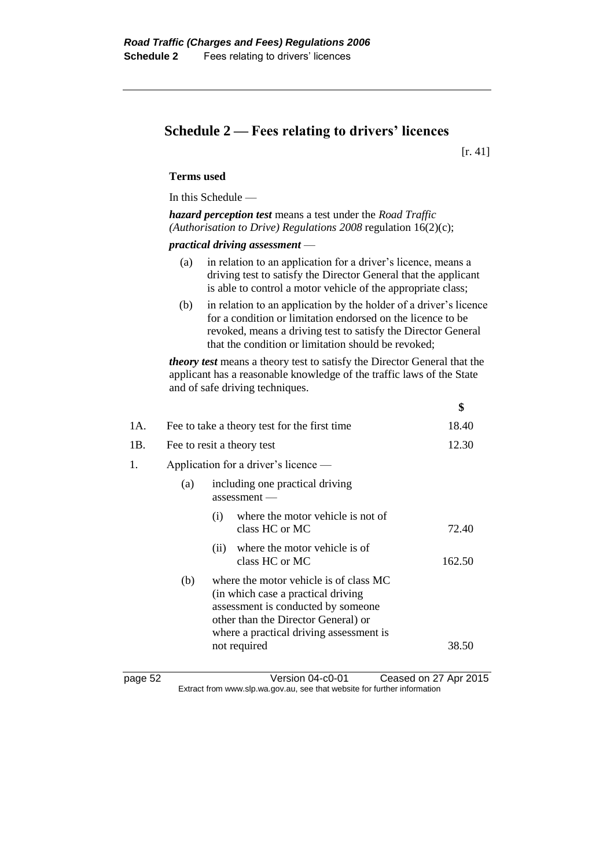## **Schedule 2 — Fees relating to drivers' licences**

[r. 41]

**\$**

#### **Terms used**

In this Schedule —

*hazard perception test* means a test under the *Road Traffic (Authorisation to Drive) Regulations 2008* regulation 16(2)(c);

*practical driving assessment* —

- (a) in relation to an application for a driver's licence, means a driving test to satisfy the Director General that the applicant is able to control a motor vehicle of the appropriate class;
- (b) in relation to an application by the holder of a driver's licence for a condition or limitation endorsed on the licence to be revoked, means a driving test to satisfy the Director General that the condition or limitation should be revoked;

*theory test* means a theory test to satisfy the Director General that the applicant has a reasonable knowledge of the traffic laws of the State and of safe driving techniques.

| 1A. | Fee to take a theory test for the first time |                                                                                                                                                                                                                       |                                                     | 18.40  |
|-----|----------------------------------------------|-----------------------------------------------------------------------------------------------------------------------------------------------------------------------------------------------------------------------|-----------------------------------------------------|--------|
| 1B. | Fee to resit a theory test                   |                                                                                                                                                                                                                       | 12.30                                               |        |
| 1.  | Application for a driver's licence —         |                                                                                                                                                                                                                       |                                                     |        |
|     | (a)                                          |                                                                                                                                                                                                                       | including one practical driving<br>$assessment -$   |        |
|     |                                              | (i)                                                                                                                                                                                                                   | where the motor vehicle is not of<br>class HC or MC | 72.40  |
|     |                                              | (ii)                                                                                                                                                                                                                  | where the motor vehicle is of<br>class HC or MC     | 162.50 |
|     | (b)                                          | where the motor vehicle is of class MC<br>(in which case a practical driving)<br>assessment is conducted by someone<br>other than the Director General) or<br>where a practical driving assessment is<br>not required |                                                     | 38.50  |
|     |                                              |                                                                                                                                                                                                                       |                                                     |        |
|     |                                              |                                                                                                                                                                                                                       |                                                     |        |

page 52 Version 04-c0-01 Ceased on 27 Apr 2015 Extract from www.slp.wa.gov.au, see that website for further information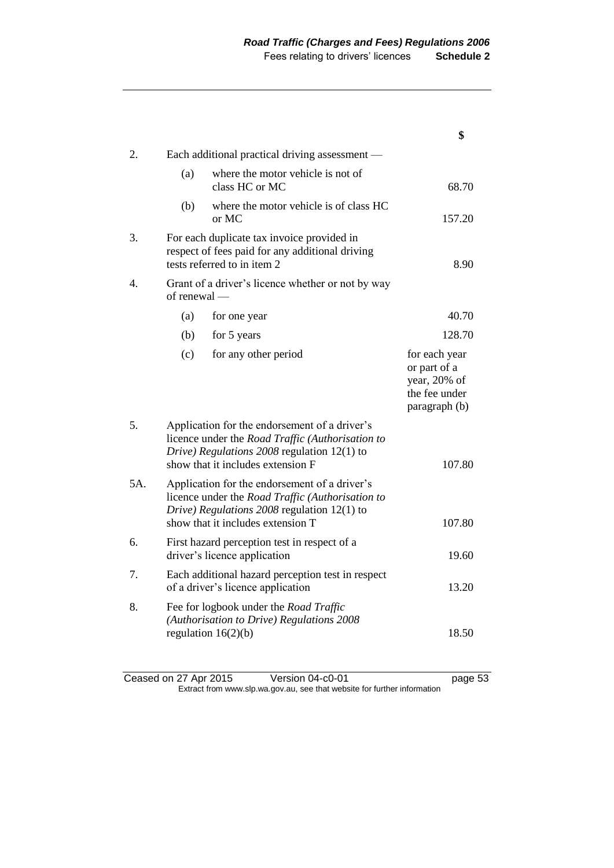|     |                  |                                                                                                                                                                                         | \$                                                                              |
|-----|------------------|-----------------------------------------------------------------------------------------------------------------------------------------------------------------------------------------|---------------------------------------------------------------------------------|
| 2.  |                  | Each additional practical driving assessment -                                                                                                                                          |                                                                                 |
|     | (a)              | where the motor vehicle is not of<br>class HC or MC                                                                                                                                     | 68.70                                                                           |
|     | (b)              | where the motor vehicle is of class HC<br>or MC                                                                                                                                         | 157.20                                                                          |
| 3.  |                  | For each duplicate tax invoice provided in<br>respect of fees paid for any additional driving<br>tests referred to in item 2                                                            | 8.90                                                                            |
| 4.  | $of$ renewal $-$ | Grant of a driver's licence whether or not by way                                                                                                                                       |                                                                                 |
|     | (a)              | for one year                                                                                                                                                                            | 40.70                                                                           |
|     | (b)              | for 5 years                                                                                                                                                                             | 128.70                                                                          |
|     | (c)              | for any other period                                                                                                                                                                    | for each year<br>or part of a<br>year, 20% of<br>the fee under<br>paragraph (b) |
| 5.  |                  | Application for the endorsement of a driver's<br>licence under the Road Traffic (Authorisation to<br>Drive) Regulations $2008$ regulation 12(1) to<br>show that it includes extension F | 107.80                                                                          |
| 5A. |                  | Application for the endorsement of a driver's<br>licence under the Road Traffic (Authorisation to<br>Drive) Regulations 2008 regulation 12(1) to<br>show that it includes extension T   | 107.80                                                                          |
| 6.  |                  | First hazard perception test in respect of a<br>driver's licence application                                                                                                            | 19.60                                                                           |
| 7.  |                  | Each additional hazard perception test in respect<br>of a driver's licence application                                                                                                  | 13.20                                                                           |
| 8.  |                  | Fee for logbook under the Road Traffic<br>(Authorisation to Drive) Regulations 2008<br>regulation $16(2)(b)$                                                                            | 18.50                                                                           |

Ceased on 27 Apr 2015 Version 04-c0-01 ceased on 27 Apr 2015 Extract from www.slp.wa.gov.au, see that website for further information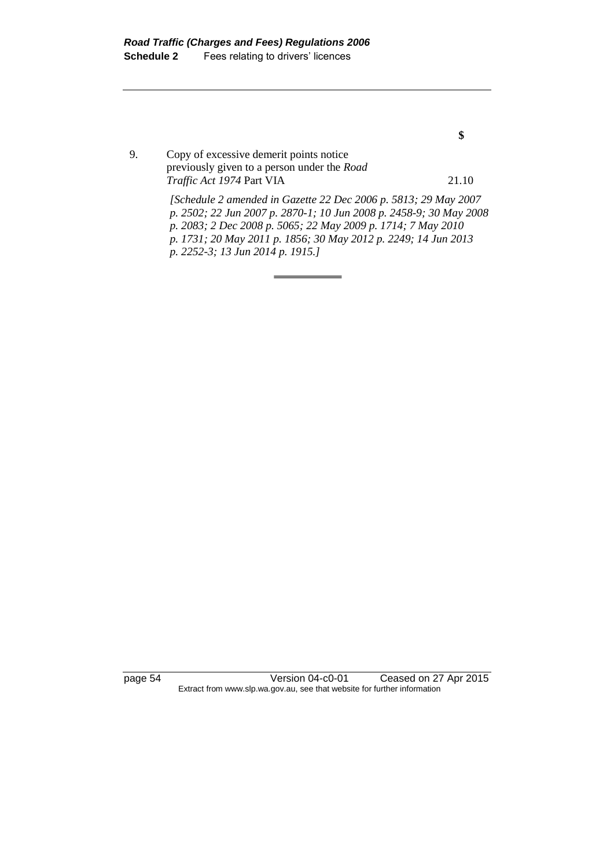9. Copy of excessive demerit points notice previously given to a person under the *Road Traffic Act 1974* Part VIA 21.10

> *[Schedule 2 amended in Gazette 22 Dec 2006 p. 5813; 29 May 2007 p. 2502; 22 Jun 2007 p. 2870-1; 10 Jun 2008 p. 2458-9; 30 May 2008 p. 2083; 2 Dec 2008 p. 5065; 22 May 2009 p. 1714; 7 May 2010 p. 1731; 20 May 2011 p. 1856; 30 May 2012 p. 2249; 14 Jun 2013 p. 2252-3; 13 Jun 2014 p. 1915.]*

page 54 Version 04-c0-01 Ceased on 27 Apr 2015 Extract from www.slp.wa.gov.au, see that website for further information

**\$**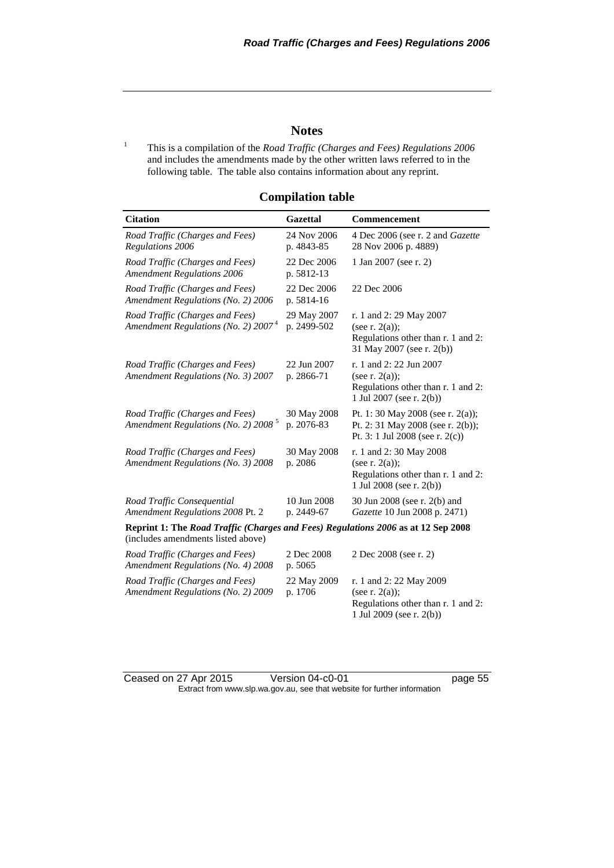#### **Notes**

<sup>1</sup> This is a compilation of the *Road Traffic (Charges and Fees) Regulations 2006* and includes the amendments made by the other written laws referred to in the following table. The table also contains information about any reprint.

| <b>Citation</b>                                                                                                         | <b>Gazettal</b>            | <b>Commencement</b>                                                                                             |
|-------------------------------------------------------------------------------------------------------------------------|----------------------------|-----------------------------------------------------------------------------------------------------------------|
| Road Traffic (Charges and Fees)<br>Regulations 2006                                                                     | 24 Nov 2006<br>p. 4843-85  | 4 Dec 2006 (see r. 2 and Gazette<br>28 Nov 2006 p. 4889)                                                        |
| Road Traffic (Charges and Fees)<br><b>Amendment Regulations 2006</b>                                                    | 22 Dec 2006<br>p. 5812-13  | 1 Jan 2007 (see r. 2)                                                                                           |
| Road Traffic (Charges and Fees)<br>Amendment Regulations (No. 2) 2006                                                   | 22 Dec 2006<br>p. 5814-16  | 22 Dec 2006                                                                                                     |
| Road Traffic (Charges and Fees)<br>Amendment Regulations (No. 2) $20074$                                                | 29 May 2007<br>p. 2499-502 | r. 1 and 2: 29 May 2007<br>(see r. $2(a)$ );<br>Regulations other than r. 1 and 2:<br>31 May 2007 (see r. 2(b)) |
| Road Traffic (Charges and Fees)<br>Amendment Regulations (No. 3) 2007                                                   | 22 Jun 2007<br>p. 2866-71  | r. 1 and 2: 22 Jun 2007<br>(see r. $2(a)$ );<br>Regulations other than r. 1 and 2:<br>1 Jul 2007 (see r. 2(b))  |
| Road Traffic (Charges and Fees)<br>Amendment Regulations (No. 2) 2008 <sup>5</sup>                                      | 30 May 2008<br>p. 2076-83  | Pt. 1: 30 May 2008 (see r. 2(a));<br>Pt. 2: 31 May 2008 (see r. 2(b));<br>Pt. 3: 1 Jul 2008 (see r. $2(c)$ )    |
| Road Traffic (Charges and Fees)<br>Amendment Regulations (No. 3) 2008                                                   | 30 May 2008<br>p. 2086     | r. 1 and 2:30 May 2008<br>(see r. $2(a)$ );<br>Regulations other than r. 1 and 2:<br>1 Jul 2008 (see r. 2(b))   |
| Road Traffic Consequential<br>Amendment Regulations 2008 Pt. 2                                                          | 10 Jun 2008<br>p. 2449-67  | 30 Jun 2008 (see r. 2(b) and<br>Gazette 10 Jun 2008 p. 2471)                                                    |
| Reprint 1: The Road Traffic (Charges and Fees) Regulations 2006 as at 12 Sep 2008<br>(includes amendments listed above) |                            |                                                                                                                 |
| Road Traffic (Charges and Fees)<br>Amendment Regulations (No. 4) 2008                                                   | 2 Dec 2008<br>p. 5065      | 2 Dec 2008 (see r. 2)                                                                                           |
| Road Traffic (Charges and Fees)<br>Amendment Regulations (No. 2) 2009                                                   | 22 May 2009<br>p. 1706     | r. 1 and 2: 22 May 2009<br>(see r. $2(a)$ );<br>Regulations other than r. 1 and 2:<br>1 Jul 2009 (see r. 2(b))  |

**Compilation table**

Ceased on 27 Apr 2015 Version 04-c0-01 page 55 Extract from www.slp.wa.gov.au, see that website for further information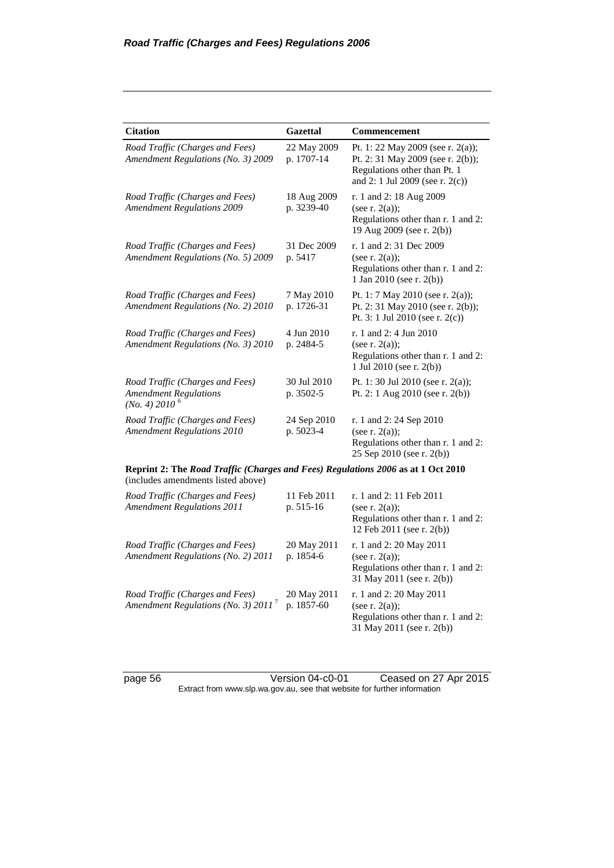| <b>Citation</b>                                                                                                        | <b>Gazettal</b>           | Commencement                                                                                                                                 |
|------------------------------------------------------------------------------------------------------------------------|---------------------------|----------------------------------------------------------------------------------------------------------------------------------------------|
| Road Traffic (Charges and Fees)<br>Amendment Regulations (No. 3) 2009                                                  | 22 May 2009<br>p. 1707-14 | Pt. 1: 22 May 2009 (see r. 2(a));<br>Pt. 2: 31 May 2009 (see r. 2(b));<br>Regulations other than Pt. 1<br>and 2: 1 Jul 2009 (see r. $2(c)$ ) |
| Road Traffic (Charges and Fees)<br><b>Amendment Regulations 2009</b>                                                   | 18 Aug 2009<br>p. 3239-40 | r. 1 and 2: 18 Aug 2009<br>(see r. $2(a)$ );<br>Regulations other than r. 1 and 2:<br>19 Aug 2009 (see r. 2(b))                              |
| Road Traffic (Charges and Fees)<br>Amendment Regulations (No. 5) 2009                                                  | 31 Dec 2009<br>p. 5417    | r. 1 and 2:31 Dec 2009<br>(see r. $2(a)$ );<br>Regulations other than r. 1 and 2:<br>1 Jan 2010 (see r. 2(b))                                |
| Road Traffic (Charges and Fees)<br>Amendment Regulations (No. 2) 2010                                                  | 7 May 2010<br>p. 1726-31  | Pt. 1: 7 May 2010 (see r. 2(a));<br>Pt. 2: 31 May 2010 (see r. 2(b));<br>Pt. 3: 1 Jul 2010 (see r. 2(c))                                     |
| Road Traffic (Charges and Fees)<br>Amendment Regulations (No. 3) 2010                                                  | 4 Jun 2010<br>p. 2484-5   | r. 1 and 2: 4 Jun 2010<br>(see r. 2(a));<br>Regulations other than r. 1 and 2:<br>1 Jul 2010 (see r. 2(b))                                   |
| Road Traffic (Charges and Fees)<br><b>Amendment Regulations</b><br>(No. 4) 2010 <sup>6</sup>                           | 30 Jul 2010<br>p. 3502-5  | Pt. 1: 30 Jul 2010 (see r. 2(a));<br>Pt. 2: 1 Aug 2010 (see r. 2(b))                                                                         |
| Road Traffic (Charges and Fees)<br><b>Amendment Regulations 2010</b>                                                   | 24 Sep 2010<br>p. 5023-4  | r. 1 and 2: 24 Sep 2010<br>(see r. $2(a)$ );<br>Regulations other than r. 1 and 2:<br>25 Sep 2010 (see r. 2(b))                              |
| Reprint 2: The Road Traffic (Charges and Fees) Regulations 2006 as at 1 Oct 2010<br>(includes amendments listed above) |                           |                                                                                                                                              |
| Road Traffic (Charges and Fees)<br><b>Amendment Regulations 2011</b>                                                   | 11 Feb 2011<br>p. 515-16  | r. 1 and 2: 11 Feb 2011<br>(see r. $2(a)$ );<br>Regulations other than r. 1 and 2:<br>12 Feb 2011 (see r. 2(b))                              |
| Road Traffic (Charges and Fees)<br>Amendment Regulations (No. 2) 2011                                                  | 20 May 2011<br>p. 1854-6  | r. 1 and 2: 20 May 2011<br>(see r. $2(a)$ );<br>Regulations other than r. 1 and 2:<br>31 May 2011 (see r. 2(b))                              |
| Road Traffic (Charges and Fees)<br>Amendment Regulations (No. 3) $2011^7$                                              | 20 May 2011<br>p. 1857-60 | r. 1 and 2: 20 May 2011<br>(see r. $2(a)$ );<br>Regulations other than r. 1 and 2:<br>31 May 2011 (see r. 2(b))                              |

page 56 Version 04-c0-01 Ceased on 27 Apr 2015 Extract from www.slp.wa.gov.au, see that website for further information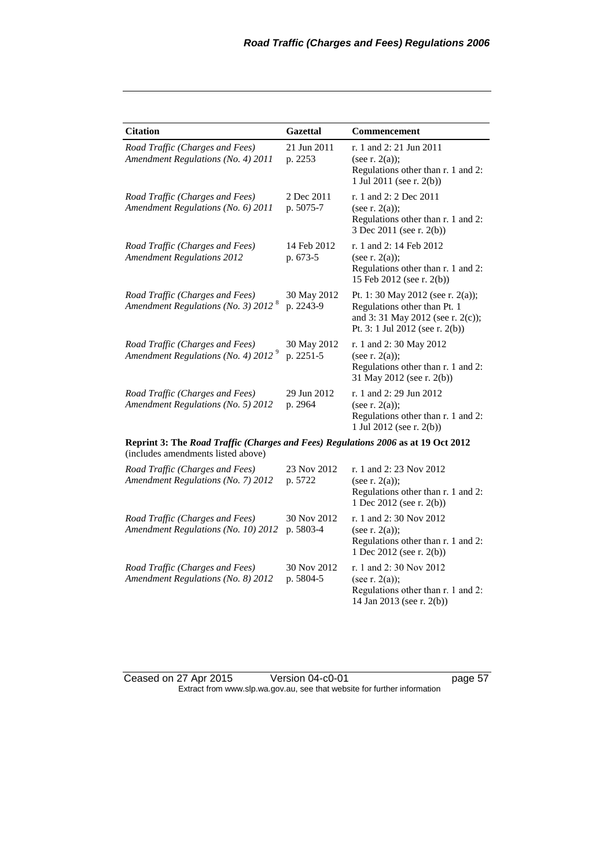| <b>Citation</b>                                                                                                         | <b>Gazettal</b>          | Commencement                                                                                                                                |  |  |
|-------------------------------------------------------------------------------------------------------------------------|--------------------------|---------------------------------------------------------------------------------------------------------------------------------------------|--|--|
| Road Traffic (Charges and Fees)<br>Amendment Regulations (No. 4) 2011                                                   | 21 Jun 2011<br>p. 2253   | r. 1 and 2: 21 Jun 2011<br>(see r. $2(a)$ );<br>Regulations other than r. 1 and 2:<br>1 Jul 2011 (see r. 2(b))                              |  |  |
| Road Traffic (Charges and Fees)<br>Amendment Regulations (No. 6) 2011                                                   | 2 Dec 2011<br>p. 5075-7  | r. 1 and 2: 2 Dec 2011<br>(see r. $2(a)$ );<br>Regulations other than r. 1 and 2:<br>3 Dec 2011 (see r. 2(b))                               |  |  |
| Road Traffic (Charges and Fees)<br><b>Amendment Regulations 2012</b>                                                    | 14 Feb 2012<br>p. 673-5  | r. 1 and 2: 14 Feb 2012<br>(see r. $2(a)$ );<br>Regulations other than r. 1 and 2:<br>15 Feb 2012 (see r. 2(b))                             |  |  |
| Road Traffic (Charges and Fees)<br>Amendment Regulations (No. 3) 2012 $^8$                                              | 30 May 2012<br>p. 2243-9 | Pt. 1: 30 May 2012 (see r. 2(a));<br>Regulations other than Pt. 1<br>and 3:31 May 2012 (see r. 2(c));<br>Pt. 3: 1 Jul 2012 (see r. $2(b)$ ) |  |  |
| Road Traffic (Charges and Fees)<br>Amendment Regulations (No. 4) 2012 <sup>9</sup>                                      | 30 May 2012<br>p. 2251-5 | r. 1 and 2:30 May 2012<br>(see r. $2(a)$ );<br>Regulations other than r. 1 and 2:<br>31 May 2012 (see r. 2(b))                              |  |  |
| Road Traffic (Charges and Fees)<br>Amendment Regulations (No. 5) 2012                                                   | 29 Jun 2012<br>p. 2964   | r. 1 and 2: 29 Jun 2012<br>(see r. $2(a)$ );<br>Regulations other than r. 1 and 2:<br>1 Jul 2012 (see r. 2(b))                              |  |  |
| Reprint 3: The Road Traffic (Charges and Fees) Regulations 2006 as at 19 Oct 2012<br>(includes amendments listed above) |                          |                                                                                                                                             |  |  |
| Road Traffic (Charges and Fees)<br>Amendment Regulations (No. 7) 2012                                                   | 23 Nov 2012<br>p. 5722   | r. 1 and 2: 23 Nov 2012<br>(see r. $2(a)$ );<br>Regulations other than r. 1 and 2:<br>1 Dec 2012 (see r. 2(b))                              |  |  |
| Road Traffic (Charges and Fees)<br>Amendment Regulations (No. 10) 2012                                                  | 30 Nov 2012<br>p. 5803-4 | r. 1 and 2:30 Nov 2012<br>(see r. $2(a)$ );<br>Regulations other than r. 1 and 2:<br>1 Dec 2012 (see r. 2(b))                               |  |  |
| Road Traffic (Charges and Fees)<br>Amendment Regulations (No. 8) 2012                                                   | 30 Nov 2012<br>p. 5804-5 | r. 1 and 2:30 Nov 2012<br>(see r. $2(a)$ );<br>Regulations other than r. 1 and 2:<br>14 Jan 2013 (see r. 2(b))                              |  |  |

Ceased on 27 Apr 2015 Version 04-c0-01 ceased on 27 Apr 2015 Extract from www.slp.wa.gov.au, see that website for further information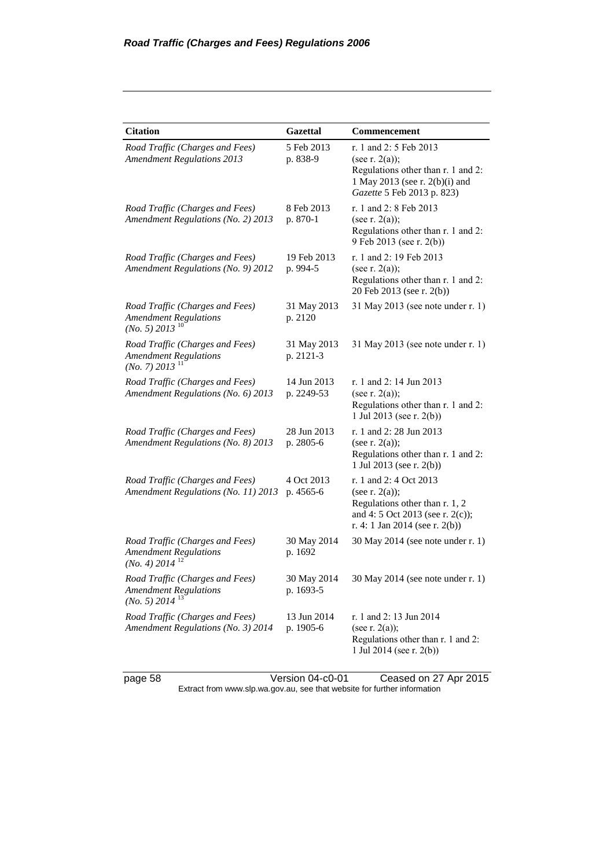| <b>Citation</b>                                                                                 | <b>Gazettal</b>           | Commencement                                                                                                                                        |
|-------------------------------------------------------------------------------------------------|---------------------------|-----------------------------------------------------------------------------------------------------------------------------------------------------|
| Road Traffic (Charges and Fees)<br><b>Amendment Regulations 2013</b>                            | 5 Feb 2013<br>p. 838-9    | r. 1 and 2: 5 Feb 2013<br>(see r. $2(a)$ );<br>Regulations other than r. 1 and 2:<br>1 May 2013 (see r. 2(b)(i) and<br>Gazette 5 Feb 2013 p. 823)   |
| Road Traffic (Charges and Fees)<br>Amendment Regulations (No. 2) 2013                           | 8 Feb 2013<br>p. 870-1    | r. 1 and 2: 8 Feb 2013<br>(see r. $2(a)$ );<br>Regulations other than r. 1 and 2:<br>9 Feb 2013 (see r. 2(b))                                       |
| Road Traffic (Charges and Fees)<br>Amendment Regulations (No. 9) 2012                           | 19 Feb 2013<br>p. 994-5   | r. 1 and 2: 19 Feb 2013<br>(see r. $2(a)$ );<br>Regulations other than r. 1 and 2:<br>20 Feb 2013 (see r. 2(b))                                     |
| Road Traffic (Charges and Fees)<br><b>Amendment Regulations</b><br>$(No. 5)$ 2013 <sup>10</sup> | 31 May 2013<br>p. 2120    | 31 May 2013 (see note under r. 1)                                                                                                                   |
| Road Traffic (Charges and Fees)<br><b>Amendment Regulations</b><br>$(No. 7)$ 2013 <sup>11</sup> | 31 May 2013<br>p. 2121-3  | 31 May 2013 (see note under r. 1)                                                                                                                   |
| Road Traffic (Charges and Fees)<br>Amendment Regulations (No. 6) 2013                           | 14 Jun 2013<br>p. 2249-53 | r. 1 and 2: 14 Jun 2013<br>(see r. 2(a));<br>Regulations other than r. 1 and 2:<br>1 Jul 2013 (see r. $2(b)$ )                                      |
| Road Traffic (Charges and Fees)<br>Amendment Regulations (No. 8) 2013                           | 28 Jun 2013<br>p. 2805-6  | r. 1 and 2: 28 Jun 2013<br>(see r. $2(a)$ );<br>Regulations other than r. 1 and 2:<br>1 Jul 2013 (see r. 2(b))                                      |
| Road Traffic (Charges and Fees)<br>Amendment Regulations (No. 11) 2013                          | 4 Oct 2013<br>p. 4565-6   | r. 1 and 2: 4 Oct 2013<br>(see r. $2(a)$ );<br>Regulations other than r. 1, 2<br>and 4: 5 Oct 2013 (see r. 2(c));<br>r. 4: 1 Jan 2014 (see r. 2(b)) |
| Road Traffic (Charges and Fees)<br><b>Amendment Regulations</b><br>$(No. 4)$ 2014 <sup>12</sup> | 30 May 2014<br>p. 1692    | 30 May 2014 (see note under r. 1)                                                                                                                   |
| Road Traffic (Charges and Fees)<br><b>Amendment Regulations</b><br>$(No. 5)$ 2014 <sup>13</sup> | 30 May 2014<br>p. 1693-5  | 30 May 2014 (see note under r. 1)                                                                                                                   |
| Road Traffic (Charges and Fees)<br>Amendment Regulations (No. 3) 2014                           | 13 Jun 2014<br>p. 1905-6  | r. 1 and 2: 13 Jun 2014<br>(see r. $2(a)$ );<br>Regulations other than r. 1 and 2:<br>1 Jul 2014 (see r. $2(b)$ )                                   |

page 58 Version 04-c0-01 Ceased on 27 Apr 2015 Extract from www.slp.wa.gov.au, see that website for further information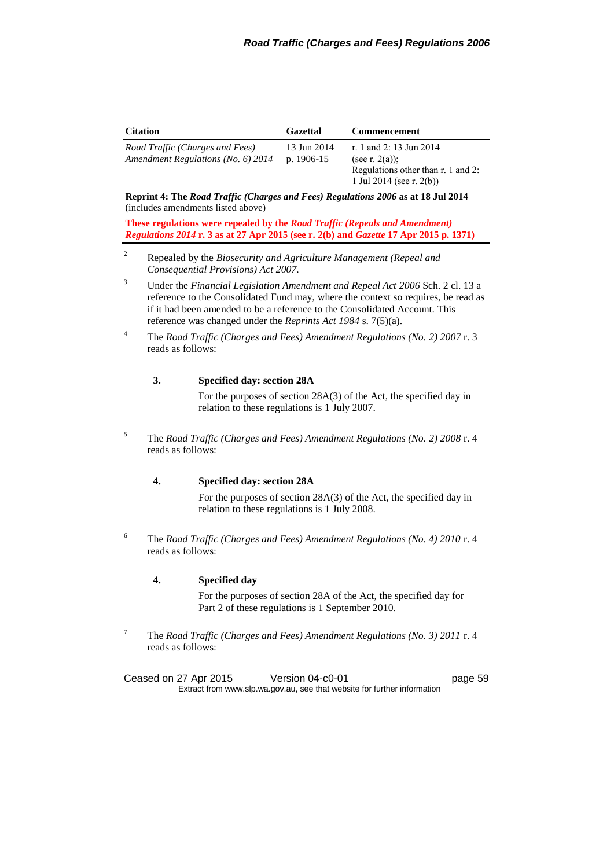| <b>Citation</b>                    | <b>Gazettal</b> | <b>Commencement</b>                |
|------------------------------------|-----------------|------------------------------------|
| Road Traffic (Charges and Fees)    | 13 Jun 2014     | r. 1 and 2:13 Jun 2014             |
| Amendment Regulations (No. 6) 2014 | p. $1906-15$    | (see r. $2(a)$ );                  |
|                                    |                 | Regulations other than r. 1 and 2: |
|                                    |                 | 1 Jul 2014 (see r. 2(b))           |

**Reprint 4: The** *Road Traffic (Charges and Fees) Regulations 2006* **as at 18 Jul 2014** (includes amendments listed above)

**These regulations were repealed by the** *Road Traffic (Repeals and Amendment) Regulations 2014* **r. 3 as at 27 Apr 2015 (see r. 2(b) and** *Gazette* **17 Apr 2015 p. 1371)**

- <sup>2</sup> Repealed by the *Biosecurity and Agriculture Management (Repeal and Consequential Provisions) Act 2007*.
- <sup>3</sup> Under the *Financial Legislation Amendment and Repeal Act 2006* Sch. 2 cl. 13 a reference to the Consolidated Fund may, where the context so requires, be read as if it had been amended to be a reference to the Consolidated Account. This reference was changed under the *Reprints Act 1984* s. 7(5)(a).
- <sup>4</sup> The *Road Traffic (Charges and Fees) Amendment Regulations (No. 2) 2007* r. 3 reads as follows:

#### **3. Specified day: section 28A**

For the purposes of section 28A(3) of the Act, the specified day in relation to these regulations is 1 July 2007.

<sup>5</sup> The *Road Traffic (Charges and Fees) Amendment Regulations (No. 2) 2008* r. 4 reads as follows:

#### **4. Specified day: section 28A**

For the purposes of section 28A(3) of the Act, the specified day in relation to these regulations is 1 July 2008.

<sup>6</sup> The *Road Traffic (Charges and Fees) Amendment Regulations (No. 4) 2010* r. 4 reads as follows:

#### **4. Specified day**

For the purposes of section 28A of the Act, the specified day for Part 2 of these regulations is 1 September 2010.

<sup>7</sup> The *Road Traffic (Charges and Fees) Amendment Regulations (No. 3) 2011* r. 4 reads as follows:

| Ceased on 27 Apr 2015                                                    | Version 04-c0-01 | page 59 |
|--------------------------------------------------------------------------|------------------|---------|
| Extract from www.slp.wa.gov.au, see that website for further information |                  |         |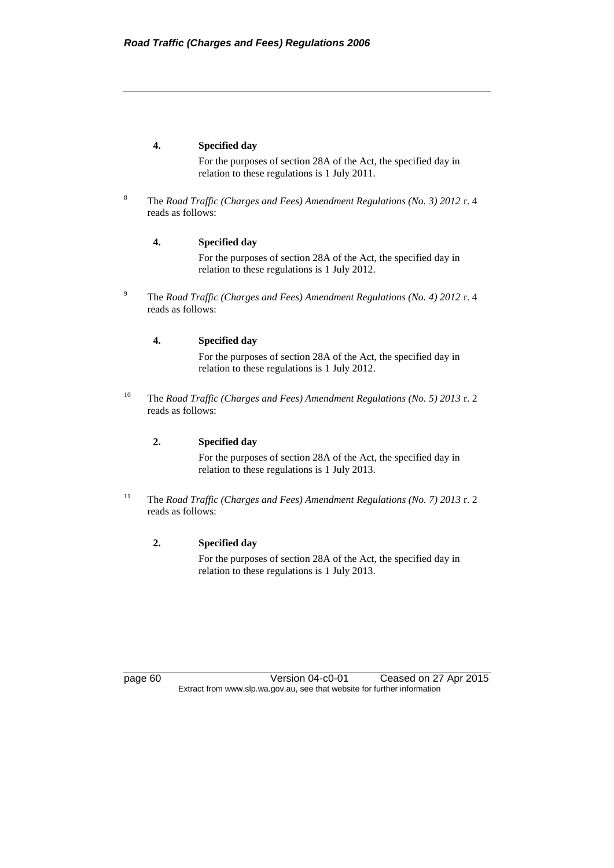#### **4. Specified day**

For the purposes of section 28A of the Act, the specified day in relation to these regulations is 1 July 2011.

<sup>8</sup> The *Road Traffic (Charges and Fees) Amendment Regulations (No. 3) 2012* r. 4 reads as follows:

#### **4. Specified day**

For the purposes of section 28A of the Act, the specified day in relation to these regulations is 1 July 2012.

<sup>9</sup> The *Road Traffic (Charges and Fees) Amendment Regulations (No. 4) 2012* r. 4 reads as follows:

#### **4. Specified day**

For the purposes of section 28A of the Act, the specified day in relation to these regulations is 1 July 2012.

<sup>10</sup> The *Road Traffic (Charges and Fees) Amendment Regulations (No. 5) 2013* r. 2 reads as follows:

#### **2. Specified day**

For the purposes of section 28A of the Act, the specified day in relation to these regulations is 1 July 2013.

<sup>11</sup> The *Road Traffic (Charges and Fees) Amendment Regulations (No. 7) 2013* r. 2 reads as follows:

#### **2. Specified day**

For the purposes of section 28A of the Act, the specified day in relation to these regulations is 1 July 2013.

page 60 Version 04-c0-01 Ceased on 27 Apr 2015 Extract from www.slp.wa.gov.au, see that website for further information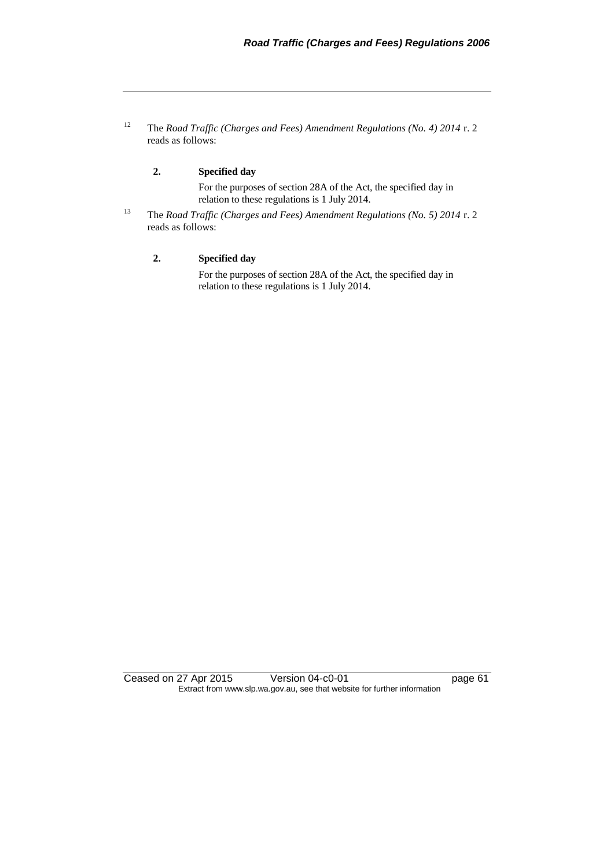<sup>12</sup> The *Road Traffic (Charges and Fees) Amendment Regulations (No. 4) 2014* r. 2 reads as follows:

#### **2. Specified day**

For the purposes of section 28A of the Act, the specified day in relation to these regulations is 1 July 2014.

<sup>13</sup> The *Road Traffic (Charges and Fees) Amendment Regulations (No. 5) 2014* r. 2 reads as follows:

#### **2. Specified day**

For the purposes of section 28A of the Act, the specified day in relation to these regulations is 1 July 2014.

Ceased on 27 Apr 2015 Version 04-c0-01 page 61 Extract from www.slp.wa.gov.au, see that website for further information